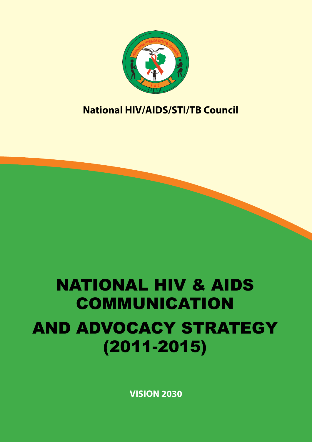

# **National HIV/AIDS/STI/TB Council**

# NATIONAL HIV & AIDS COMMUNICATION AND ADVOCACY STRATEGY (2011-2015)

**VISION 2030**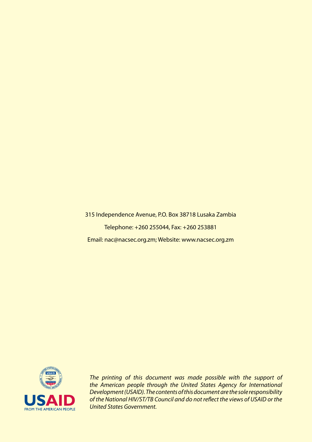315 Independence Avenue, P.O. Box 38718 Lusaka Zambia Telephone: +260 255044, Fax: +260 253881 Email: nac@nacsec.org.zm; Website: www.nacsec.org.zm



*The printing of this document was made possible with the support of the American people through the United States Agency for International Development (USAID). The contents of this document are the sole responsibility of the National HIV/ST/TB Council and do not reflect the views of USAID or the United States Government.*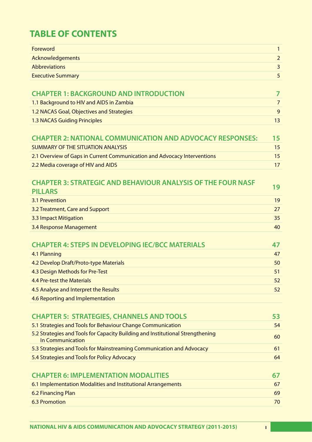# **TABLE OF CONTENTS**

| Foreword                                                                                                  | $\mathbf{1}$   |
|-----------------------------------------------------------------------------------------------------------|----------------|
| Acknowledgements                                                                                          | $\overline{2}$ |
| <b>Abbreviations</b>                                                                                      | 3              |
| <b>Executive Summary</b>                                                                                  | 5              |
|                                                                                                           |                |
| <b>CHAPTER 1: BACKGROUND AND INTRODUCTION</b>                                                             | $\overline{7}$ |
| 1.1 Background to HIV and AIDS in Zambia                                                                  | $\overline{7}$ |
| 1.2 NACAS Goal, Objectives and Strategies                                                                 | 9              |
| <b>1.3 NACAS Guiding Principles</b>                                                                       | 13             |
|                                                                                                           |                |
| <b>CHAPTER 2: NATIONAL COMMUNICATION AND ADVOCACY RESPONSES:</b>                                          | 15             |
| <b>SUMMARY OF THE SITUATION ANALYSIS</b>                                                                  | 15             |
| 2.1 Overview of Gaps in Current Communication and Advocacy Interventions                                  | 15             |
| 2.2 Media coverage of HIV and AIDS                                                                        | 17             |
| <b>CHAPTER 3: STRATEGIC AND BEHAVIOUR ANALYSIS OF THE FOUR NASF</b>                                       |                |
| <b>PILLARS</b>                                                                                            | 19             |
| 3.1 Prevention                                                                                            | 19             |
| 3.2 Treatment, Care and Support                                                                           | 27             |
| 3.3 Impact Mitigation                                                                                     | 35             |
| 3.4 Response Management                                                                                   | 40             |
|                                                                                                           |                |
| <b>CHAPTER 4: STEPS IN DEVELOPING IEC/BCC MATERIALS</b>                                                   | 47             |
| 4.1 Planning                                                                                              | 47             |
| 4.2 Develop Draft/Proto-type Materials                                                                    | 50             |
| 4.3 Design Methods for Pre-Test                                                                           | 51             |
| 4.4 Pre-test the Materials                                                                                | 52             |
| 4.5 Analyse and Interpret the Results                                                                     | 52             |
| 4.6 Reporting and Implementation                                                                          |                |
|                                                                                                           |                |
| <b>CHAPTER 5: STRATEGIES, CHANNELS AND TOOLS</b>                                                          | 53             |
| 5.1 Strategies and Tools for Behaviour Change Communication                                               | 54             |
| 5.2 Strategies and Tools for Capacity Building and Institutional Strengthening<br><b>In Communication</b> | 60             |
| 5.3 Strategies and Tools for Mainstreaming Communication and Advocacy                                     | 61             |
| 5.4 Strategies and Tools for Policy Advocacy                                                              | 64             |
|                                                                                                           |                |
| <b>CHAPTER 6: IMPLEMENTATION MODALITIES</b>                                                               | 67             |
| 6.1 Implementation Modalities and Institutional Arrangements                                              | 67             |
| 6.2 Financing Plan                                                                                        | 69             |
| <b>6.3 Promotion</b>                                                                                      | 70             |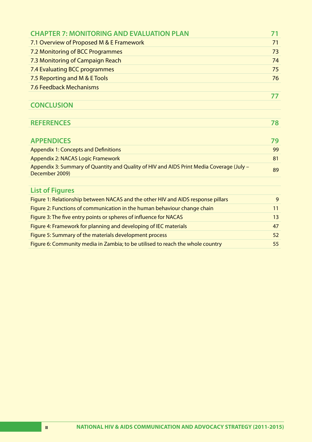| <b>CHAPTER 7: MONITORING AND EVALUATION PLAN</b>                                                           |    |
|------------------------------------------------------------------------------------------------------------|----|
| 7.1 Overview of Proposed M & E Framework                                                                   |    |
| 7.2 Monitoring of BCC Programmes                                                                           |    |
| 7.3 Monitoring of Campaign Reach                                                                           | 74 |
| 7.4 Evaluating BCC programmes                                                                              | 75 |
| 7.5 Reporting and M & E Tools                                                                              | 76 |
| 7.6 Feedback Mechanisms                                                                                    |    |
|                                                                                                            | 77 |
| <b>CONCLUSION</b>                                                                                          |    |
|                                                                                                            |    |
| <b>REFERENCES</b>                                                                                          | 78 |
|                                                                                                            |    |
| <b>APPENDICES</b>                                                                                          | 79 |
| <b>Appendix 1: Concepts and Definitions</b>                                                                | 99 |
| <b>Appendix 2: NACAS Logic Framework</b>                                                                   | 81 |
| Appendix 3: Summary of Quantity and Quality of HIV and AIDS Print Media Coverage (July -<br>December 2009) | 89 |
|                                                                                                            |    |
| <b>List of Figures</b>                                                                                     |    |
| Figure 1: Relationship between NACAS and the other HIV and AIDS response pillars                           | 9  |
| Figure 2: Functions of communication in the human behaviour change chain                                   | 11 |
| Figure 3: The five entry points or spheres of influence for NACAS                                          | 13 |
| Figure 4: Framework for planning and developing of IEC materials                                           | 47 |
| Figure 5: Summary of the materials development process                                                     | 52 |
| Figure 6: Community media in Zambia; to be utilised to reach the whole country                             |    |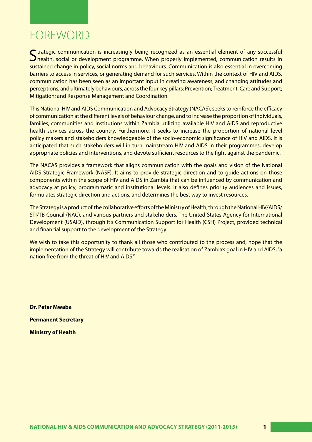# FOREWORD

C trategic communication is increasingly being recognized as an essential element of any successful health, social or development programme. When properly implemented, communication results in sustained change in policy, social norms and behaviours. Communication is also essential in overcoming barriers to access in services, or generating demand for such services. Within the context of HIV and AIDS, communication has been seen as an important input in creating awareness, and changing attitudes and perceptions, and ultimately behaviours, across the four key pillars: Prevention; Treatment, Care and Support; Mitigation; and Response Management and Coordination.

This National HIV and AIDS Communication and Advocacy Strategy (NACAS), seeks to reinforce the efficacy of communication at the different levels of behaviour change, and to increase the proportion of individuals, families, communities and institutions within Zambia utilizing available HIV and AIDS and reproductive health services across the country. Furthermore, it seeks to increase the proportion of national level policy makers and stakeholders knowledgeable of the socio-economic significance of HIV and AIDS. It is anticipated that such stakeholders will in turn mainstream HIV and AIDS in their programmes, develop appropriate policies and interventions, and devote sufficient resources to the fight against the pandemic.

The NACAS provides a framework that aligns communication with the goals and vision of the National AIDS Strategic Framework (NASF). It aims to provide strategic direction and to guide actions on those components within the scope of HIV and AIDS in Zambia that can be influenced by communication and advocacy at policy, programmatic and institutional levels. It also defines priority audiences and issues, formulates strategic direction and actions, and determines the best way to invest resources.

The Strategy is a product of the collaborative efforts of the Ministry of Health, through the National HIV/AIDS/ STI/TB Council (NAC), and various partners and stakeholders. The United States Agency for International Development (USAID), through it's Communication Support for Health (CSH) Project, provided technical and financial support to the development of the Strategy.

We wish to take this opportunity to thank all those who contributed to the process and, hope that the implementation of the Strategy will contribute towards the realisation of Zambia's goal in HIV and AIDS, "a nation free from the threat of HIV and AIDS"

**Dr. Peter Mwaba Permanent Secretary Ministry of Health**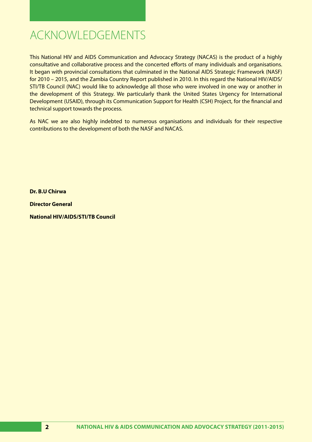# ACKNOWLEDGEMENTS

This National HIV and AIDS Communication and Advocacy Strategy (NACAS) is the product of a highly consultative and collaborative process and the concerted efforts of many individuals and organisations. It began with provincial consultations that culminated in the National AIDS Strategic Framework (NASF) for 2010 – 2015, and the Zambia Country Report published in 2010. In this regard the National HIV/AIDS/ STI/TB Council (NAC) would like to acknowledge all those who were involved in one way or another in the development of this Strategy. We particularly thank the United States Urgency for International Development (USAID), through its Communication Support for Health (CSH) Project, for the financial and technical support towards the process.

As NAC we are also highly indebted to numerous organisations and individuals for their respective contributions to the development of both the NASF and NACAS.

**Dr. B.U Chirwa**

**Director General**

**National HIV/AIDS/STI/TB Council**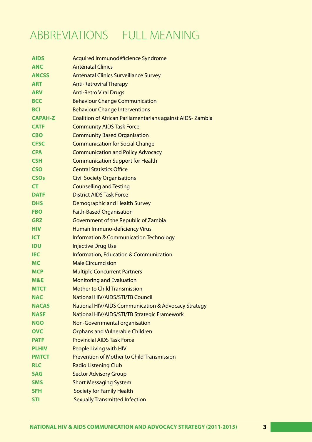# ABBREVIATIONS FULL MEANING

| <b>AIDS</b>    | Acquired Immunodéficience Syndrome                               |
|----------------|------------------------------------------------------------------|
| <b>ANC</b>     | <b>Anténatal Clinics</b>                                         |
| <b>ANCSS</b>   | Anténatal Clinics Surveillance Survey                            |
| <b>ART</b>     | <b>Anti-Retroviral Therapy</b>                                   |
| <b>ARV</b>     | <b>Anti-Retro Viral Drugs</b>                                    |
| <b>BCC</b>     | <b>Behaviour Change Communication</b>                            |
| <b>BCI</b>     | <b>Behaviour Change Interventions</b>                            |
| <b>CAPAH-Z</b> | <b>Coalition of African Parliamentarians against AIDS-Zambia</b> |
| <b>CATF</b>    | <b>Community AIDS Task Force</b>                                 |
| <b>CBO</b>     | <b>Community Based Organisation</b>                              |
| <b>CFSC</b>    | <b>Communication for Social Change</b>                           |
| <b>CPA</b>     | <b>Communication and Policy Advocacy</b>                         |
| <b>CSH</b>     | <b>Communication Support for Health</b>                          |
| <b>CSO</b>     | <b>Central Statistics Office</b>                                 |
| <b>CSOs</b>    | <b>Civil Society Organisations</b>                               |
| <b>CT</b>      | <b>Counselling and Testing</b>                                   |
| <b>DATF</b>    | <b>District AIDS Task Force</b>                                  |
| <b>DHS</b>     | Demographic and Health Survey                                    |
| <b>FBO</b>     | <b>Faith-Based Organisation</b>                                  |
| <b>GRZ</b>     | Government of the Republic of Zambia                             |
| <b>HIV</b>     | Human Immuno-deficiency Virus                                    |
| <b>ICT</b>     | <b>Information &amp; Communication Technology</b>                |
| <b>IDU</b>     | <b>Injective Drug Use</b>                                        |
| <b>IEC</b>     | <b>Information, Education &amp; Communication</b>                |
| <b>MC</b>      | <b>Male Circumcision</b>                                         |
| <b>MCP</b>     | <b>Multiple Concurrent Partners</b>                              |
| M&E            | <b>Monitoring and Evaluation</b>                                 |
| <b>MTCT</b>    | <b>Mother to Child Transmission</b>                              |
| <b>NAC</b>     | National HIV/AIDS/STI/TB Council                                 |
| <b>NACAS</b>   | <b>National HIV/AIDS Communication &amp; Advocacy Strategy</b>   |
| <b>NASF</b>    | National HIV/AIDS/STI/TB Strategic Framework                     |
| <b>NGO</b>     | Non-Governmental organisation                                    |
| <b>OVC</b>     | <b>Orphans and Vulnerable Children</b>                           |
| <b>PATF</b>    | <b>Provincial AIDS Task Force</b>                                |
| <b>PLHIV</b>   | People Living with HIV                                           |
| <b>PMTCT</b>   | <b>Prevention of Mother to Child Transmission</b>                |
| <b>RLC</b>     | <b>Radio Listening Club</b>                                      |
| <b>SAG</b>     | <b>Sector Advisory Group</b>                                     |
| <b>SMS</b>     | <b>Short Messaging System</b>                                    |
| <b>SFH</b>     | <b>Society for Family Health</b>                                 |
| <b>STI</b>     | <b>Sexually Transmitted Infection</b>                            |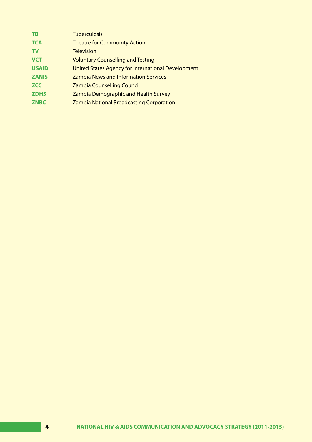| <b>TB</b>    | <b>Tuberculosis</b>                                |
|--------------|----------------------------------------------------|
| <b>TCA</b>   | <b>Theatre for Community Action</b>                |
| <b>TV</b>    | <b>Television</b>                                  |
| <b>VCT</b>   | <b>Voluntary Counselling and Testing</b>           |
| <b>USAID</b> | United States Agency for International Development |
| <b>ZANIS</b> | <b>Zambia News and Information Services</b>        |
| <b>ZCC</b>   | <b>Zambia Counselling Council</b>                  |
| <b>ZDHS</b>  | <b>Zambia Demographic and Health Survey</b>        |
| <b>ZNBC</b>  | <b>Zambia National Broadcasting Corporation</b>    |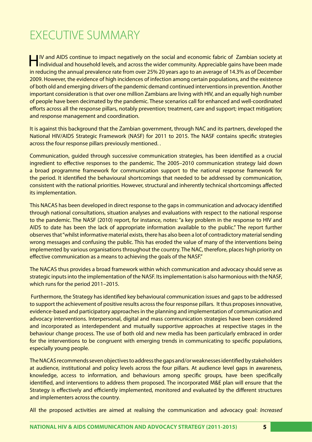# EXECUTIVE SUMMARY

HIV and AIDS continue to impact negatively on the social and economic fabric of Zambian society at individual and household levels, and across the wider community. Appreciable gains have been made in reducing the annual prevalence rate from over 25% 20 years ago to an average of 14.3% as of December 2009. However, the evidence of high incidences of infection among certain populations, and the existence of both old and emerging drivers of the pandemic demand continued interventions in prevention. Another important consideration is that over one million Zambians are living with HIV, and an equally high number of people have been decimated by the pandemic. These scenarios call for enhanced and well-coordinated efforts across all the response pillars, notably prevention; treatment, care and support; impact mitigation; and response management and coordination.

It is against this background that the Zambian government, through NAC and its partners, developed the National HIV/AIDS Strategic Framework (NASF) for 2011 to 2015. The NASF contains specific strategies across the four response pillars previously mentioned. .

Communication, guided through successive communication strategies, has been identified as a crucial ingredient to effective responses to the pandemic. The 2005–2010 communication strategy laid down a broad programme framework for communication support to the national response framework for the period. It identified the behavioural shortcomings that needed to be addressed by communication, consistent with the national priorities. However, structural and inherently technical shortcomings affected its implementation.

This NACAS has been developed in direct response to the gaps in communication and advocacy identified through national consultations, situation analyses and evaluations with respect to the national response to the pandemic. The NASF (2010) report, for instance, notes: "a key problem in the response to HIV and AIDS to date has been the lack of appropriate information available to the public." The report further observes that "whilst informative material exists, there has also been a lot of contradictory material sending wrong messages and confusing the public. This has eroded the value of many of the interventions being implemented by various organisations throughout the country. The NAC, therefore, places high priority on effective communication as a means to achieving the goals of the NASF."

The NACAS thus provides a broad framework within which communication and advocacy should serve as strategic inputs into the implementation of the NASF. Its implementation is also harmonious with the NASF, which runs for the period 2011–2015.

 Furthermore, the Strategy has identified key behavioural communication issues and gaps to be addressed to support the achievement of positive results across the four response pillars. It thus proposes innovative, evidence-based and participatory approaches in the planning and implementation of communication and advocacy interventions. Interpersonal, digital and mass communication strategies have been considered and incorporated as interdependent and mutually supportive approaches at respective stages in the behaviour change process. The use of both old and new media has been particularly embraced in order for the interventions to be congruent with emerging trends in communicating to specific populations, especially young people.

The NACAS recommends seven objectives to address the gaps and/or weaknesses identified by stakeholders at audience, institutional and policy levels across the four pillars. At audience level gaps in awareness, knowledge, access to information, and behaviours among specific groups, have been specifically identified, and interventions to address them proposed. The incorporated M&E plan will ensure that the Strategy is effectively and efficiently implemented, monitored and evaluated by the different structures and implementers across the country.

All the proposed activities are aimed at realising the communication and advocacy goal: *Increased*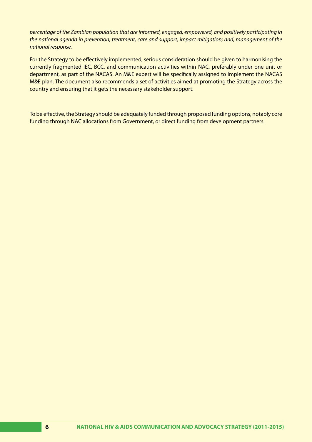*percentage of the Zambian population that are informed, engaged, empowered, and positively participating in the national agenda in prevention; treatment, care and support; impact mitigation; and, management of the national response.*

For the Strategy to be effectively implemented, serious consideration should be given to harmonising the currently fragmented IEC, BCC, and communication activities within NAC, preferably under one unit or department, as part of the NACAS. An M&E expert will be specifically assigned to implement the NACAS M&E plan. The document also recommends a set of activities aimed at promoting the Strategy across the country and ensuring that it gets the necessary stakeholder support.

To be effective, the Strategy should be adequately funded through proposed funding options, notably core funding through NAC allocations from Government, or direct funding from development partners.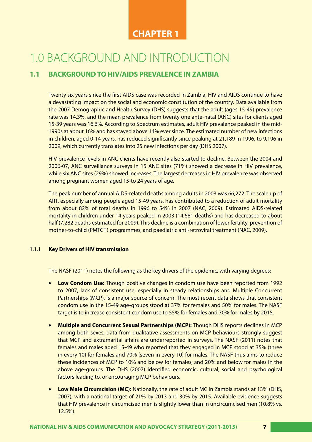## **CHAPTER 1**

# 1.0 BACKGROUND AND INTRODUCTION

## **1.1 BACKGROUND TO HIV/AIDS PREVALENCE IN ZAMBIA**

Twenty six years since the first AIDS case was recorded in Zambia, HIV and AIDS continue to have a devastating impact on the social and economic constitution of the country. Data available from the 2007 Demographic and Health Survey (DHS) suggests that the adult (ages 15-49) prevalence rate was 14.3%, and the mean prevalence from twenty one ante-natal (ANC) sites for clients aged 15-39 years was 16.6%. According to Spectrum estimates, adult HIV prevalence peaked in the mid-1990s at about 16% and has stayed above 14% ever since. The estimated number of new infections in children, aged 0-14 years, has reduced significantly since peaking at 21,189 in 1996, to 9,196 in 2009, which currently translates into 25 new infections per day (DHS 2007).

HIV prevalence levels in ANC clients have recently also started to decline. Between the 2004 and 2006-07, ANC surveillance surveys in 15 ANC sites (71%) showed a decrease in HIV prevalence, while six ANC sites (29%) showed increases. The largest decreases in HIV prevalence was observed among pregnant women aged 15-to 24 years of age.

The peak number of annual AIDS-related deaths among adults in 2003 was 66,272. The scale up of ART, especially among people aged 15-49 years, has contributed to a reduction of adult mortality from about 82% of total deaths in 1996 to 54% in 2007 (NAC, 2009). Estimated AIDS-related mortality in children under 14 years peaked in 2003 (14,681 deaths) and has decreased to about half (7,282 deaths estimated for 2009). This decline is a combination of lower fertility, prevention of mother-to-child (PMTCT) programmes, and paediatric anti-retroviral treatment (NAC, 2009).

#### 1.1.1 **Key Drivers of HIV transmission**

The NASF (2011) notes the following as the key drivers of the epidemic, with varying degrees:

- **Low Condom Use:** Though positive changes in condom use have been reported from 1992 to 2007, lack of consistent use, especially in steady relationships and Multiple Concurrent Partnerships (MCP), is a major source of concern. The most recent data shows that consistent condom use in the 15-49 age-groups stood at 37% for females and 50% for males. The NASF target is to increase consistent condom use to 55% for females and 70% for males by 2015.
- • **Multiple and Concurrent Sexual Partnerships (MCP):** Though DHS reports declines in MCP among both sexes, data from qualitative assessments on MCP behaviours strongly suggest that MCP and extramarital affairs are underreported in surveys. The NASF (2011) notes that females and males aged 15-49 who reported that they engaged in MCP stood at 35% (three in every 10) for females and 70% (seven in every 10) for males. The NASF thus aims to reduce these incidences of MCP to 10% and below for females, and 20% and below for males in the above age-groups. The DHS (2007) identified economic, cultural, social and psychological factors leading to, or encouraging MCP behaviours.
- **Low Male Circumcision (MC):** Nationally, the rate of adult MC in Zambia stands at 13% (DHS, 2007), with a national target of 21% by 2013 and 30% by 2015. Available evidence suggests that HIV prevalence in circumcised men is slightly lower than in uncircumcised men (10.8% vs. 12.5%).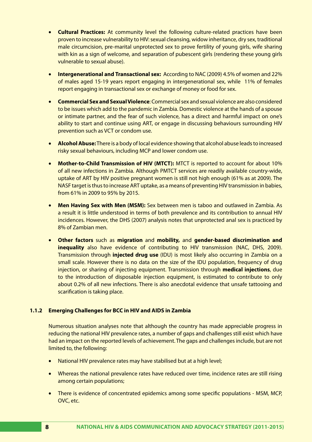- **Cultural Practices:** At community level the following culture-related practices have been proven to increase vulnerability to HIV:sexual cleansing, widow inheritance, dry sex, traditional male circumcision, pre-marital unprotected sex to prove fertility of young girls, wife sharing with kin as a sign of welcome, and separation of pubescent girls (rendering these young girls vulnerable to sexual abuse).
- **Intergenerational and Transactional sex:** According to NAC (2009) 4.5% of women and 22% of males aged 15-19 years report engaging in intergenerational sex, while 11% of females report engaging in transactional sex or exchange of money or food for sex.
- • **Commercial Sex and Sexual Violence**: Commercial sex and sexual violence are also considered to be issues which add to the pandemic in Zambia. Domestic violence at the hands of a spouse or intimate partner, and the fear of such violence, has a direct and harmful impact on one's ability to start and continue using ART, or engage in discussing behaviours surrounding HIV prevention such as VCT or condom use.
- • **Alcohol Abuse:** There is a body of local evidence showing that alcohol abuse leads to increased risky sexual behaviours, including MCP and lower condom use.
- **Mother-to-Child Transmission of HIV (MTCT):** MTCT is reported to account for about 10% of all new infections in Zambia. Although PMTCT services are readily available country-wide, uptake of ART by HIV positive pregnant women is still not high enough (61% as at 2009). The NASF target is thus to increase ART uptake, as a means of preventing HIV transmission in babies, from 61% in 2009 to 95% by 2015.
- **Men Having Sex with Men (MSM):** Sex between men is taboo and outlawed in Zambia. As a result it is little understood in terms of both prevalence and its contribution to annual HIV incidences. However, the DHS (2007) analysis notes that unprotected anal sex is practiced by 8% of Zambian men.
- • **Other factors** such as **migration** and **mobility,** and **gender-based discrimination and inequality** also have evidence of contributing to HIV transmission (NAC, DHS, 2009). Transmission through **injected drug use** (IDU) is most likely also occurring in Zambia on a small scale. However there is no data on the size of the IDU population, frequency of drug injection, or sharing of injecting equipment. Transmission through **medical injections**, due to the introduction of disposable injection equipment, is estimated to contribute to only about 0.2% of all new infections. There is also anecdotal evidence that unsafe tattooing and scarification is taking place.

#### **1.1.2 Emerging Challenges for BCC in HIV and AIDS in Zambia**

Numerous situation analyses note that although the country has made appreciable progress in reducing the national HIV prevalence rates, a number of gaps and challenges still exist which have had an impact on the reported levels of achievement. The gaps and challenges include, but are not limited to, the following:

- National HIV prevalence rates may have stabilised but at a high level;
- Whereas the national prevalence rates have reduced over time, incidence rates are still rising among certain populations;
- There is evidence of concentrated epidemics among some specific populations MSM, MCP, OVC, etc.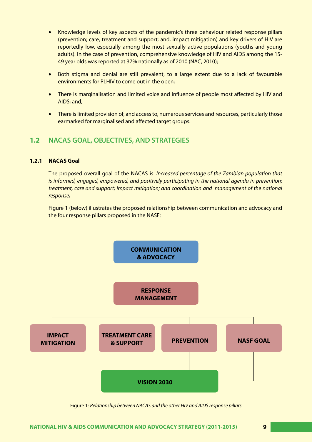- Knowledge levels of key aspects of the pandemic's three behaviour related response pillars (prevention; care, treatment and support; and, impact mitigation) and key drivers of HIV are reportedly low, especially among the most sexually active populations (youths and young adults). In the case of prevention, comprehensive knowledge of HIV and AIDS among the 15- 49 year olds was reported at 37% nationally as of 2010 (NAC, 2010);
- Both stigma and denial are still prevalent, to a large extent due to a lack of favourable environments for PLHIV to come out in the open;
- There is marginalisation and limited voice and influence of people most affected by HIV and AIDS; and,
- There is limited provision of, and access to, numerous services and resources, particularly those earmarked for marginalised and affected target groups.

### **1.2 NACAS GOAL, OBJECTIVES, AND STRATEGIES**

#### **1.2.1 NACAS Goal**

The proposed overall goal of the NACAS is: *Increased percentage of the Zambian population that is informed, engaged, empowered, and positively participating in the national agenda in prevention; treatment, care and support; impact mitigation; and coordination and management of the national response.*

Figure 1 (below) illustrates the proposed relationship between communication and advocacy and the four response pillars proposed in the NASF:



Figure 1: *Relationship between NACAS and the other HIV and AIDS response pillars*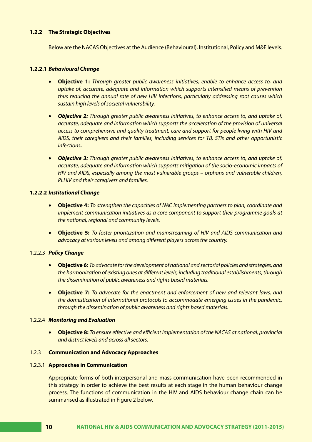#### **1.2.2 The Strategic Objectives**

Below are the NACAS Objectives at the Audience (Behavioural), Institutional, Policy and M&E levels.

#### **1.2.2.1** *Behavioural Change*

- • **Objective 1:** *Through greater public awareness initiatives, enable to enhance access to, and uptake of, accurate, adequate and information which supports intensified means of prevention thus reducing the annual rate of new HIV infections, particularly addressing root causes which sustain high levels of societal vulnerability.*
- *Objective 2: Through greater public awareness initiatives, to enhance access to, and uptake of, accurate, adequate and information which supports the acceleration of the provision of universal access to comprehensive and quality treatment, care and support for people living with HIV and AIDS, their caregivers and their families, including services for TB, STIs and other opportunistic infections.*
- • *Objective 3: Through greater public awareness initiatives, to enhance access to, and uptake of, accurate, adequate and information which supports mitigation of the socio-economic impacts of HIV and AIDS, especially among the most vulnerable groups – orphans and vulnerable children, PLHIV and their caregivers and families.*

#### **1.2.2.2** *Institutional Change*

- • **Objective 4:** *To strengthen the capacities of NAC implementing partners to plan, coordinate and implement communication initiatives as a core component to support their programme goals at the national, regional and community levels.*
- • **Objective 5:** *To foster prioritization and mainstreaming of HIV and AIDS communication and advocacy at various levels and among different players across the country.*

#### 1.2.2.3 *Policy Change*

- • **Objective 6:** *To advocate for the development of national and sectorial policies and strategies, and the harmonization of existing ones at different levels, including traditional establishments, through the dissemination of public awareness and rights based materials.*
- • **Objective 7:** *To advocate for the enactment and enforcement of new and relevant laws, and the domestication of international protocols to accommodate emerging issues in the pandemic, through the dissemination of public awareness and rights based materials.*

#### 1.2.2.4 *Monitoring and Evaluation*

• **Objective 8:** *To ensure effective and efficient implementation of the NACAS at national, provincial and district levels and across all sectors.*

#### 1.2.3 **Communication and Advocacy Approaches**

#### 1.2.3.1 **Approaches in Communication**

Appropriate forms of both interpersonal and mass communication have been recommended in this strategy in order to achieve the best results at each stage in the human behaviour change process. The functions of communication in the HIV and AIDS behaviour change chain can be summarised as illustrated in Figure 2 below.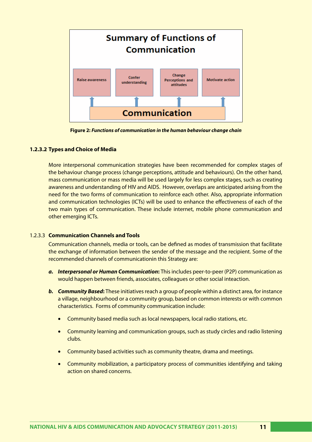

**Figure 2:** *Functions of communication in the human behaviour change chain*

#### **1.2.3.2 Types and Choice of Media**

More interpersonal communication strategies have been recommended for complex stages of the behaviour change process (change perceptions, attitude and behaviours). On the other hand, mass communication or mass media will be used largely for less complex stages, such as creating awareness and understanding of HIV and AIDS. However, overlaps are anticipated arising from the need for the two forms of communication to reinforce each other. Also, appropriate information and communication technologies (ICTs) will be used to enhance the effectiveness of each of the two main types of communication. These include internet, mobile phone communication and other emerging ICTs.

#### 1.2.3.3 **Communication Channels and Tools**

Communication channels, media or tools, can be defined as modes of transmission that facilitate the exchange of information between the sender of the message and the recipient. Some of the recommended channels of communicationin this Strategy are:

- *a. Interpersonal or Human Communication***:** This includes peer-to-peer (P2P) communication as would happen between friends, associates, colleagues or other social inteaction.
- *b. Community Based***:** These initiatives reach a group of people within a distinct area, for instance a village, neighbourhood or a community group, based on common interests or with common characteristics. Forms of community communication include:
	- Community based media such as local newspapers, local radio stations, etc.
	- Community learning and communication groups, such as study circles and radio listening clubs.
	- Community based activities such as community theatre, drama and meetings.
	- Community mobilization, a participatory process of communities identifying and taking action on shared concerns.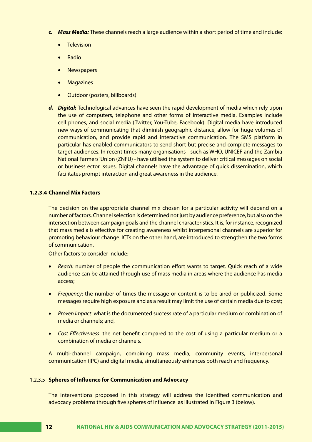- *c. Mass Media:* These channels reach a large audience within a short period of time and include:
	- Television
	- **Radio**
	- **Newspapers**
	- • Magazines
	- Outdoor (posters, billboards)
- *d. Digital***:** Technological advances have seen the rapid development of media which rely upon the use of computers, telephone and other forms of interactive media. Examples include cell phones, and social media (Twitter, You-Tube, Facebook). Digital media have introduced new ways of communicating that diminish geographic distance, allow for huge volumes of communication, and provide rapid and interactive communication. The SMS platform in particular has enabled communicators to send short but precise and complete messages to target audiences. In recent times many organisations - such as WHO, UNICEF and the Zambia National Farmers' Union (ZNFU) - have utilised the system to deliver critical messages on social or business ector issues. Digital channels have the advantage of quick dissemination, which facilitates prompt interaction and great awareness in the audience.

#### **1.2.3.4 Channel Mix Factors**

The decision on the appropriate channel mix chosen for a particular activity will depend on a number of factors. Channel selection is determined not just by audience preference, but also on the intersection between campaign goals and the channel characteristics. It is, for instance, recognized that mass media is effective for creating awareness whilst interpersonal channels are superior for promoting behaviour change. ICTs on the other hand, are introduced to strengthen the two forms of communication.

Other factors to consider include:

- *Reach:* number of people the communication effort wants to target. Quick reach of a wide audience can be attained through use of mass media in areas where the audience has media access;
- *Frequency*: the number of times the message or content is to be aired or publicized. Some messages require high exposure and as a result may limit the use of certain media due to cost;
- *Proven Impact*: what is the documented success rate of a particular medium or combination of media or channels; and,
- • *Cost Effectiveness*: the net benefit compared to the cost of using a particular medium or a combination of media or channels.

A multi-channel campaign, combining mass media, community events, interpersonal communication (IPC) and digital media, simultaneously enhances both reach and frequency.

#### 1.2.3.5 **Spheres of Influence for Communication and Advocacy**

The interventions proposed in this strategy will address the identified communication and advocacy problems through five spheres of influence as illustrated in Figure 3 (below).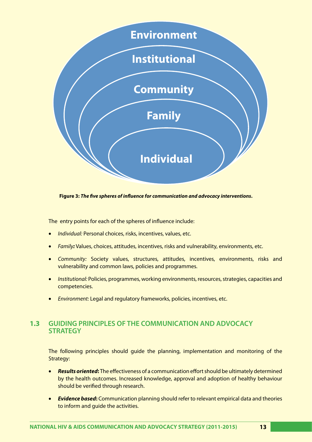

**Figure 3:** *The five spheres of influence for communication and advocacy interventions***.**

The entry points for each of the spheres of influence include:

- **Individual: Personal choices, risks, incentives, values, etc.**
- **Family**: Values, choices, attitudes, incentives, risks and vulnerability, environments, etc.
- • *Community:* Society values, structures, attitudes, incentives, environments, risks and vulnerability and common laws, policies and programmes.
- *Institutional:* Policies, programmes, working environments, resources, strategies, capacities and competencies.
- **Environment: Legal and regulatory frameworks, policies, incentives, etc.**

# **1.3 GUIDING PRINCIPLES OF THE COMMUNICATION AND ADVOCACY STRATEGY**

The following principles should guide the planning, implementation and monitoring of the Strategy:

- • *Results oriented***:** The effectiveness of a communication effort should be ultimately determined by the health outcomes. Increased knowledge, approval and adoption of healthy behaviour should be verified through research.
- **Evidence based:** Communication planning should refer to relevant empirical data and theories to inform and guide the activities.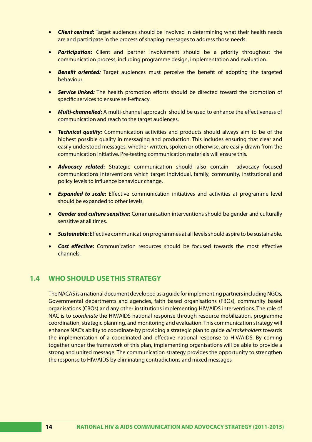- **Client centred:** Target audiences should be involved in determining what their health needs are and participate in the process of shaping messages to address those needs.
- • *Participation:* Client and partner involvement should be a priority throughout the communication process, including programme design, implementation and evaluation.
- • *Benefit oriented:* Target audiences must perceive the benefit of adopting the targeted behaviour.
- **• Service linked:** The health promotion efforts should be directed toward the promotion of specific services to ensure self-efficacy.
- • *Multi-channelled***:** A multi-channel approach should be used to enhance the effectiveness of communication and reach to the target audiences.
- *Technical quality:* Communication activities and products should always aim to be of the highest possible quality in messaging and production. This includes ensuring that clear and easily understood messages, whether written, spoken or otherwise, are easily drawn from the communication initiative. Pre-testing communication materials will ensure this.
- **Advocacy related:** Strategic communication should also contain advocacy focused communications interventions which target individual, family, community, institutional and policy levels to influence behaviour change.
- **Expanded to scale:** Effective communication initiatives and activities at programme level should be expanded to other levels.
- • *Gender and culture sensitive***:** Communication interventions should be gender and culturally sensitive at all times.
- **Sustainable:** Effective communication programmes at all levels should aspire to be sustainable.
- **Cost effective:** Communication resources should be focused towards the most effective channels.

### **1.4 WHO SHOULD USE THIS STRATEGY**

The NACAS is a national document developed as a guide for implementing partners including NGOs, Governmental departments and agencies, faith based organisations (FBOs), community based organisations (CBOs) and any other institutions implementing HIV/AIDS interventions. The role of NAC is to *coordinate* the HIV/AIDS national response through resource mobilization, programme coordination, strategic planning, and monitoring and evaluation. This communication strategy will enhance NAC's ability to coordinate by providing a strategic plan to guide *all stakeholders* towards the implementation of a coordinated and effective national response to HIV/AIDS. By coming together under the framework of this plan, implementing organisations will be able to provide a strong and united message. The communication strategy provides the opportunity to strengthen the response to HIV/AIDS by eliminating contradictions and mixed messages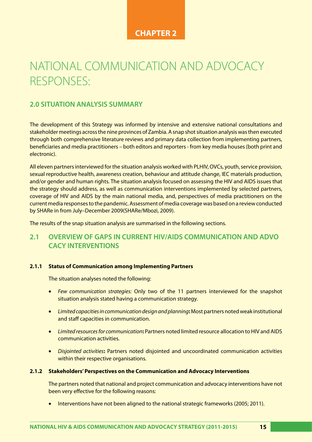## **CHAPTER 2**

# NATIONAL COMMUNICATION AND ADVOCACY RESPONSES:

### **2.0 SITUATION ANALYSIS SUMMARY**

The development of this Strategy was informed by intensive and extensive national consultations and stakeholder meetings across the nine provinces of Zambia. A snap shot situation analysis was then executed through both comprehensive literature reviews and primary data collection from implementing partners, beneficiaries and media practitioners – both editors and reporters - from key media houses (both print and electronic).

All eleven partners interviewed for the situation analysis worked with PLHIV, OVCs, youth, service provision, sexual reproductive health, awareness creation, behaviour and attitude change, IEC materials production, and/or gender and human rights. The situation analysis focused on assessing the HIV and AIDS issues that the strategy should address, as well as communication interventions implemented by selected partners, coverage of HIV and AIDS by the main national media, and, perspectives of media practitioners on the current media responses to the pandemic. Assessment of media coverage was based on a review conducted by SHARe in from July–December 2009(SHARe/Mbozi, 2009).

The results of the snap situation analysis are summarised in the following sections.

## **2.1 OVERVIEW OF GAPS IN CURRENT HIV/AIDS COMMUNICATION AND ADVO CACY INTERVENTIONS**

#### **2.1.1 Status of Communication among Implementing Partners**

The situation analyses noted the following:

- • *Few communication strategies:* Only two of the 11 partners interviewed for the snapshot situation analysis stated having a communication strategy.
- • *Limited capacities in communication design and planning***:** Most partners noted weak institutional and staff capacities in communication.
- • *Limited resources for communication***:** Partners noted limited resource allocation to HIV and AIDS communication activities.
- • *Disjointed activities***:** Partners noted disjointed and uncoordinated communication activities within their respective organisations.

#### **2.1.2 Stakeholders' Perspectives on the Communication and Advocacy Interventions**

The partners noted that national and project communication and advocacy interventions have not been very effective for the following reasons:

Interventions have not been aligned to the national strategic frameworks (2005; 2011).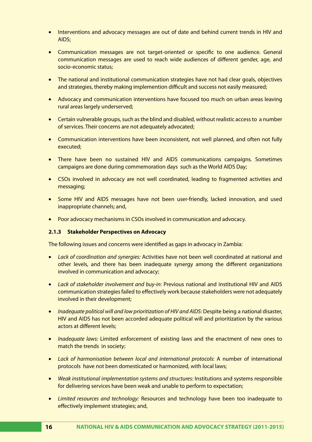- Interventions and advocacy messages are out of date and behind current trends in HIV and AIDS;
- Communication messages are not target-oriented or specific to one audience. General communication messages are used to reach wide audiences of different gender, age, and socio-economic status;
- The national and institutional communication strategies have not had clear goals, objectives and strategies, thereby making implemention difficult and success not easily measured;
- Advocacy and communication interventions have focused too much on urban areas leaving rural areas largely underserved;
- Certain vulnerable groups, such as the blind and disabled, without realistic access to a number of services. Their concerns are not adequately advocated;
- Communication interventions have been inconsistent, not well planned, and often not fully executed;
- There have been no sustained HIV and AIDS communications campaigns. Sometimes campaigns are done during commemoration days such as the World AIDS Day;
- CSOs involved in advocacy are not well coordinated, leading to fragmented activities and messaging;
- Some HIV and AIDS messages have not been user-friendly, lacked innovation, and used inappropriate channels; and,
- Poor advocacy mechanisms in CSOs involved in communication and advocacy.

#### **2.1.3 Stakeholder Perspectives on Advocacy**

The following issues and concerns were identified as gaps in advocacy in Zambia:

- • *Lack of coordination and synergies:* Activities have not been well coordinated at national and other levels, and there has been inadequate synergy among the different organizations involved in communication and advocacy;
- • *Lack of stakeholder involvement and buy-in*: Previous national and institutional HIV and AIDS communication strategies failed to effectively work because stakeholders were not adequately involved in their development;
- • *Inadequate political will and low prioritization of HIV and AIDS*: Despite being a national disaster, HIV and AIDS has not been accorded adequate political will and prioritization by the various actors at different levels;
- • *Inadequate laws:* Limited enforcement of existing laws and the enactment of new ones to match the trends in society;
- • *Lack of harmonisation between local and international protocols*: A number of international protocols have not been domesticated or harmonized, with local laws;
- • *Weak institutional implementation systems and structures:* Institutions and systems responsible for delivering services have been weak and unable to perform to expectation;
- • *Limited resources and technology:* Resources and technology have been too inadequate to effectively implement strategies; and,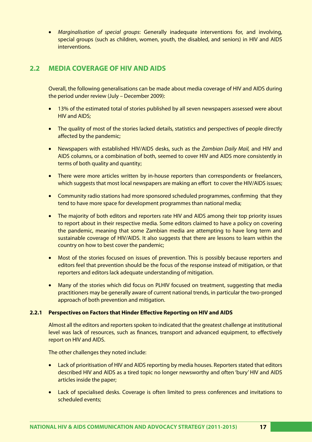• *Marginalisation of special groups*: Generally inadequate interventions for, and involving, special groups (such as children, women, youth, the disabled, and seniors) in HIV and AIDS interventions.

### **2.2 MEDIA COVERAGE OF HIV AND AIDS**

Overall, the following generalisations can be made about media coverage of HIV and AIDS during the period under review (July – December 2009):

- 13% of the estimated total of stories published by all seven newspapers assessed were about HIV and AIDS;
- The quality of most of the stories lacked details, statistics and perspectives of people directly affected by the pandemic;
- • Newspapers with established HIV/AIDS desks, such as the *Zambian Daily Mail,* and HIV and AIDS columns, or a combination of both, seemed to cover HIV and AIDS more consistently in terms of both quality and quantity;
- There were more articles written by in-house reporters than correspondents or freelancers, which suggests that most local newspapers are making an effort to cover the HIV/AIDS issues;
- Community radio stations had more sponsored scheduled programmes, confirming that they tend to have more space for development programmes than national media;
- The majority of both editors and reporters rate HIV and AIDS among their top priority issues to report about in their respective media. Some editors claimed to have a policy on covering the pandemic, meaning that some Zambian media are attempting to have long term and sustainable coverage of HIV/AIDS. It also suggests that there are lessons to learn within the country on how to best cover the pandemic;
- Most of the stories focused on issues of prevention. This is possibly because reporters and editors feel that prevention should be the focus of the response instead of mitigation, or that reporters and editors lack adequate understanding of mitigation.
- Many of the stories which did focus on PLHIV focused on treatment, suggesting that media practitioners may be generally aware of current national trends, in particular the two-pronged approach of both prevention and mitigation.

#### **2.2.1 Perspectives on Factors that Hinder Effective Reporting on HIV and AIDS**

Almost all the editors and reporters spoken to indicated that the greatest challenge at institutional level was lack of resources, such as finances, transport and advanced equipment, to effectively report on HIV and AIDS.

The other challenges they noted include:

- Lack of prioritisation of HIV and AIDS reporting by media houses. Reporters stated that editors described HIV and AIDS as a tired topic no longer newsworthy and often 'bury' HIV and AIDS articles inside the paper;
- Lack of specialised desks. Coverage is often limited to press conferences and invitations to scheduled events;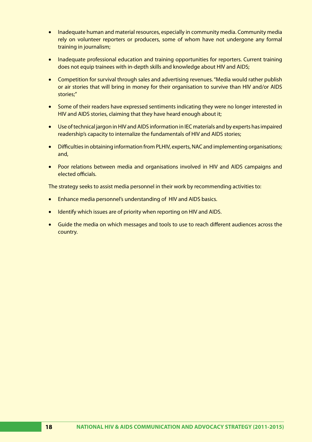- Inadequate human and material resources, especially in community media. Community media rely on volunteer reporters or producers, some of whom have not undergone any formal training in journalism;
- Inadequate professional education and training opportunities for reporters. Current training does not equip trainees with in-depth skills and knowledge about HIV and AIDS;
- Competition for survival through sales and advertising revenues. "Media would rather publish or air stories that will bring in money for their organisation to survive than HIV and/or AIDS stories;"
- Some of their readers have expressed sentiments indicating they were no longer interested in HIV and AIDS stories, claiming that they have heard enough about it;
- • Use of technical jargon in HIV and AIDS information in IEC materials and by experts has impaired readership's capacity to internalize the fundamentals of HIV and AIDS stories;
- Difficulties in obtaining information from PLHIV, experts, NAC and implementing organisations; and,
- Poor relations between media and organisations involved in HIV and AIDS campaigns and elected officials.

The strategy seeks to assist media personnel in their work by recommending activities to:

- Enhance media personnel's understanding of HIV and AIDS basics.
- Identify which issues are of priority when reporting on HIV and AIDS.
- Guide the media on which messages and tools to use to reach different audiences across the country.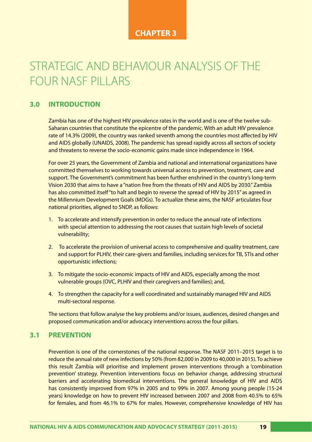### **CHAPTER 3**

# STRATEGIC AND BEHAVIOUR ANALYSIS OF THE FOUR NASF PILLARS

### **3.0 INTRODUCTION**

Zambia has one of the highest HIV prevalence rates in the world and is one of the twelve sub-Saharan countries that constitute the epicentre of the pandemic. With an adult HIV prevalence rate of 14.3% (2009), the country was ranked seventh among the countries most affected by HIV and AIDS globally (UNAIDS, 2008). The pandemic has spread rapidly across all sectors of society and threatens to reverse the socio-economic gains made since independence in 1964.

For over 25 years, the Government of Zambia and national and international organizations have committed themselves to working towards universal access to prevention, treatment, care and support. The Government's commitment has been further enshrined in the country's long-term Vision 2030 that aims to have a "nation free from the threats of HIV and AIDS by 2030." Zambia has also committed itself "to halt and begin to reverse the spread of HIV by 2015" as agreed in the Millennium Development Goals (MDGs). To actualize these aims, the NASF articulates four national priorities, aligned to SNDP, as follows:

- 1. To accelerate and intensify prevention in order to reduce the annual rate of infections with special attention to addressing the root causes that sustain high levels of societal vulnerability;
- 2. To accelerate the provision of universal access to comprehensive and quality treatment, care and support for PLHIV, their care-givers and families, including services for TB, STIs and other opportunistic infections;
- 3. To mitigate the socio-economic impacts of HIV and AIDS, especially among the most vulnerable groups (OVC, PLHIV and their caregivers and families); and,
- 4. To strengthen the capacity for a well coordinated and sustainably managed HIV and AIDS multi-sectoral response.

The sections that follow analyse the key problems and/or issues, audiences, desired changes and proposed communication and/or advocacy interventions across the four pillars.

### **3.1 PREVENTION**

Prevention is one of the cornerstones of the national response. The NASF 2011–2015 target is to reduce the annual rate of new infections by 50% (from 82,000 in 2009 to 40,000 in 2015). To achieve this result Zambia will prioritise and implement proven interventions through a 'combination prevention' strategy. Prevention interventions focus on behavior change, addressing structural barriers and accelerating biomedical interventions. The general knowledge of HIV and AIDS has consistently improved from 97% in 2005 and to 99% in 2007. Among young people (15-24 years) knowledge on how to prevent HIV increased between 2007 and 2008 from 40.5% to 65% for females, and from 46.1% to 67% for males. However, comprehensive knowledge of HIV has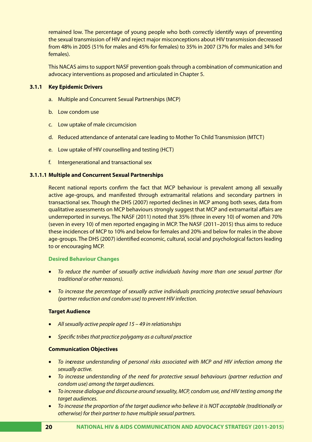remained low. The percentage of young people who both correctly identify ways of preventing the sexual transmission of HIV and reject major misconceptions about HIV transmission decreased from 48% in 2005 (51% for males and 45% for females) to 35% in 2007 (37% for males and 34% for females).

This NACAS aims to support NASF prevention goals through a combination of communication and advocacy interventions as proposed and articulated in Chapter 5.

#### **3.1.1 Key Epidemic Drivers**

- a. Multiple and Concurrent Sexual Partnerships (MCP)
- b. Low condom use
- c. Low uptake of male circumcision
- d. Reduced attendance of antenatal care leading to Mother To Child Transmission (MTCT)
- e. Low uptake of HIV counselling and testing (HCT)
- f. Intergenerational and transactional sex

#### **3.1.1.1 Multiple and Concurrent Sexual Partnerships**

Recent national reports confirm the fact that MCP behaviour is prevalent among all sexually active age-groups, and manifested through extramarital relations and secondary partners in transactional sex. Though the DHS (2007) reported declines in MCP among both sexes, data from qualitative assessments on MCP behaviours strongly suggest that MCP and extramarital affairs are underreported in surveys. The NASF (2011) noted that 35% (three in every 10) of women and 70% (seven in every 10) of men reported engaging in MCP. The NASF (2011–2015) thus aims to reduce these incidences of MCP to 10% and below for females and 20% and below for males in the above age-groups. The DHS (2007) identified economic, cultural, social and psychological factors leading to or encouraging MCP.

#### **Desired Behaviour Changes**

- • *To reduce the number of sexually active individuals having more than one sexual partner (for traditional or other reasons).*
- • *To increase the percentage of sexually active individuals practicing protective sexual behaviours (partner reduction and condom use) to prevent HIV infection.*

#### **Target Audience**

- • *All sexually active people aged 15 49 in relationships*
- • *Specific tribes that practice polygamy as a cultural practice*

#### **Communication Objectives**

- • *To increase understanding of personal risks associated with MCP and HIV infection among the sexually active.*
- • *To increase understanding of the need for protective sexual behaviours (partner reduction and condom use) among the target audiences.*
- • *To increase dialogue and discourse around sexuality, MCP, condom use, and HIV testing among the target audiences.*
- • *To increase the proportion of the target audience who believe it is NOT acceptable (traditionally or otherwise) for their partner to have multiple sexual partners.*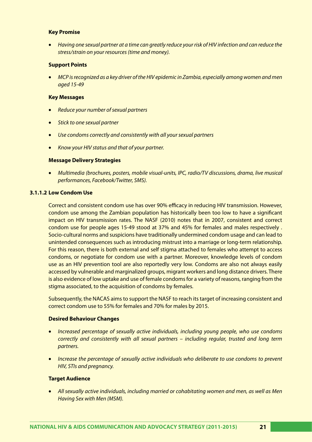#### **Key Promise**

• *Having one sexual partner at a time can greatly reduce your risk of HIV infection and can reduce the stress/strain on your resources (time and money).*

#### **Support Points**

*MCP is recognized as a key driver of the HIV epidemic in Zambia, especially among women and men aged 15-49*

#### **Key Messages**

- • *Reduce your number of sexual partners*
- • *Stick to one sexual partner*
- • *Use condoms correctly and consistently with all your sexual partners*
- • *Know your HIV status and that of your partner.*

#### **Message Delivery Strategies**

• *Multimedia (brochures, posters, mobile visual-units, IPC, radio/TV discussions, drama, live musical performances, Facebook/Twitter, SMS).*

#### **3.1.1.2 Low Condom Use**

Correct and consistent condom use has over 90% efficacy in reducing HIV transmission. However, condom use among the Zambian population has historically been too low to have a significant impact on HIV transmission rates. The NASF (2010) notes that in 2007, consistent and correct condom use for people ages 15-49 stood at 37% and 45% for females and males respectively . Socio-cultural norms and suspicions have traditionally undermined condom usage and can lead to unintended consequences such as introducing mistrust into a marriage or long-term relationship. For this reason, there is both external and self stigma attached to females who attempt to access condoms, or negotiate for condom use with a partner. Moreover, knowledge levels of condom use as an HIV prevention tool are also reportedly very low. Condoms are also not always easily accessed by vulnerable and marginalized groups, migrant workers and long distance drivers. There is also evidence of low uptake and use of female condoms for a variety of reasons, ranging from the stigma associated, to the acquisition of condoms by females.

Subsequently, the NACAS aims to support the NASF to reach its target of increasing consistent and correct condom use to 55% for females and 70% for males by 2015.

#### **Desired Behaviour Changes**

- • *Increased percentage of sexually active individuals, including young people, who use condoms correctly and consistently with all sexual partners – including regular, trusted and long term partners.*
- • *Increase the percentage of sexually active individuals who deliberate to use condoms to prevent HIV, STIs and pregnancy.*

#### **Target Audience**

• *All sexually active individuals, including married or cohabitating women and men, as well as Men Having Sex with Men (MSM).*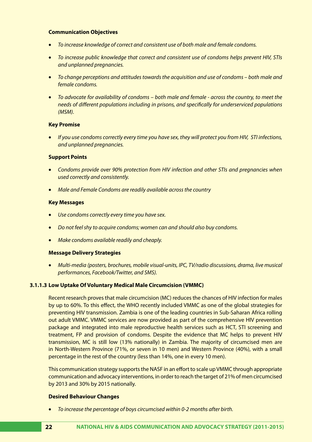#### **Communication Objectives**

- • *To increase knowledge of correct and consistent use of both male and female condoms.*
- • *To increase public knowledge that correct and consistent use of condoms helps prevent HIV, STIs and unplanned pregnancies.*
- To change perceptions and attitudes towards the acquisition and use of condoms both male and *female condoms.*
- To advocate for availability of condoms both male and female across the country, to meet the *needs of different populations including in prisons, and specifically for underserviced populations (MSM).*

#### **Key Promise**

• *If you use condoms correctly every time you have sex, they will protect you from HIV, STI infections, and unplanned pregnancies.*

#### **Support Points**

- • *Condoms provide over 90% protection from HIV infection and other STIs and pregnancies when used correctly and consistently.*
- *Male and Female Condoms are readily available across the country*

#### **Key Messages**

- **Use condoms correctly every time you have sex.**
- Do not feel shy to acquire condoms; women can and should also buy condoms.
- *Make condoms available readily and cheaply.*

#### **Message Delivery Strategies**

• *Multi-media (posters, brochures, mobile visual-units, IPC, TV/radio discussions, drama, live musical performances, Facebook/Twitter, and SMS).*

#### **3.1.1.3 Low Uptake Of Voluntary Medical Male Circumcision (VMMC)**

Recent research proves that male circumcision (MC) reduces the chances of HIV infection for males by up to 60%. To this effect, the WHO recently included VMMC as one of the global strategies for preventing HIV transmission. Zambia is one of the leading countries in Sub-Saharan Africa rolling out adult VMMC. VMMC services are now provided as part of the comprehensive HIV prevention package and integrated into male reproductive health services such as HCT, STI screening and treatment, FP and provision of condoms. Despite the evidence that MC helps to prevent HIV transmission, MC is still low (13% nationally) in Zambia. The majority of circumcised men are in North-Western Province (71%, or seven in 10 men) and Western Province (40%), with a small percentage in the rest of the country (less than 14%, one in every 10 men).

This communication strategy supports the NASF in an effort to scale up VMMC through appropriate communication and advocacy interventions, in order to reach the target of 21% of men circumcised by 2013 and 30% by 2015 nationally.

#### **Desired Behaviour Changes**

To increase the percentage of boys circumcised within 0-2 months after birth.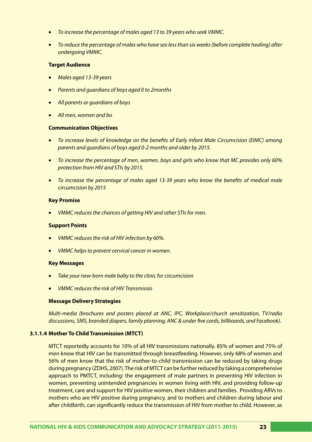- To increase the percentage of males aged 13 to 39 years who seek VMMC.
- To reduce the percentage of males who have sex less than six weeks (before complete healing) after *undergoing VMMC.*

#### **Target Audience**

- • *Males aged 13-39 years*
- • *Parents and guardians of boys aged 0 to 2months*
- • *All parents or guardians of boys*
- • *All men, women and bo*

#### **Communication Objectives**

- To increase levels of knowledge on the benefits of Early Infant Male Circumcision (EIMC) among *parents and guardians of boys aged 0-2 months and older by 2015.*
- • *To increase the percentage of men, women, boys and girls who know that MC provides only 60% protection from HIV and STIs by 2015.*
- • *To increase the percentage of males aged 13-39 years who know the benefits of medical male circumcision by 2015*

#### **Key Promise**

**VMMC reduces the chances of getting HIV and other STIs for men.** 

#### **Support Points**

- • *VMMC reduces the risk of HIV infection by 60%.*
- **VMMC helps to prevent cervical cancer in women.**

#### **Key Messages**

- Take your new-born male baby to the clinic for circumcision
- • *VMMC reduces the risk of HIV Transmissio*

#### **Message Delivery Strategies**

*Multi-media (brochures and posters placed at ANC, IPC, Workplace/church sensitization, TV/radio discussions, SMS, branded diapers, family planning, ANC & under five cards, billboards, and Facebook).*

#### **3.1.1.4 Mother To Child Transmission (MTCT)**

MTCT reportedly accounts for 10% of all HIV transmissions nationally. 85% of women and 75% of men know that HIV can be transmitted through breastfeeding. However, only 68% of women and 56% of men know that the risk of mother-to-child transmission can be reduced by taking drugs during pregnancy (ZDHS, 2007). The risk of MTCT can be further reduced by taking a comprehensive approach to PMTCT, including: the engagement of male partners in preventing HIV infection in women, preventing unintended pregnancies in women living with HIV, and providing follow-up treatment, care and support for HIV positive women, their children and families. Providing ARVs to mothers who are HIV positive during pregnancy, and to mothers and children during labour and after childbirth, can significantly reduce the transmission of HIV from mother to child. However, as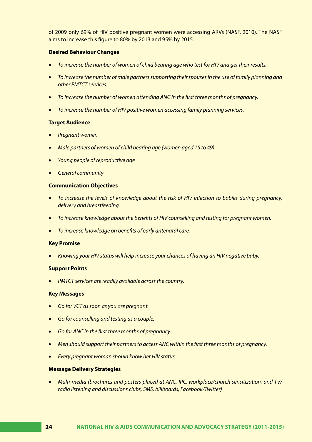of 2009 only 69% of HIV positive pregnant women were accessing ARVs (NASF, 2010). The NASF aims to increase this figure to 80% by 2013 and 95% by 2015.

#### **Desired Behaviour Changes**

- • *To increase the number of women of child bearing age who test for HIV and get their results.*
- To increase the number of male partners supporting their spouses in the use of family planning and *other PMTCT services.*
- • *To increase the number of women attending ANC in the first three months of pregnancy.*
- To increase the number of HIV positive women accessing family planning services.

#### **Target Audience**

- **Pregnant women**
- • *Male partners of women of child bearing age (women aged 15 to 49)*
- • *Young people of reproductive age*
- **General community**

#### **Communication Objectives**

- • *To increase the levels of knowledge about the risk of HIV infection to babies during pregnancy, delivery and breastfeeding.*
- • *To increase knowledge about the benefits of HIV counselling and testing for pregnant women.*
- • *To increase knowledge on benefits of early antenatal care.*

#### **Key Promise**

• *Knowing your HIV status will help increase your chances of having an HIV negative baby.* 

#### **Support Points**

**PMTCT services are readily available across the country.** 

#### **Key Messages**

- *Go for VCT as soon as you are pregnant.*
- • *Go for counselling and testing as a couple.*
- • *Go for ANC in the first three months of pregnancy.*
- • *Men should support their partners to access ANC within the first three months of pregnancy.*
- • *Every pregnant woman should know her HIV status.*

#### **Message Delivery Strategies**

• *Multi-media (brochures and posters placed at ANC, IPC, workplace/church sensitization, and TV/ radio listening and discussions clubs, SMS, billboards, Facebook/Twitter)*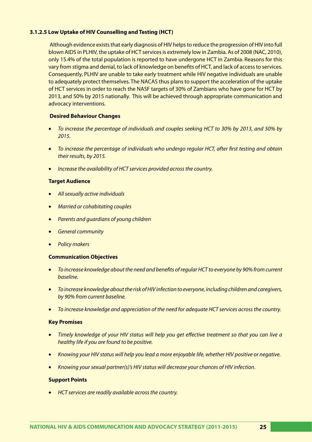#### **3.1.2.5 Low Uptake of HIV Counselling and Testing (HCT)**

Although evidence exists that early diagnosis of HIV helps to reduce the progression of HIV into full blown AIDS in PLHIV, the uptake of HCT services is extremely low in Zambia. As of 2008 (NAC, 2010), only 15.4% of the total population is reported to have undergone HCT in Zambia. Reasons for this vary from stigma and denial, to lack of knowledge on benefits of HCT, and lack of access to services. Consequently, PLHIV are unable to take early treatment while HIV negative individuals are unable to adequately protect themselves. The NACAS thus plans to support the acceleration of the uptake of HCT services in order to reach the NASF targets of 30% of Zambians who have gone for HCT by 2013, and 50% by 2015 nationally. This will be achieved through appropriate communication and advocacy interventions.

#### **Desired Behaviour Changes**

- To increase the percentage of individuals and couples seeking HCT to 30% by 2013, and 50% by *2015.*
- • *To increase the percentage of individuals who undergo regular HCT, after first testing and obtain their results, by 2015.*
- Increase the availability of HCT services provided across the country.

#### **Target Audience**

- • *All sexually active individuals*
- • *Married or cohabitating couples*
- • *Parents and guardians of young children*
- **General community**
- **Policy makers**

#### **Communication Objectives**

- • *To increase knowledge about the need and benefits of regular HCT to everyone by 90% from current baseline.*
- • *To increase knowledge about the risk of HIV infection to everyone, including children and caregivers, by 90% from current baseline.*
- • *To increase knowledge and appreciation of the need for adequate HCT services across the country.*

#### **Key Promises**

- Timely knowledge of your HIV status will help you get effective treatment so that you can live a *healthy life if you are found to be positive.*
- • *Knowing your HIV status will help you lead a more enjoyable life, whether HIV positive or negative.*
- • *Knowing your sexual partner(s)'s HIV status will decrease your chances of HIV infection.*

#### **Support Points**

• *HCT services are readily available across the country.*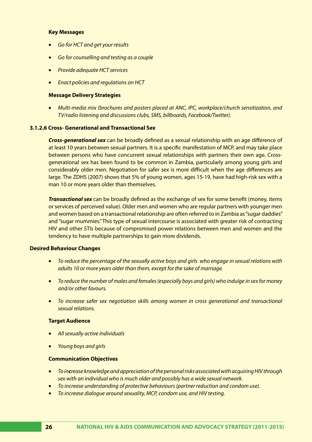#### **Key Messages**

- **Go for HCT and get your results**
- • *Go for counselling and testing as a couple*
- • *Provide adequate HCT services*
- • *Enact policies and regulations on HCT*

#### **Message Delivery Strategies**

• *Multi-media mix (brochures and posters placed at ANC, IPC, workplace/church sensitization, and TV/radio listening and discussions clubs, SMS, billboards, Facebook/Twitter).* 

#### **3.1.2.6 Cross- Generational and Transactional Sex**

*Cross-generational sex* can be broadly defined as a sexual relationship with an age difference of at least 10 years between sexual partners. It is a specific manifestation of MCP, and may take place between persons who have concurrent sexual relationships with partners their own age. Crossgenerational sex has been found to be common in Zambia, particularly among young girls and considerably older men. Negotiation for safer sex is more difficult when the age differences are large. The ZDHS (2007) shows that 5% of young women, ages 15-19, have had high-risk sex with a man 10 or more years older than themselves.

*Transactional sex* can be broadly defined as the exchange of sex for some benefit (money, items or services of perceived value). Older men and women who are regular partners with younger men and women based on a transactional relationship are often referred to in Zambia as "sugar daddies" and "sugar mummies." This type of sexual intercourse is associated with greater risk of contracting HIV and other STIs because of compromised power relations between men and women and the tendency to have multiple partnerships to gain more dividends.

#### **Desired Behaviour Changes**

- • *To reduce the percentage of the sexually active boys and girls who engage in sexual relations with adults 10 or more years older than them, except for the sake of marriage.*
- • *To reduce the number of males and females (especially boys and girls) who indulge in sex for money and/or other favours.*
- To increase safer sex negotiation skills among women in cross generational and transactional *sexual relations.*

#### **Target Audience**

- • *All sexually active individuals*
- • *Young boys and girls*

#### **Communication Objectives**

- • *To increase knowledge and appreciation of the personal risks associated with acquiring HIV through sex with an individual who is much older and possibly has a wide sexual network.*
- • *To increase understanding of protective behaviours (partner reduction and condom use).*
- To increase dialogue around sexuality, MCP, condom use, and HIV testing.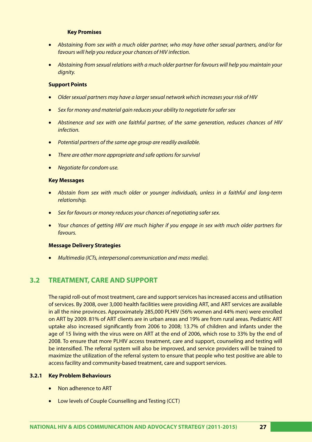#### **Key Promises**

- • *Abstaining from sex with a much older partner, who may have other sexual partners, and/or for favours will help you reduce your chances of HIV infection.*
- • *Abstaining from sexual relations with a much older partner for favours will help you maintain your dignity.*

#### **Support Points**

- • *Older sexual partners may have a larger sexual network which increases your risk of HIV*
- Sex for money and material gain reduces your ability to negotiate for safer sex
- • *Abstinence and sex with one faithful partner, of the same generation, reduces chances of HIV infection.*
- • *Potential partners of the same age group are readily available.*
- There are other more appropriate and safe options for survival
- **Negotiate for condom use.**

#### **Key Messages**

- Abstain from sex with much older or younger individuals, unless in a faithful and long-term *relationship.*
- **•** Sex for favours or money reduces your chances of negotiating safer sex.
- • *Your chances of getting HIV are much higher if you engage in sex with much older partners for favours.*

#### **Message Delivery Strategies**

• *Multimedia (ICTs, interpersonal communication and mass media).*

### **3.2 TREATMENT, CARE AND SUPPORT**

The rapid roll-out of most treatment, care and support services has increased access and utilisation of services. By 2008, over 3,000 health facilities were providing ART, and ART services are available in all the nine provinces. Approximately 285,000 PLHIV (56% women and 44% men) were enrolled on ART by 2009. 81% of ART clients are in urban areas and 19% are from rural areas. Pediatric ART uptake also increased significantly from 2006 to 2008; 13.7% of children and infants under the age of 15 living with the virus were on ART at the end of 2006, which rose to 33% by the end of 2008. To ensure that more PLHIV access treatment, care and support, counseling and testing will be intensified. The referral system will also be improved, and service providers will be trained to maximize the utilization of the referral system to ensure that people who test positive are able to access facility and community-based treatment, care and support services.

#### **3.2.1 Key Problem Behaviours**

- Non adherence to ART
- Low levels of Couple Counselling and Testing (CCT)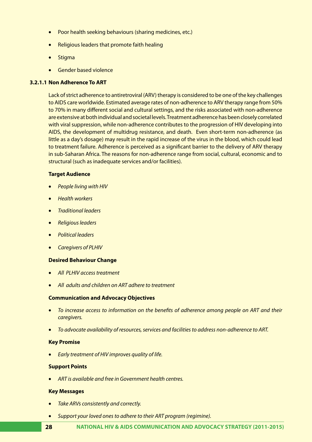- Poor health seeking behaviours (sharing medicines, etc.)
- Religious leaders that promote faith healing
- **Stigma**
- • Gender based violence

#### **3.2.1.1 Non Adherence To ART**

Lack of strict adherence to antiretroviral (ARV) therapy is considered to be one of the key challenges to AIDS care worldwide. Estimated average rates of non-adherence to ARV therapy range from 50% to 70% in many different social and cultural settings, and the risks associated with non-adherence are extensive at both individual and societal levels. Treatment adherence has been closely correlated with viral suppression, while non-adherence contributes to the progression of HIV developing into AIDS, the development of multidrug resistance, and death. Even short-term non-adherence (as little as a day's dosage) may result in the rapid increase of the virus in the blood, which could lead to treatment failure. Adherence is perceived as a significant barrier to the delivery of ARV therapy in sub-Saharan Africa. The reasons for non-adherence range from social, cultural, economic and to structural (such as inadequate services and/or facilities).

#### **Target Audience**

- **People living with HIV**
- • *Health workers*
- • *Traditional leaders*
- • *Religious leaders*
- • *Political leaders*
- • *Caregivers of PLHIV*

#### **Desired Behaviour Change**

- **All PLHIV access treatment**
- • *All adults and children on ART adhere to treatment*

#### **Communication and Advocacy Objectives**

- To increase access to information on the benefits of adherence among people on ART and their *caregivers.*
- • *To advocate availability of resources, services and facilities to address non-adherence to ART.*

#### **Key Promise**

*Early treatment of HIV improves quality of life.* 

#### **Support Points**

ART is *available and free in Government health centres.* 

#### **Key Messages**

- **Take ARVs consistently and correctly.**
- Support your loved ones to adhere to their ART program (regimine).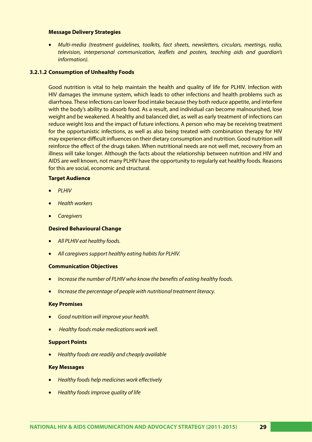#### **Message Delivery Strategies**

• *Multi-media (treatment guidelines, toolkits, fact sheets, newsletters, circulars, meetings, radio, television, interpersonal communication, leaflets and posters, teaching aids and guardian's information).*

#### **3.2.1.2 Consumption of Unhealthy Foods**

Good nutrition is vital to help maintain the health and quality of life for PLHIV. Infection with HIV damages the immune system, which leads to other infections and health problems such as diarrhoea. These infections can lower food intake because they both reduce appetite, and interfere with the body's ability to absorb food. As a result, and individual can become malnourished, lose weight and be weakened. A healthy and balanced diet, as well as early treatment of infections can reduce weight loss and the impact of future infections. A person who may be receiving treatment for the opportunistic infections, as well as also being treated with combination therapy for HIV may experience difficult influences on their dietary consumption and nutrition. Good nutrition will reinforce the effect of the drugs taken. When nutritional needs are not well met, recovery from an illness will take longer. Although the facts about the relationship between nutrition and HIV and AIDS are well known, not many PLHIV have the opportunity to regularly eat healthy foods. Reasons for this are social, economic and structural.

#### **Target Audience**

- • *PLHIV*
- • *Health workers*
- • *Caregivers*

#### **Desired Behavioural Change**

- **All PLHIV eat healthy foods.**
- *All caregivers support healthy eating habits for PLHIV.*

#### **Communication Objectives**

- Increase the number of PLHIV who know the benefits of eating healthy foods.
- **Increase the percentage of people with nutritional treatment literacy.**

#### **Key Promises**

- • *Good nutrition will improve your health.*
- **Healthy foods make medications work well.**

#### **Support Points**

• *Healthy foods are readily and cheaply available* 

#### **Key Messages**

- **Healthy foods help medicines work effectively**
- • *Healthy foods improve quality of life*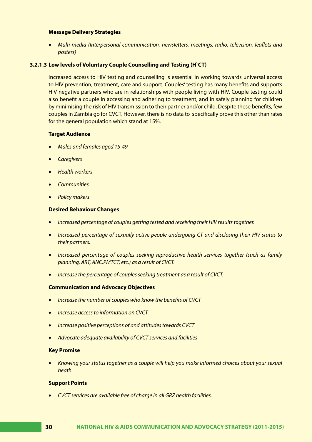#### **Message Delivery Strategies**

• *Multi-media (Interpersonal communication, newsletters, meetings, radio, television, leaflets and posters)*

#### **3.2.1.3 Low levels of Voluntary Couple Counselling and Testing (H`CT)**

Increased access to HIV testing and counselling is essential in working towards universal access to HIV prevention, treatment, care and support. Couples' testing has many benefits and supports HIV negative partners who are in relationships with people living with HIV. Couple testing could also benefit a couple in accessing and adhering to treatment, and in safely planning for children by minimising the risk of HIV transmission to their partner and/or child. Despite these benefits, few couples in Zambia go for CVCT. However, there is no data to specifically prove this other than rates for the general population which stand at 15%.

#### **Target Audience**

- • *Males and females aged 15-49*
- • *Caregivers*
- • *Health workers*
- • *Communities*
- **Policy makers**

#### **Desired Behaviour Changes**

- • *Increased percentage of couples getting tested and receiving their HIV results together.*
- • *Increased percentage of sexually active people undergoing CT and disclosing their HIV status to their partners.*
- • *Increased percentage of couples seeking reproductive health services together (such as family planning, ART, ANC,PMTCT, etc.) as a result of CVCT.*
- **•** Increase the percentage of couples seeking treatment as a result of CVCT.

#### **Communication and Advocacy Objectives**

- **Increase the number of couples who know the benefits of CVCT**
- • *Increase access to information on CVCT*
- *Increase positive perceptions of and attitudes towards CVCT*
- Advocate adequate availability of CVCT services and facilities

#### **Key Promise**

• *Knowing your status together as a couple will help you make informed choices about your sexual heath.* 

#### **Support Points**

• *CVCT services are available free of charge in all GRZ health facilities.*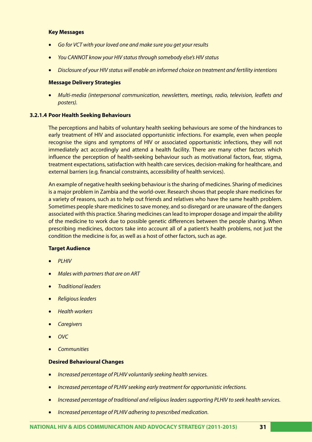#### **Key Messages**

- Go for VCT with your loved one and make sure you get your results
- • *You CANNOT know your HIV status through somebody else's HIV status*
- • *Disclosure of your HIV status will enable an informed choice on treatment and fertility intentions*

#### **Message Delivery Strategies**

• *Multi-media (interpersonal communication, newsletters, meetings, radio, television, leaflets and posters).*

#### **3.2.1.4 Poor Health Seeking Behaviours**

The perceptions and habits of voluntary health seeking behaviours are some of the hindrances to early treatment of HIV and associated opportunistic infections. For example, even when people recognise the signs and symptoms of HIV or associated opportunistic infections, they will not immediately act accordingly and attend a health facility. There are many other factors which influence the perception of health-seeking behaviour such as motivational factors, fear, stigma, treatment expectations, satisfaction with health care services, decision-making for healthcare, and external barriers (e.g. financial constraints, accessibility of health services).

An example of negative health seeking behaviour is the sharing of medicines. Sharing of medicines is a major problem in Zambia and the world-over. Research shows that people share medicines for a variety of reasons, such as to help out friends and relatives who have the same health problem. Sometimes people share medicines to save money, and so disregard or are unaware of the dangers associated with this practice. Sharing medicines can lead to improper dosage and impair the ability of the medicine to work due to possible genetic differences between the people sharing. When prescribing medicines, doctors take into account all of a patient's health problems, not just the condition the medicine is for, as well as a host of other factors, such as age.

#### **Target Audience**

- • *PLHIV*
- **Males with partners that are on ART**
- **Traditional leaders**
- • *Religious leaders*
- • *Health workers*
- • *Caregivers*
- • *OVC*
- • *Communities*

#### **Desired Behavioural Changes**

- **Increased percentage of PLHIV voluntarily seeking health services.**
- • *Increased percentage of PLHIV seeking early treatment for opportunistic infections.*
- • *Increased percentage of traditional and religious leaders supporting PLHIV to seek health services.*
- • *Increased percentage of PLHIV adhering to prescribed medication.*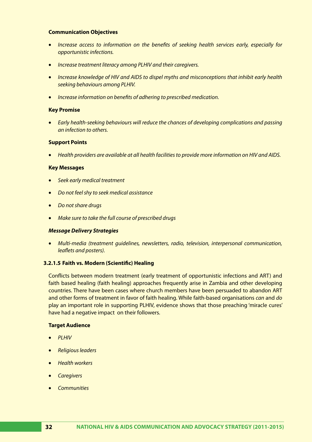#### **Communication Objectives**

- Increase access to information on the benefits of seeking health services early, especially for *opportunistic infections.*
- *Increase treatment literacy among PLHIV and their caregivers.*
- • *Increase knowledge of HIV and AIDS to dispel myths and misconceptions that inhibit early health seeking behaviours among PLHIV.*
- • *Increase information on benefits of adhering to prescribed medication.*

#### **Key Promise**

• *Early health-seeking behaviours will reduce the chances of developing complications and passing an infection to others.*

#### **Support Points**

• *Health providers are available at all health facilities to provide more information on HIV and AIDS.* 

#### **Key Messages**

- **Seek early medical treatment**
- • *Do not feel shy to seek medical assistance*
- • *Do not share drugs*
- • *Make sure to take the full course of prescribed drugs*

#### *Message Delivery Strategies*

• *Multi-media (treatment guidelines, newsletters, radio, television, interpersonal communication, leaflets and posters).*

#### **3.2.1.5 Faith vs. Modern (Scientific) Healing**

Conflicts between modern treatment (early treatment of opportunistic infections and ART) and faith based healing (faith healing) approaches frequently arise in Zambia and other developing countries. There have been cases where church members have been persuaded to abandon ART and other forms of treatment in favor of faith healing. While faith-based organisations *can* and *do* play an important role in supporting PLHIV, evidence shows that those preaching 'miracle cures' have had a negative impact on their followers.

#### **Target Audience**

- • *PLHIV*
- • *Religious leaders*
- • *Health workers*
- • *Caregivers*
- • *Communities*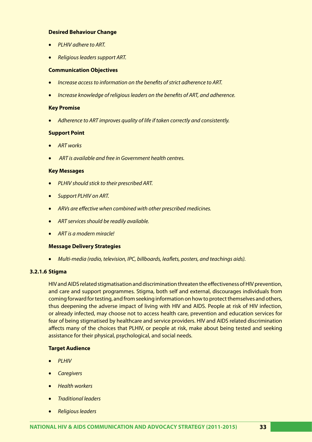# **Desired Behaviour Change**

- • *PLHIV adhere to ART.*
- • *Religious leaders support ART.*

#### **Communication Objectives**

- • *Increase access to information on the benefits of strict adherence to ART.*
- **Increase knowledge of religious leaders on the benefits of ART, and adherence.**

## **Key Promise**

Adherence to ART improves quality of life if taken correctly and consistently.

## **Support Point**

- • *ART works*
- ART is available and free in Government health centres.

#### **Key Messages**

- • *PLHIV should stick to their prescribed ART.*
- • *Support PLHIV on ART.*
- • *ARVs are effective when combined with other prescribed medicines.*
- • *ART services should be readily available.*
- • *ART is a modern miracle!*

## **Message Delivery Strategies**

• *Multi-media (radio, television, IPC, billboards, leaflets, posters, and teachings aids).*

## **3.2.1.6 Stigma**

HIV and AIDS related stigmatisation and discrimination threaten the effectiveness of HIV prevention, and care and support programmes. Stigma, both self and external, discourages individuals from coming forward for testing, and from seeking information on how to protect themselves and others, thus deepening the adverse impact of living with HIV and AIDS. People at risk of HIV infection, or already infected, may choose not to access health care, prevention and education services for fear of being stigmatised by healthcare and service providers. HIV and AIDS related discrimination affects many of the choices that PLHIV, or people at risk, make about being tested and seeking assistance for their physical, psychological, and social needs.

## **Target Audience**

- • *PLHIV*
- • *Caregivers*
- • *Health workers*
- **Traditional leaders**
- • *Religious leaders*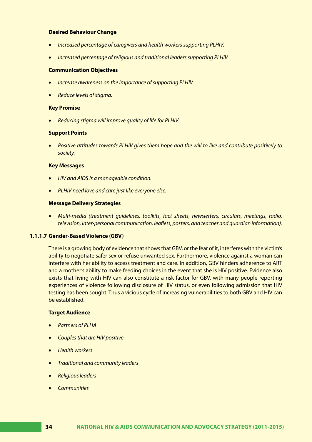## **Desired Behaviour Change**

- **Increased percentage of caregivers and health workers supporting PLHIV.**
- • *Increased percentage of religious and traditional leaders supporting PLHIV.*

#### **Communication Objectives**

- Increase awareness on the importance of supporting PLHIV.
- • *Reduce levels of stigma.*

#### **Key Promise**

**Reducing stigma will improve quality of life for PLHIV.** 

#### **Support Points**

• *Positive attitudes towards PLHIV gives them hope and the will to live and contribute positively to society.*

#### **Key Messages**

- • *HIV and AIDS is a manageable condition.*
- • *PLHIV need love and care just like everyone else.*

## **Message Delivery Strategies**

• *Multi-media (treatment guidelines, toolkits, fact sheets, newsletters, circulars, meetings, radio, television, inter-personal communication, leaflets, posters, and teacher and guardian information).*

#### **1.1.1.7 Gender-Based Violence (GBV)**

There is a growing body of evidence that shows that GBV, or the fear of it, interferes with the victim's ability to negotiate safer sex or refuse unwanted sex. Furthermore, violence against a woman can interfere with her ability to access treatment and care. In addition, GBV hinders adherence to ART and a mother's ability to make feeding choices in the event that she is HIV positive. Evidence also exists that living with HIV can also constitute a risk factor for GBV, with many people reporting experiences of violence following disclosure of HIV status, or even following admission that HIV testing has been sought. Thus a vicious cycle of increasing vulnerabilities to both GBV and HIV can be established.

#### **Target Audience**

- • *Partners of PLHA*
- • *Couples that are HIV positive*
- • *Health workers*
- **Traditional and community leaders**
- • *Religious leaders*
- • *Communities*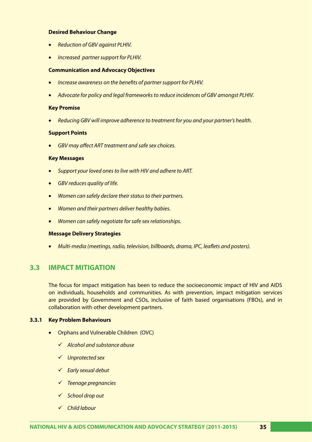#### **Desired Behaviour Change**

- • *Reduction of GBV against PLHIV.*
- • *Increased partner support for PLHIV.*

#### **Communication and Advocacy Objectives**

- *Increase awareness on the benefits of partner support for PLHIV.*
- Advocate for policy and legal frameworks to reduce incidences of GBV amongst PLHIV.

#### **Key Promise**

• *Reducing GBV will improve adherence to treatment for you and your partner's health.* 

#### **Support Points**

**GBV may affect ART treatment and safe sex choices.** 

#### **Key Messages**

- • *Support your loved ones to live with HIV and adhere to ART.*
- • *GBV reduces quality of life.*
- • *Women can safely declare their status to their partners.*
- • *Women and their partners deliver healthy babies.*
- • *Women can safely negotiate for safe sex relationships.*

#### **Message Delivery Strategies**

• *Multi-media (meetings, radio, television, billboards, drama, IPC, leaflets and posters).*

# **3.3 IMPACT MITIGATION**

The focus for impact mitigation has been to reduce the socioeconomic impact of HIV and AIDS on individuals, households and communities. As with prevention, impact mitigation services are provided by Government and CSOs, inclusive of faith based organisations (FBOs), and in collaboration with other development partners.

## **3.3.1 Key Problem Behaviours**

- • Orphans and Vulnerable Children (OVC)
	- *Alcohol and substance abuse*
	- *Unprotected sex*
	- *Early sexual debut*
	- *Teenage pregnancies*
	- *School drop out*
	- *Child labour*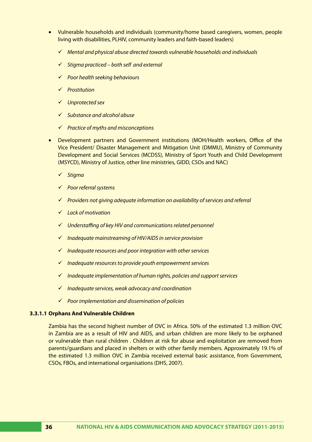- • Vulnerable households and individuals (community/home based caregivers, women, people living with disabilities, PLHIV, community leaders and faith-based leaders)
	- *Mental and physical abuse directed towards vulnerable households and individuals*
	- *Stigma practiced both self and external*
	- *Poor health seeking behaviours*
	- *Prostitution*
	- *Unprotected sex*
	- *Substance and alcohol abuse*
	- *Practice of myths and misconceptions*
- Development partners and Government institutions (MOH/Health workers, Office of the Vice President/ Disaster Management and Mitigation Unit (DMMU), Ministry of Community Development and Social Services (MCDSS), Ministry of Sport Youth and Child Development (MSYCD), Ministry of Justice, other line ministries, GIDD, CSOs and NAC)
	- *Stigma*
	- *Poor referral systems*
	- *Providers not giving adequate information on availability of services and referral*
	- *Lack of motivation*
	- *Understaffing of key HIV and communications related personnel*
	- *Inadequate mainstreaming of HIV/AIDS in service provision*
	- *Inadequate resources and poor integration with other services*
	- *Inadequate resources to provide youth empowerment services*
	- *Inadequate implementation of human rights, policies and support services*
	- *Inadequate services, weak advocacy and coordination*
	- *Poor implementation and dissemination of policies*

## **3.3.1.1 Orphans And Vulnerable Children**

Zambia has the second highest number of OVC in Africa. 50% of the estimated 1.3 million OVC in Zambia are as a result of HIV and AIDS, and urban children are more likely to be orphaned or vulnerable than rural children . Children at risk for abuse and exploitation are removed from parents/guardians and placed in shelters or with other family members. Approximately 19.1% of the estimated 1.3 million OVC in Zambia received external basic assistance, from Government, CSOs, FBOs, and international organisations (DHS, 2007).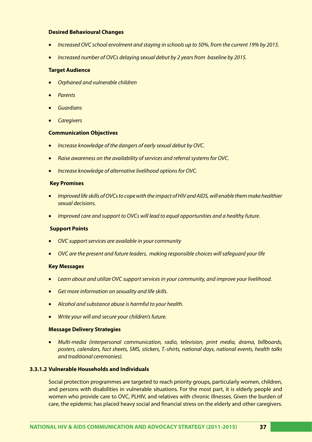## **Desired Behavioural Changes**

- *Increased OVC school enrolment and staying in schools up to 50%, from the current 19% by 2015.*
- **Increased number of OVCs delaying sexual debut by 2 years from baseline by 2015.**

#### **Target Audience**

- • *Orphaned and vulnerable children*
- • *Parents*
- • *Guardians*
- • *Caregivers*

#### **Communication Objectives**

- Increase knowledge of the dangers of early sexual debut by OVC.
- *Raise awareness on the availability of services and referral systems for OVC.*
- **•** *Increase knowledge of alternative livelihood options for OVC.*

#### **Key Promises**

- • *Improved life skills of OVCs to cope with the impact of HIV and AIDS, will enable them make healthier sexual decisions.*
- • *Improved care and support to OVCs will lead to equal opportunities and a healthy future.*

## **Support Points**

- *OVC support services are available in your community*
- • *OVC are the present and future leaders, making responsible choices will safeguard your life*

#### **Key Messages**

- • *Learn about and utilize OVC support services in your community, and improve your livelihood.*
- • *Get more information on sexuality and life skills.*
- • *Alcohol and substance abuse is harmful to your health.*
- • *Write your will and secure your children's future.*

#### **Message Delivery Strategies**

• *Multi-media (interpersonal communication, radio, television, print media, drama, billboards, posters, calendars, fact sheets, SMS, stickers, T.-shirts, national days, national events, health talks and traditional ceremonies).*

# **3.3.1.2 Vulnerable Households and Individuals**

Social protection programmes are targeted to reach priority groups, particularly women, children, and persons with disabilities in vulnerable situations. For the most part, it is elderly people and women who provide care to OVC, PLHIV, and relatives with chronic illnesses. Given the burden of care, the epidemic has placed heavy social and financial stress on the elderly and other caregivers.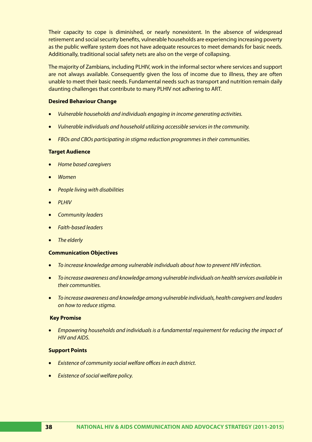Their capacity to cope is diminished, or nearly nonexistent. In the absence of widespread retirement and social security benefits, vulnerable households are experiencing increasing poverty as the public welfare system does not have adequate resources to meet demands for basic needs. Additionally, traditional social safety nets are also on the verge of collapsing.

The majority of Zambians, including PLHIV, work in the informal sector where services and support are not always available. Consequently given the loss of income due to illness, they are often unable to meet their basic needs. Fundamental needs such as transport and nutrition remain daily daunting challenges that contribute to many PLHIV not adhering to ART.

# **Desired Behaviour Change**

- • *Vulnerable households and individuals engaging in income generating activities.*
- • *Vulnerable individuals and household utilizing accessible services in the community.*
- *FBOs and CBOs participating in stigma reduction programmes in their communities.*

## **Target Audience**

- • *Home based caregivers*
- • *Women*
- • *People living with disabilities*
- • *PLHIV*
- **Community leaders**
- • *Faith-based leaders*
- **The elderly**

# **Communication Objectives**

- • *To increase knowledge among vulnerable individuals about how to prevent HIV infection.*
- • *To increase awareness and knowledge among vulnerable individuals on health services available in their communities.*
- • *To increase awareness and knowledge among vulnerable individuals, health caregivers and leaders on how to reduce stigma.*

## **Key Promise**

• *Empowering households and individuals is a fundamental requirement for reducing the impact of HIV and AIDS.*

## **Support Points**

- **Existence of community social welfare offices in each district.**
- • *Existence of social welfare policy.*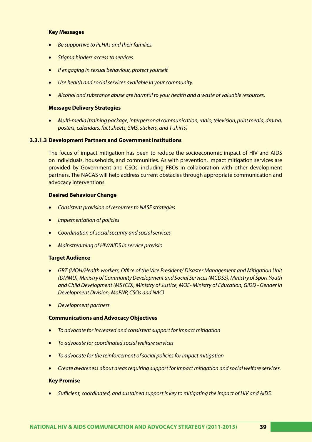#### **Key Messages**

- **Be supportive to PLHAs and their families.**
- **Stigma hinders access to services.**
- • *If engaging in sexual behaviour, protect yourself.*
- • *Use health and social services available in your community.*
- • *Alcohol and substance abuse are harmful to your health and a waste of valuable resources.*

#### **Message Delivery Strategies**

• *Multi-media (training package, interpersonal communication, radio, television, print media, drama, posters, calendars, fact sheets, SMS, stickers, and T-shirts)*

#### **3.3.1.3 Development Partners and Government Institutions**

The focus of impact mitigation has been to reduce the socioeconomic impact of HIV and AIDS on individuals, households, and communities. As with prevention, impact mitigation services are provided by Government and CSOs, including FBOs in collaboration with other development partners. The NACAS will help address current obstacles through appropriate communication and advocacy interventions.

#### **Desired Behaviour Change**

- **Consistent provision of resources to NASF strategies**
- **Implementation of policies**
- • *Coordination of social security and social services*
- • *Mainstreaming of HIV/AIDS in service provisio*

#### **Target Audience**

- • *GRZ (MOH/Health workers, Office of the Vice President/ Disaster Management and Mitigation Unit (DMMU), Ministry of Community Development and Social Services (MCDSS), Ministry of Sport Youth and Child Development (MSYCD), Ministry of Justice, MOE- Ministry of Education, GIDD - Gender In Development Division, MoFNP, CSOs and NAC)*
- • *Development partners*

#### **Communications and Advocacy Objectives**

- • *To advocate for increased and consistent support for impact mitigation*
- • *To advocate for coordinated social welfare services*
- To advocate for the reinforcement of social policies for impact mitigation
- • *Create awareness about areas requiring support for impact mitigation and social welfare services.*

#### **Key Promise**

• *Sufficient, coordinated, and sustained support is key to mitigating the impact of HIV and AIDS.*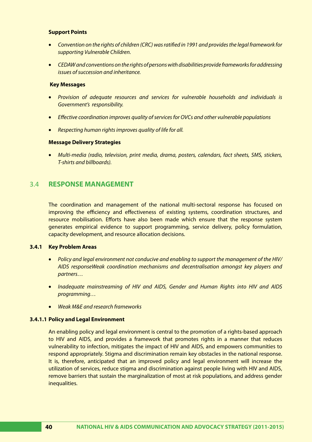# **Support Points**

- • *Convention on the rights of children (CRC) was ratified in 1991 and provides the legal framework for supporting Vulnerable Children.*
- • *CEDAW and conventions on the rights of persons with disabilities provide frameworks for addressing issues of succession and inheritance.*

#### **Key Messages**

- • *Provision of adequate resources and services for vulnerable households and individuals is Government's responsibility.*
- • *Effective coordination improves quality of services for OVCs and other vulnerable populations*
- • *Respecting human rights improves quality of life for all.*

## **Message Delivery Strategies**

• *Multi-media (radio, television, print media, drama, posters, calendars, fact sheets, SMS, stickers, T-shirts and billboards).* 

# 3.4 **RESPONSE MANAGEMENT**

The coordination and management of the national multi-sectoral response has focused on improving the efficiency and effectiveness of existing systems, coordination structures, and resource mobilisation. Efforts have also been made which ensure that the response system generates empirical evidence to support programming, service delivery, policy formulation, capacity development, and resource allocation decisions.

## **3.4.1 Key Problem Areas**

- • *Policy and legal environment not conducive and enabling to support the management of the HIV/ AIDS responseWeak coordination mechanisms and decentralisation amongst key players and partners…*
- Inadequate mainstreaming of HIV and AIDS, Gender and Human Rights into HIV and AIDS *programming…*
- • *Weak M&E and research frameworks*

## **3.4.1.1 Policy and Legal Environment**

An enabling policy and legal environment is central to the promotion of a rights-based approach to HIV and AIDS, and provides a framework that promotes rights in a manner that reduces vulnerability to infection, mitigates the impact of HIV and AIDS, and empowers communities to respond appropriately. Stigma and discrimination remain key obstacles in the national response. It is, therefore, anticipated that an improved policy and legal environment will increase the utilization of services, reduce stigma and discrimination against people living with HIV and AIDS, remove barriers that sustain the marginalization of most at risk populations, and address gender inequalities.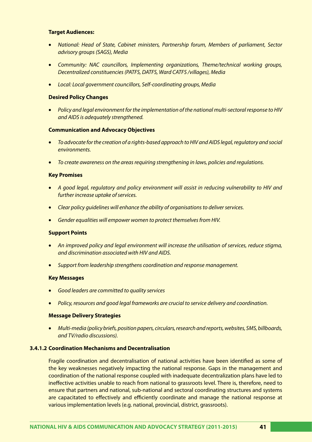## **Target Audiences:**

- • *National: Head of State, Cabinet ministers, Partnership forum, Members of parliament, Sector advisory groups (SAGS), Media*
- • *Community: NAC councillors, Implementing organizations, Theme/technical working groups, Decentralized constituencies (PATFS, DATFS, Ward CATFS /villages), Media*
- • *Local: Local government councillors, Self-coordinating groups, Media*

## **Desired Policy Changes**

• *Policy and legal environment for the implementation of the national multi-sectoral response to HIV and AIDS is adequately strengthened.* 

#### **Communication and Advocacy Objectives**

- • *To advocate for the creation of a rights-based approach to HIV and AIDS legal, regulatory and social environments.*
- • *To create awareness on the areas requiring strengthening in laws, policies and regulations.*

#### **Key Promises**

- • *A good legal, regulatory and policy environment will assist in reducing vulnerability to HIV and further increase uptake of services.*
- • *Clear policy guidelines will enhance the ability of organisations to deliver services.*
- Gender equalities will empower women to protect themselves from HIV.

#### **Support Points**

- An improved policy and legal environment will increase the utilisation of services, reduce stigma, *and discrimination associated with HIV and AIDS.*
- **Support from leadership strengthens coordination and response management.**

#### **Key Messages**

- • *Good leaders are committed to quality services*
- • *Policy, resources and good legal frameworks are crucial to service delivery and coordination.*

#### **Message Delivery Strategies**

• *Multi-media (policy briefs, position papers, circulars, research and reports, websites, SMS, billboards, and TV/radio discussions).*

# **3.4.1.2 Coordination Mechanisms and Decentralisation**

Fragile coordination and decentralisation of national activities have been identified as some of the key weaknesses negatively impacting the national response. Gaps in the management and coordination of the national response coupled with inadequate decentralization plans have led to ineffective activities unable to reach from national to grassroots level. There is, therefore, need to ensure that partners and national, sub-national and sectoral coordinating structures and systems are capacitated to effectively and efficiently coordinate and manage the national response at various implementation levels (e.g. national, provincial, district, grassroots).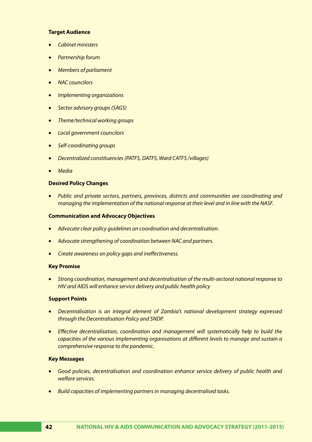# **Target Audience**

- • *Cabinet ministers*
- **Partnership forum**
- • *Members of parliament*
- • *NAC councilors*
- • *Implementing organizations*
- • *Sector advisory groups (SAGS)*
- • *Theme/technical working groups*
- • *Local government councilors*
- **Self-coordinating groups**
- • *Decentralized constituencies (PATFS, DATFS, Ward CATFS /villages)*
- • *Media*

# **Desired Policy Changes**

• *Public and private sectors, partners, provinces, districts and communities are coordinating and managing the implementation of the national response at their level and in line with the NASF.*

## **Communication and Advocacy Objectives**

- Advocate clear policy guidelines on coordination and decentralisation.
- Advocate strengthening of coordination between NAC and partners.
- • *Create awareness on policy gaps and ineffectiveness.*

## **Key Promise**

• *Strong coordination, management and decentralisation of the multi-sectoral national response to HIV and AIDS will enhance service delivery and public health policy*

## **Support Points**

- • *Decentralisation is an integral element of Zambia's national development strategy expressed through the Decentralisation Policy and SNDP.*
- • *Effective decentralisation, coordination and management will systematically help to build the capacities of the various implementing organisations at different levels to manage and sustain a comprehensive response to the pandemic.*

# **Key Messages**

- • *Good policies, decentralisation and coordination enhance service delivery of public health and welfare services.*
- *Build capacities of implementing partners in managing decentralised tasks.*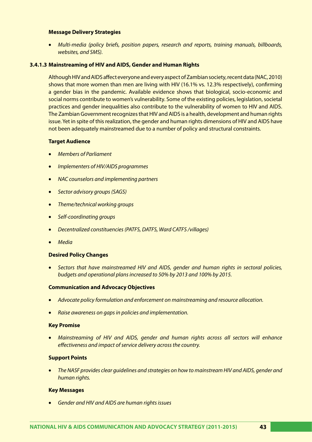#### **Message Delivery Strategies**

• *Multi-media (policy briefs, position papers, research and reports, training manuals, billboards, websites, and SMS).*

## **3.4.1.3 Mainstreaming of HIV and AIDS, Gender and Human Rights**

Although HIV and AIDS affect everyone and every aspect of Zambian society, recent data (NAC, 2010) shows that more women than men are living with HIV (16.1% vs. 12.3% respectively), confirming a gender bias in the pandemic. Available evidence shows that biological, socio-economic and social norms contribute to women's vulnerability. Some of the existing policies, legislation, societal practices and gender inequalities also contribute to the vulnerability of women to HIV and AIDS. The Zambian Government recognizes that HIV and AIDS is a health, development and human rights issue. Yet in spite of this realization, the gender and human rights dimensions of HIV and AIDS have not been adequately mainstreamed due to a number of policy and structural constraints.

#### **Target Audience**

- • *Members of Parliament*
- • *Implementers of HIV/AIDS programmes*
- • *NAC counselors and implementing partners*
- • *Sector advisory groups (SAGS)*
- • *Theme/technical working groups*
- • *Self-coordinating groups*
- • *Decentralized constituencies (PATFS, DATFS, Ward CATFS /villages)*
- • *Media*

#### **Desired Policy Changes**

Sectors that have mainstreamed HIV and AIDS, gender and human rights in sectoral policies, *budgets and operational plans increased to 50% by 2013 and 100% by 2015.* 

#### **Communication and Advocacy Objectives**

- • *Advocate policy formulation and enforcement on mainstreaming and resource allocation.*
- • *Raise awareness on gaps in policies and implementation.*

#### **Key Promise**

• *Mainstreaming of HIV and AIDS, gender and human rights across all sectors will enhance effectiveness and impact of service delivery across the country.* 

#### **Support Points**

The NASF provides clear guidelines and strategies on how to mainstream HIV and AIDS, gender and *human rights.*

#### **Key Messages**

• *Gender and HIV and AIDS are human rights issues*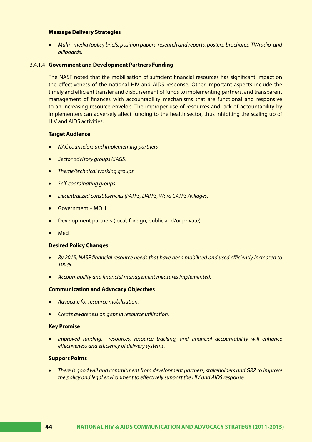#### **Message Delivery Strategies**

• *Multi--media (policy briefs, position papers, research and reports, posters, brochures, TV/radio, and billboards)*

#### 3.4.1.4 **Government and Development Partners Funding**

The NASF noted that the mobilisation of sufficient financial resources has significant impact on the effectiveness of the national HIV and AIDS response. Other important aspects include the timely and efficient transfer and disbursement of funds to implementing partners, and transparent management of finances with accountability mechanisms that are functional and responsive to an increasing resource envelop. The improper use of resources and lack of accountability by implementers can adversely affect funding to the health sector, thus inhibiting the scaling up of HIV and AIDS activities.

#### **Target Audience**

- • *NAC counselors and implementing partners*
- • *Sector advisory groups (SAGS)*
- *Theme/technical working groups*
- • *Self-coordinating groups*
- • *Decentralized constituencies (PATFS, DATFS, Ward CATFS /villages)*
- Government MOH
- Development partners (local, foreign, public and/or private)
- **Med**

#### **Desired Policy Changes**

- • *By 2015, NASF financial resource needs that have been mobilised and used efficiently increased to 100%.*
- • *Accountability and financial management measures implemented.*

#### **Communication and Advocacy Objectives**

- • *Advocate for resource mobilisation.*
- • *Create awareness on gaps in resource utilisation.*

#### **Key Promise**

• *Improved funding, resources, resource tracking, and financial accountability will enhance effectiveness and efficiency of delivery systems.* 

## **Support Points**

• *There is good will and commitment from development partners, stakeholders and GRZ to improve the policy and legal environment to effectively support the HIV and AIDS response.*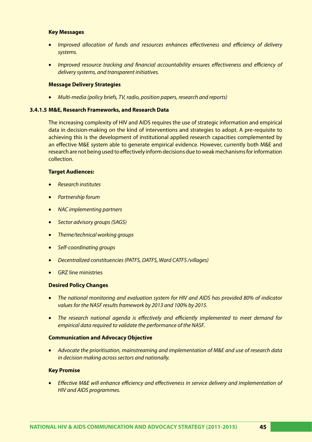## **Key Messages**

- Improved allocation of funds and resources enhances effectiveness and efficiency of delivery *systems.*
- Improved resource tracking and financial accountability ensures effectiveness and efficiency of *delivery systems, and transparent initiatives.*

#### **Message Delivery Strategies**

• *Multi-media (policy briefs, TV, radio, position papers, research and reports)*

#### **3.4.1.5 M&E, Research Frameworks, and Research Data**

The increasing complexity of HIV and AIDS requires the use of strategic information and empirical data in decision-making on the kind of interventions and strategies to adopt. A pre-requisite to achieving this is the development of institutional applied research capacities complemented by an effective M&E system able to generate empirical evidence. However, currently both M&E and research are not being used to effectively inform decisions due to weak mechanisms for information collection.

#### **Target Audiences:**

- • *Research institutes*
- **Partnership forum**
- • *NAC implementing partners*
- • *Sector advisory groups (SAGS)*
- • *Theme/technical working groups*
- • *Self-coordinating groups*
- • *Decentralized constituencies (PATFS, DATFS, Ward CATFS /villages)*
- **GRZ** line ministries

## **Desired Policy Changes**

- • *The national monitoring and evaluation system for HIV and AIDS has provided 80% of indicator values for the NASF results framework by 2013 and 100% by 2015.*
- • *The research national agenda is effectively and efficiently implemented to meet demand for empirical data required to validate the performance of the NASF.*

## **Communication and Advocacy Objective**

• *Advocate the prioritisation, mainstreaming and implementation of M&E and use of research data in decision making across sectors and nationally.* 

# **Key Promise**

• *Effective M&E will enhance efficiency and effectiveness in service delivery and implementation of HIV and AIDS programmes.*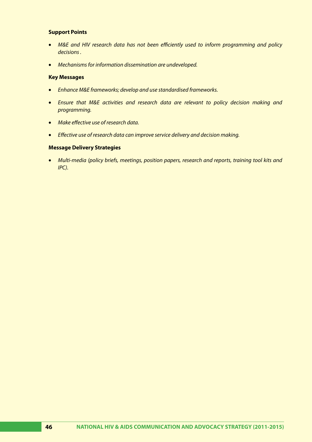# **Support Points**

- M&E and HIV research data has not been efficiently used to inform programming and policy *decisions .*
- • *Mechanisms for information dissemination are undeveloped.*

## **Key Messages**

- • *Enhance M&E frameworks; develop and use standardised frameworks.*
- • *Ensure that M&E activities and research data are relevant to policy decision making and programming.*
- • *Make effective use of research data.*
- • *Effective use of research data can improve service delivery and decision making.*

## **Message Delivery Strategies**

• *Multi-media (policy briefs, meetings, position papers, research and reports, training tool kits and IPC).*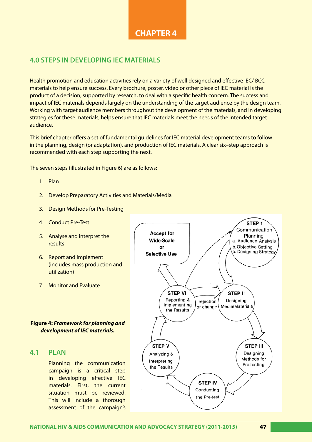# **CHAPTER 4**

# **4.0 STEPS IN DEVELOPING IEC MATERIALS**

Health promotion and education activities rely on a variety of well designed and effective IEC/ BCC materials to help ensure success. Every brochure, poster, video or other piece of IEC material is the product of a decision, supported by research, to deal with a specific health concern. The success and impact of IEC materials depends largely on the understanding of the target audience by the design team. Working with target audience members throughout the development of the materials, and in developing strategies for these materials, helps ensure that IEC materials meet the needs of the intended target audience.

This brief chapter offers a set of fundamental guidelines for IEC material development teams to follow in the planning, design (or adaptation), and production of IEC materials. A clear six–step approach is recommended with each step supporting the next.

The seven steps (illustrated in Figure 6) are as follows:

- 1. Plan
- 2. Develop Preparatory Activities and Materials/Media
- 3. Design Methods for Pre-Testing
- 4. Conduct Pre-Test
- 5. Analyse and interpret the results
- 6. Report and Implement (includes mass production and utilization)
- 7. Monitor and Evaluate

# **Figure 4:** *Framework for planning and development of IEC materials.*

# **4.1 PLAN**

Planning the communication campaign is a critical step in developing effective IEC materials. First, the current situation must be reviewed. This will include a thorough assessment of the campaign's

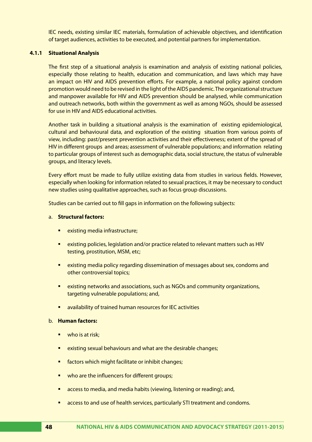IEC needs, existing similar IEC materials, formulation of achievable objectives, and identification of target audiences, activities to be executed, and potential partners for implementation.

# **4.1.1 Situational Analysis**

The first step of a situational analysis is examination and analysis of existing national policies, especially those relating to health, education and communication, and laws which may have an impact on HIV and AIDS prevention efforts. For example, a national policy against condom promotion would need to be revised in the light of the AIDS pandemic. The organizational structure and manpower available for HIV and AIDS prevention should be analysed, while communication and outreach networks, both within the government as well as among NGOs, should be assessed for use in HIV and AIDS educational activities.

Another task in building a situational analysis is the examination of existing epidemiological, cultural and behavioural data, and exploration of the existing situation from various points of view, including: past/present prevention activities and their effectiveness; extent of the spread of HIV in different groups and areas; assessment of vulnerable populations; and information relating to particular groups of interest such as demographic data, social structure, the status of vulnerable groups, and literacy levels.

Every effort must be made to fully utilize existing data from studies in various fields. However, especially when looking for information related to sexual practices, it may be necessary to conduct new studies using qualitative approaches, such as focus group discussions.

Studies can be carried out to fill gaps in information on the following subjects:

#### a. **Structural factors:**

- existing media infrastructure;
- existing policies, legislation and/or practice related to relevant matters such as HIV testing, prostitution, MSM, etc;
- existing media policy regarding dissemination of messages about sex, condoms and other controversial topics;
- existing networks and associations, such as NGOs and community organizations, targeting vulnerable populations; and,
- availability of trained human resources for IEC activities

#### b. **Human factors:**

- $\blacksquare$  who is at risk;
- **EXIM** existing sexual behaviours and what are the desirable changes;
- factors which might facilitate or inhibit changes;
- who are the influencers for different groups;
- access to media, and media habits (viewing, listening or reading); and,
- access to and use of health services, particularly STI treatment and condoms.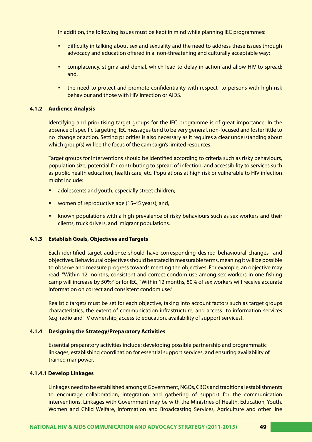In addition, the following issues must be kept in mind while planning IEC programmes:

- difficulty in talking about sex and sexuality and the need to address these issues through advocacy and education offered in a non-threatening and culturally acceptable way;
- **Examplacency, stigma and denial, which lead to delay in action and allow HIV to spread;** and,
- **•** the need to protect and promote confidentiality with respect to persons with high-risk behaviour and those with HIV infection or AIDS.

# **4.1.2 Audience Analysis**

Identifying and prioritising target groups for the IEC programme is of great importance. In the absence of specific targeting, IEC messages tend to be very general, non-focused and foster little to no change or action. Setting priorities is also necessary as it requires a clear understanding about which group(s) will be the focus of the campaign's limited resources.

Target groups for interventions should be identified according to criteria such as risky behaviours, population size, potential for contributing to spread of infection, and accessibility to services such as public health education, health care, etc. Populations at high risk or vulnerable to HIV infection might include:

- adolescents and youth, especially street children;
- women of reproductive age (15-45 years); and,
- **EXED** known populations with a high prevalence of risky behaviours such as sex workers and their clients, truck drivers, and migrant populations.

# **4.1.3 Establish Goals, Objectives and Targets**

Each identified target audience should have corresponding desired behavioural changes and objectives. Behavioural objectives should be stated in measurable terms, meaning it will be possible to observe and measure progress towards meeting the objectives. For example, an objective may read: "Within 12 months, consistent and correct condom use among sex workers in one fishing camp will increase by 50%;" or for IEC, "Within 12 months, 80% of sex workers will receive accurate information on correct and consistent condom use."

Realistic targets must be set for each objective, taking into account factors such as target groups characteristics, the extent of communication infrastructure, and access to information services (e.g. radio and TV ownership, access to education, availability of support services).

## **4.1.4 Designing the Strategy/Preparatory Activities**

Essential preparatory activities include: developing possible partnership and programmatic linkages, establishing coordination for essential support services, and ensuring availability of trained manpower.

## **4.1.4.1 Develop Linkages**

Linkages need to be established amongst Government, NGOs, CBOs and traditional establishments to encourage collaboration, integration and gathering of support for the communication interventions. Linkages with Government may be with the Ministries of Health, Education, Youth, Women and Child Welfare, Information and Broadcasting Services, Agriculture and other line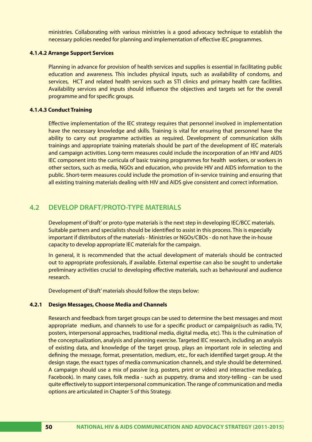ministries. Collaborating with various ministries is a good advocacy technique to establish the necessary policies needed for planning and implementation of effective IEC programmes.

#### **4.1.4.2 Arrange Support Services**

Planning in advance for provision of health services and supplies is essential in facilitating public education and awareness. This includes physical inputs, such as availability of condoms, and services, HCT and related health services such as STI clinics and primary health care facilities. Availability services and inputs should influence the objectives and targets set for the overall programme and for specific groups.

#### **4.1.4.3 Conduct Training**

Effective implementation of the IEC strategy requires that personnel involved in implementation have the necessary knowledge and skills. Training is vital for ensuring that personnel have the ability to carry out programme activities as required. Development of communication skills trainings and appropriate training materials should be part of the development of IEC materials and campaign activities. Long-term measures could include the incorporation of an HIV and AIDS IEC component into the curricula of basic training programmes for health workers, or workers in other sectors, such as media, NGOs and education, who provide HIV and AIDS information to the public. Short-term measures could include the promotion of in-service training and ensuring that all existing training materials dealing with HIV and AIDS give consistent and correct information.

# **4.2 DEVELOP DRAFT/PROTO-TYPE MATERIALS**

Development of 'draft' or proto-type materials is the next step in developing IEC/BCC materials. Suitable partners and specialists should be identified to assist in this process. This is especially important if distributors of the materials - Ministries or NGOs/CBOs - do not have the in-house capacity to develop appropriate IEC materials for the campaign.

In general, it is recommended that the actual development of materials should be contracted out to appropriate professionals, if available. External expertise can also be sought to undertake preliminary activities crucial to developing effective materials, such as behavioural and audience research.

Development of 'draft' materials should follow the steps below:

#### **4.2.1 Design Messages, Choose Media and Channels**

Research and feedback from target groups can be used to determine the best messages and most appropriate medium, and channels to use for a specific product or campaign(such as radio, TV, posters, interpersonal approaches, traditional media, digital media, etc). This is the culmination of the conceptualization, analysis and planning exercise. Targeted IEC research, including an analysis of existing data, and knowledge of the target group, plays an important role in selecting and defining the message, format, presentation, medium, etc., for each identified target group. At the design stage, the exact types of media communication channels, and style should be determined. A campaign should use a mix of passive (e.g. posters, print or video) and interactive media(e.g. Facebook). In many cases, folk media - such as puppetry, drama and story-telling - can be used quite effectively to support interpersonal communication. The range of communication and media options are articulated in Chapter 5 of this Strategy.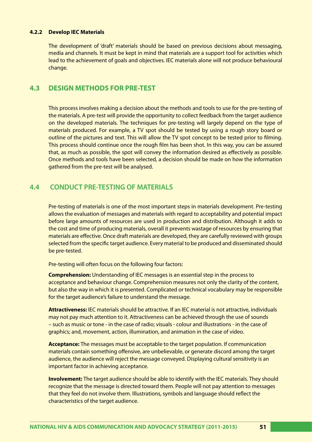# **4.2.2 Develop IEC Materials**

The development of 'draft' materials should be based on previous decisions about messaging, media and channels. It must be kept in mind that materials are a support tool for activities which lead to the achievement of goals and objectives. IEC materials alone will not produce behavioural change.

# **4.3 DESIGN METHODS FOR PRE-TEST**

This process involves making a decision about the methods and tools to use for the pre-testing of the materials. A pre-test will provide the opportunity to collect feedback from the target audience on the developed materials. The techniques for pre-testing will largely depend on the type of materials produced. For example, a TV spot should be tested by using a rough story board or outline of the pictures and text. This will allow the TV spot concept to be tested prior to filming. This process should continue once the rough film has been shot. In this way, you can be assured that, as much as possible, the spot will convey the information desired as effectively as possible. Once methods and tools have been selected, a decision should be made on how the information gathered from the pre-test will be analysed.

# **4.4 CONDUCT PRE-TESTING OF MATERIALS**

Pre-testing of materials is one of the most important steps in materials development. Pre-testing allows the evaluation of messages and materials with regard to acceptability and potential impact before large amounts of resources are used in production and distribution. Although it adds to the cost and time of producing materials, overall it prevents wastage of resources by ensuring that materials are effective. Once draft materials are developed, they are carefully reviewed with groups selected from the specific target audience. Every material to be produced and disseminated should be pre-tested.

Pre-testing will often focus on the following four factors:

**Comprehension:** Understanding of IEC messages is an essential step in the process to acceptance and behaviour change. Comprehension measures not only the clarity of the content, but also the way in which it is presented. Complicated or technical vocabulary may be responsible for the target audience's failure to understand the message.

**Attractiveness:** IEC materials should be attractive. If an IEC material is not attractive, individuals may not pay much attention to it. Attractiveness can be achieved through the use of sounds – such as music or tone - in the case of radio; visuals - colour and illustrations - in the case of graphics; and, movement, action, illumination, and animation in the case of video.

**Acceptance:** The messages must be acceptable to the target population. If communication materials contain something offensive, are unbelievable, or generate discord among the target audience, the audience will reject the message conveyed. Displaying cultural sensitivity is an important factor in achieving acceptance.

**Involvement:** The target audience should be able to identify with the IEC materials. They should recognize that the message is directed toward them. People will not pay attention to messages that they feel do not involve them. Illustrations, symbols and language should reflect the characteristics of the target audience.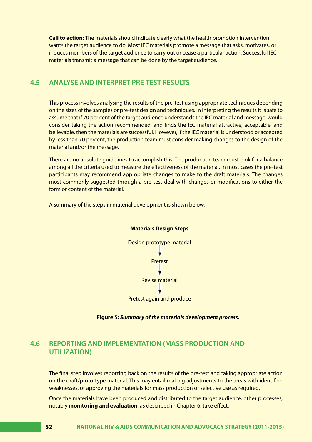**Call to action:** The materials should indicate clearly what the health promotion intervention wants the target audience to do. Most IEC materials promote a message that asks, motivates, or induces members of the target audience to carry out or cease a particular action. Successful IEC materials transmit a message that can be done by the target audience.

# **4.5 ANALYSE AND INTERPRET PRE-TEST RESULTS**

This process involves analysing the results of the pre-test using appropriate techniques depending on the sizes of the samples or pre-test design and techniques. In interpreting the results it is safe to assume that if 70 per cent of the target audience understands the IEC material and message, would consider taking the action recommended, and finds the IEC material attractive, acceptable, and believable, then the materials are successful. However, if the IEC material is understood or accepted by less than 70 percent, the production team must consider making changes to the design of the material and/or the message.

There are no absolute guidelines to accomplish this. The production team must look for a balance among all the criteria used to measure the effectiveness of the material. In most cases the pre-test participants may recommend appropriate changes to make to the draft materials. The changes most commonly suggested through a pre-test deal with changes or modifications to either the form or content of the material.

A summary of the steps in material development is shown below:



 **Figure 5:** *Summary of the materials development process.*

# **4.6 REPORTING AND IMPLEMENTATION (MASS PRODUCTION AND UTILIZATION)**

The final step involves reporting back on the results of the pre-test and taking appropriate action on the draft/proto-type material. This may entail making adjustments to the areas with identified weaknesses, or approving the materials for mass production or selective use as required.

Once the materials have been produced and distributed to the target audience, other processes, notably **monitoring and evaluation**, as described in Chapter 6, take effect.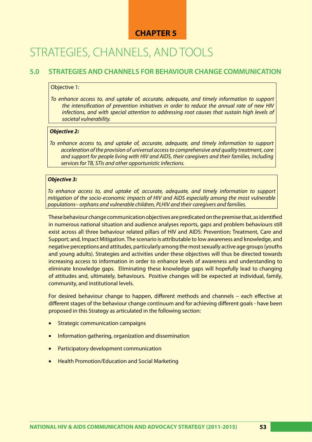# **CHAPTER 5**

# STRATEGIES, CHANNELS, AND TOOLS

# **5.0 STRATEGIES AND CHANNELS FOR BEHAVIOUR CHANGE COMMUNICATION**

# Objective 1:

*To enhance access to, and uptake of, accurate, adequate, and timely information to support the intensification of prevention initiatives in order to reduce the annual rate of new HIV infections, and with special attention to addressing root causes that sustain high levels of societal vulnerability.*

# *Objective 2:*

*To enhance access to, and uptake of, accurate, adequate, and timely information to support acceleration of the provision of universal access to comprehensive and quality treatment, care and support for people living with HIV and AIDS, their caregivers and their families, including services for TB, STIs and other opportunistic infections.*

# *Objective 3:*

*To enhance access to, and uptake of, accurate, adequate, and timely information to support mitigation of the socio-economic impacts of HIV and AIDS especially among the most vulnerable populations– orphans and vulnerable children, PLHIV and their caregivers and families.*

These behaviour change communication objectives are predicated on the premise that, as identified in numerous national situation and audience analyses reports, gaps and problem behaviours still exist across all three behaviour related pillars of HIV and AIDS: Prevention; Treatment, Care and Support; and, Impact Mitigation. The scenario is attributable to low awareness and knowledge, and negative perceptions and attitudes, particularly among the most sexually active age groups (youths and young adults). Strategies and activities under these objectives will thus be directed towards increasing access to information in order to enhance levels of awareness and understanding to eliminate knowledge gaps. Eliminating these knowledge gaps will hopefully lead to changing of attitudes and, ultimately, behaviours. Positive changes will be expected at individual, family, community, and institutional levels.

For desired behaviour change to happen, different methods and channels – each effective at different stages of the behaviour change continuum and for achieving different goals - have been proposed in this Strategy as articulated in the following section:

- **Strategic communication campaigns**
- Information gathering, organization and dissemination
- Participatory development communication
- **Health Promotion/Education and Social Marketing**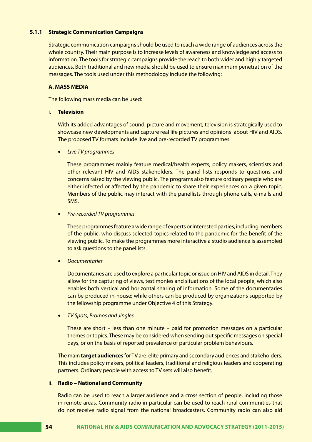# **5.1.1 Strategic Communication Campaigns**

Strategic communication campaigns should be used to reach a wide range of audiences across the whole country. Their main purpose is to increase levels of awareness and knowledge and access to information. The tools for strategic campaigns provide the reach to both wider and highly targeted audiences. Both traditional and new media should be used to ensure maximum penetration of the messages. The tools used under this methodology include the following:

# **A. MASS MEDIA**

The following mass media can be used:

# i. **Television**

With its added advantages of sound, picture and movement, television is strategically used to showcase new developments and capture real life pictures and opinions about HIV and AIDS. The proposed TV formats include live and pre-recorded TV programmes.

**Live TV programmes** 

These programmes mainly feature medical/health experts, policy makers, scientists and other relevant HIV and AIDS stakeholders. The panel lists responds to questions and concerns raised by the viewing public. The programs also feature ordinary people who are either infected or affected by the pandemic to share their experiences on a given topic. Members of the public may interact with the panellists through phone calls, e-mails and SMS.

**Pre-recorded TV programmes** 

These programmes feature a wide range of experts or interested parties, including members of the public, who discuss selected topics related to the pandemic for the benefit of the viewing public. To make the programmes more interactive a studio audience is assembled to ask questions to the panellists.

• *Documentaries*

Documentaries are used to explore a particular topic or issue on HIV and AIDS in detail. They allow for the capturing of views, testimonies and situations of the local people, which also enables both vertical and horizontal sharing of information. Some of the documentaries can be produced in-house; while others can be produced by organizations supported by the fellowship programme under Objective 4 of this Strategy.

• *TV Spots, Promos and Jingles*

These are short – less than one minute – paid for promotion messages on a particular themes or topics. These may be considered when sending out specific messages on special days, or on the basis of reported prevalence of particular problem behaviours.

The main **target audiences** for TV are: elite primary and secondary audiences and stakeholders. This includes policy makers, political leaders, traditional and religious leaders and cooperating partners. Ordinary people with access to TV sets will also benefit.

## ii. **Radio – National and Community**

Radio can be used to reach a larger audience and a cross section of people, including those in remote areas. Community radio in particular can be used to reach rural communities that do not receive radio signal from the national broadcasters. Community radio can also aid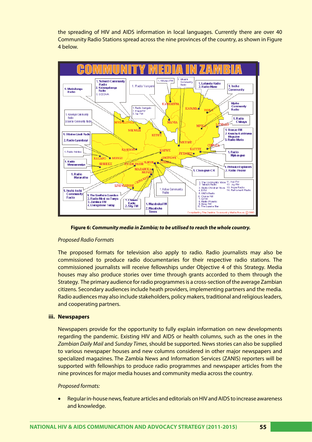the spreading of HIV and AIDS information in local languages. Currently there are over 40 Community Radio Stations spread across the nine provinces of the country, as shown in Figure 4 below.



**Figure 6:** *Community media in Zambia; to be utilised to reach the whole country.*

# *Proposed Radio Formats*

The proposed formats for television also apply to radio. Radio journalists may also be commissioned to produce radio documentaries for their respective radio stations. The commissioned journalists will receive fellowships under Objective 4 of this Strategy. Media houses may also produce stories over time through grants accorded to them through the Strategy. The primary audience for radio programmes is a cross-section of the average Zambian citizens. Secondary audiences include heath providers, implementing partners and the media. Radio audiences may also include stakeholders, policy makers, traditional and religious leaders, and cooperating partners.

# **iii. Newspapers**

Newspapers provide for the opportunity to fully explain information on new developments regarding the pandemic. Existing HIV and AIDS or health columns, such as the ones in the *Zambian Daily Mail* and *Sunday Times*, should be supported. News stories can also be supplied to various newspaper houses and new columns considered in other major newspapers and specialized magazines. The Zambia News and Information Services (ZANIS) reporters will be supported with fellowships to produce radio programmes and newspaper articles from the nine provinces for major media houses and community media across the country.

## *Proposed formats:*

Regular in-house news, feature articles and editorials on HIV and AIDS to increase awareness and knowledge.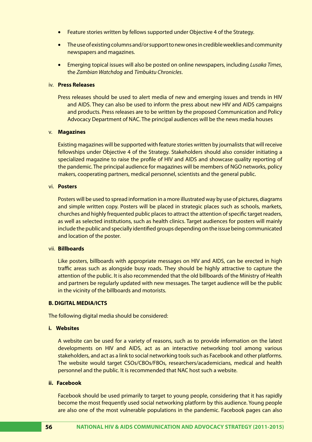- Feature stories written by fellows supported under Objective 4 of the Strategy.
- The use of existing columns and/or support to new ones in credible weeklies and community newspapers and magazines.
- • Emerging topical issues will also be posted on online newspapers, including *Lusaka Times*, the *Zambian Watchdog* and *Timbuktu Chronicles*.

# iv. **Press Releases**

Press releases should be used to alert media of new and emerging issues and trends in HIV and AIDS. They can also be used to inform the press about new HIV and AIDS campaigns and products. Press releases are to be written by the proposed Communication and Policy Advocacy Department of NAC. The principal audiences will be the news media houses

#### v. **Magazines**

Existing magazines will be supported with feature stories written by journalists that will receive fellowships under Objective 4 of the Strategy. Stakeholders should also consider initiating a specialized magazine to raise the profile of HIV and AIDS and showcase quality reporting of the pandemic. The principal audience for magazines will be members of NGO networks, policy makers, cooperating partners, medical personnel, scientists and the general public.

#### vi. **Posters**

Posters will be used to spread information in a more illustrated way by use of pictures, diagrams and simple written copy. Posters will be placed in strategic places such as schools, markets, churches and highly frequented public places to attract the attention of specific target readers, as well as selected institutions, such as health clinics. Target audiences for posters will mainly include the public and specially identified groups depending on the issue being communicated and location of the poster.

#### vii. **Billboards**

Like posters, billboards with appropriate messages on HIV and AIDS, can be erected in high traffic areas such as alongside busy roads. They should be highly attractive to capture the attention of the public. It is also recommended that the old billboards of the Ministry of Health and partners be regularly updated with new messages. The target audience will be the public in the vicinity of the billboards and motorists.

## **B. DIGITAL MEDIA/ICTS**

The following digital media should be considered:

#### **i. Websites**

A website can be used for a variety of reasons, such as to provide information on the latest developments on HIV and AIDS, act as an interactive networking tool among various stakeholders, and act as a link to social networking tools such as Facebook and other platforms. The website would target CSOs/CBOs/FBOs, researchers/academicians, medical and health personnel and the public. It is recommended that NAC host such a website.

#### **ii. Facebook**

Facebook should be used primarily to target to young people, considering that it has rapidly become the most frequently used social networking platform by this audience. Young people are also one of the most vulnerable populations in the pandemic. Facebook pages can also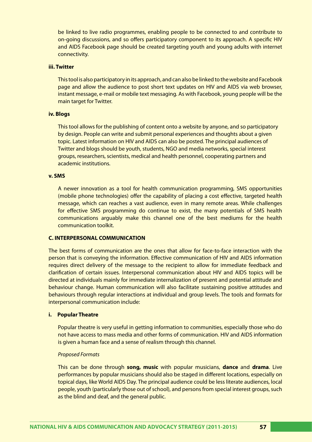be linked to live radio programmes, enabling people to be connected to and contribute to on-going discussions, and so offers participatory component to its approach. A specific HIV and AIDS Facebook page should be created targeting youth and young adults with internet connectivity.

# **iii. Twitter**

This tool is also participatory in its approach, and can also be linked to the website and Facebook page and allow the audience to post short text updates on HIV and AIDS via web browser, instant message, e-mail or mobile text messaging. As with Facebook, young people will be the main target for Twitter.

#### **iv. Blogs**

This tool allows for the publishing of content onto a website by anyone, and so participatory by design. People can write and submit personal experiences and thoughts about a given topic. Latest information on HIV and AIDS can also be posted. The principal audiences of Twitter and blogs should be youth, students, NGO and media networks, special interest groups, researchers, scientists, medical and health personnel, cooperating partners and academic institutions.

## **v. SMS**

A newer innovation as a tool for health communication programming, SMS opportunities (mobile phone technologies) offer the capability of placing a cost effective, targeted health message, which can reaches a vast audience, even in many remote areas. While challenges for effective SMS programming do continue to exist, the many potentials of SMS health communications arguably make this channel one of the best mediums for the health communication toolkit.

# **C. INTERPERSONAL COMMUNICATION**

The best forms of communication are the ones that allow for face-to-face interaction with the person that is conveying the information. Effective communication of HIV and AIDS information requires direct delivery of the message to the recipient to allow for immediate feedback and clarification of certain issues. Interpersonal communication about HIV and AIDS topics will be directed at individuals mainly for immediate internalization of present and potential attitude and behaviour change. Human communication will also facilitate sustaining positive attitudes and behaviours through regular interactions at individual and group levels. The tools and formats for interpersonal communication include:

#### **i. Popular Theatre**

Popular theatre is very useful in getting information to communities, especially those who do not have access to mass media and other forms of communication. HIV and AIDS information is given a human face and a sense of realism through this channel.

#### *Proposed Formats*

This can be done through **song, music** with popular musicians, **dance** and **drama**. Live performances by popular musicians should also be staged in different locations, especially on topical days, like World AIDS Day. The principal audience could be less literate audiences, local people, youth (particularly those out of school), and persons from special interest groups, such as the blind and deaf, and the general public.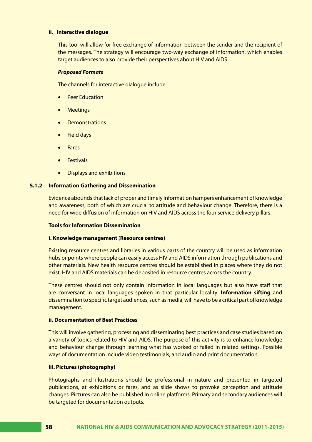## **ii. Interactive dialogue**

This tool will allow for free exchange of information between the sender and the recipient of the messages. The strategy will encourage two-way exchange of information, which enables target audiences to also provide their perspectives about HIV and AIDS.

# *Proposed Formats*

The channels for interactive dialogue include:

- Peer Education
- **Meetings**
- • Demonstrations
- • Field days
- **Fares**
- **Festivals**
- **Displays and exhibitions**

# **5.1.2 Information Gathering and Dissemination**

Evidence abounds that lack of proper and timely information hampers enhancement of knowledge and awareness, both of which are crucial to attitude and behaviour change. Therefore, there is a need for wide diffusion of information on HIV and AIDS across the four service delivery pillars.

# **Tools for Information Dissemination**

# **i. Knowledge management** (**Resource centres)**

Existing resource centres and libraries in various parts of the country will be used as information hubs or points where people can easily access HIV and AIDS information through publications and other materials. New health resource centres should be established in places where they do not exist. HIV and AIDS materials can be deposited in resource centres across the country.

These centres should not only contain information in local languages but also have staff that are conversant in local languages spoken in that particular locality. **Information sifting** and dissemination to specific target audiences, such as media, will have to be a critical part of knowledge management.

# **ii. Documentation of Best Practices**

This will involve gathering, processing and disseminating best practices and case studies based on a variety of topics related to HIV and AIDS. The purpose of this activity is to enhance knowledge and behaviour change through learning what has worked or failed in related settings. Possible ways of documentation include video testimonials, and audio and print documentation.

# **iii. Pictures (photography)**

Photographs and illustrations should be professional in nature and presented in targeted publications, at exhibitions or fares, and as slide shows to provoke perception and attitude changes. Pictures can also be published in online platforms. Primary and secondary audiences will be targeted for documentation outputs.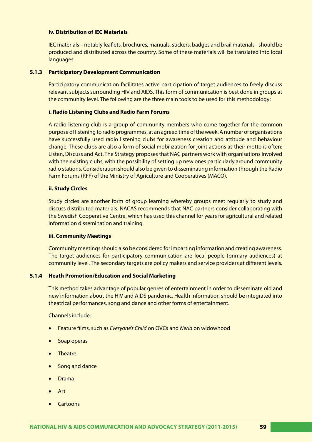# **iv. Distribution of IEC Materials**

IEC materials – notably leaflets, brochures, manuals, stickers, badges and brail materials - should be produced and distributed across the country. Some of these materials will be translated into local languages.

# **5.1.3 Participatory Development Communication**

Participatory communication facilitates active participation of target audiences to freely discuss relevant subjects surrounding HIV and AIDS. This form of communication is best done in groups at the community level. The following are the three main tools to be used for this methodology:

# **i. Radio Listening Clubs and Radio Farm Forums**

A radio listening club is a group of community members who come together for the common purpose of listening to radio programmes, at an agreed time of the week. A number of organisations have successfully used radio listening clubs for awareness creation and attitude and behaviour change. These clubs are also a form of social mobilization for joint actions as their motto is often: Listen, Discuss and Act. The Strategy proposes that NAC partners work with organisations involved with the existing clubs, with the possibility of setting up new ones particularly around community radio stations. Consideration should also be given to disseminating information through the Radio Farm Forums (RFF) of the Ministry of Agriculture and Cooperatives (MACO).

# **ii. Study Circles**

Study circles are another form of group learning whereby groups meet regularly to study and discuss distributed materials. NACAS recommends that NAC partners consider collaborating with the Swedish Cooperative Centre, which has used this channel for years for agricultural and related information dissemination and training.

## **iii. Community Meetings**

Community meetings should also be considered for imparting information and creating awareness. The target audiences for participatory communication are local people (primary audiences) at community level. The secondary targets are policy makers and service providers at different levels.

## **5.1.4 Heath Promotion/Education and Social Marketing**

This method takes advantage of popular genres of entertainment in order to disseminate old and new information about the HIV and AIDS pandemic. Health information should be integrated into theatrical performances, song and dance and other forms of entertainment.

Channels include:

- **Feature films, such as** *Everyone's Child* **on OVCs and** *Neria* **on widowhood**
- Soap operas
- **Theatre**
- Song and dance
- **Drama**
- **Art**
- **Cartoons**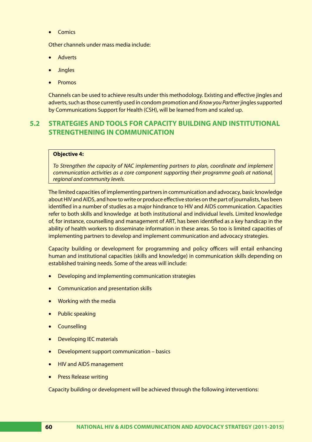• Comics

Other channels under mass media include:

- **Adverts**
- **Jingles**
- **Promos**

Channels can be used to achieve results under this methodology. Existing and effective jingles and adverts, such as those currently used in condom promotion and *Know you Partner* jingles supported by Communications Support for Health (CSH), will be learned from and scaled up.

# **5.2 STRATEGIES AND TOOLS FOR CAPACITY BUILDING AND INSTITUTIONAL STRENGTHENING IN COMMUNICATION**

# **Objective 4:**

*To Strengthen the capacity of NAC implementing partners to plan, coordinate and implement communication activities as a core component supporting their programme goals at national, regional and community levels.*

The limited capacities of implementing partners in communication and advocacy, basic knowledge about HIV and AIDS, and how to write or produce effective stories on the part of journalists, has been identified in a number of studies as a major hindrance to HIV and AIDS communication. Capacities refer to both skills and knowledge at both institutional and individual levels. Limited knowledge of, for instance, counselling and management of ART, has been identified as a key handicap in the ability of health workers to disseminate information in these areas. So too is limited capacities of implementing partners to develop and implement communication and advocacy strategies.

Capacity building or development for programming and policy officers will entail enhancing human and institutional capacities (skills and knowledge) in communication skills depending on established training needs. Some of the areas will include:

- Developing and implementing communication strategies
- **Communication and presentation skills**
- **Working with the media**
- Public speaking
- **Counselling**
- **Developing IEC materials**
- Development support communication basics
- • HIV and AIDS management
- Press Release writing

Capacity building or development will be achieved through the following interventions: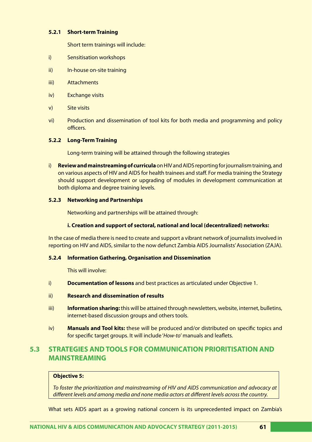# **5.2.1 Short-term Training**

Short term trainings will include:

- i) Sensitisation workshops
- ii) In-house on-site training
- iii) Attachments
- iv) Exchange visits
- v) Site visits
- vi) Production and dissemination of tool kits for both media and programming and policy officers.

#### **5.2.2 Long-Term Training**

Long-term training will be attained through the following strategies

i) **Review and mainstreaming of curricula** on HIV and AIDS reporting for journalism training, and on various aspects of HIV and AIDS for health trainees and staff. For media training the Strategy should support development or upgrading of modules in development communication at both diploma and degree training levels.

#### **5.2.3 Networking and Partnerships**

Networking and partnerships will be attained through:

## **i. Creation and support of sectoral, national and local (decentralized) networks:**

In the case of media there is need to create and support a vibrant network of journalists involved in reporting on HIV and AIDS, similar to the now defunct Zambia AIDS Journalists' Association (ZAJA).

#### **5.2.4 Information Gathering, Organisation and Dissemination**

This will involve:

- i) **Documentation of lessons** and best practices as articulated under Objective 1.
- ii) **Research and dissemination of results**
- iii) **Information sharing:** this will be attained through newsletters, website, internet, bulletins, internet-based discussion groups and others tools.
- iv) **Manuals and Tool kits:** these will be produced and/or distributed on specific topics and for specific target groups. It will include '*How-to'* manuals and leaflets.

# **5.3 STRATEGIES AND TOOLS FOR COMMUNICATION PRIORITISATION AND MAINSTREAMING**

## **Objective 5:**

*To foster the prioritization and mainstreaming of HIV and AIDS communication and advocacy at different levels and among media and none media actors at different levels across the country.* 

What sets AIDS apart as a growing national concern is its unprecedented impact on Zambia's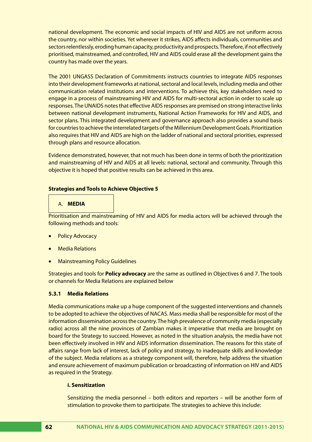national development. The economic and social impacts of HIV and AIDS are not uniform across the country, nor within societies. Yet wherever it strikes, AIDS affects individuals, communities and sectors relentlessly, eroding human capacity, productivity and prospects. Therefore, if not effectively prioritised, mainstreamed, and controlled, HIV and AIDS could erase all the development gains the country has made over the years.

The 2001 UNGASS Declaration of Commitments instructs countries to integrate AIDS responses into their development frameworks at national, sectoral and local levels, including media and other communication related institutions and interventions. To achieve this, key stakeholders need to engage in a process of mainstreaming HIV and AIDS for multi-sectoral action in order to scale up responses. The UNAIDS notes that effective AIDS responses are premised on strong interactive links between national development instruments, National Action Frameworks for HIV and AIDS, and sector plans. This integrated development and governance approach also provides a sound basis for countries to achieve the interrelated targets of the Millennium Development Goals. Prioritization also requires that HIV and AIDS are high on the ladder of national and sectoral priorities, expressed through plans and resource allocation.

Evidence demonstrated, however, that not much has been done in terms of both the prioritization and mainstreaming of HIV and AIDS at all levels: national, sectoral and community. Through this objective it is hoped that positive results can be achieved in this area.

# **Strategies and Tools to Achieve Objective 5**

# A. **MEDIA**

Prioritisation and mainstreaming of HIV and AIDS for media actors will be achieved through the following methods and tools:

- **Policy Advocacy**
- **Media Relations**
- **Mainstreaming Policy Guidelines**

Strategies and tools for **Policy advocacy** are the same as outlined in Objectives 6 and 7. The tools or channels for Media Relations are explained below

# **5.3.1 Media Relations**

Media communications make up a huge component of the suggested interventions and channels to be adopted to achieve the objectives of NACAS. Mass media shall be responsible for most of the information dissemination across the country. The high prevalence of community media (especially radio) across all the nine provinces of Zambian makes it imperative that media are brought on board for the Strategy to succeed. However, as noted in the situation analysis, the media have not been effectively involved in HIV and AIDS information dissemination. The reasons for this state of affairs range from lack of interest, lack of policy and strategy, to inadequate skills and knowledge of the subject. Media relations as a strategy component will, therefore, help address the situation and ensure achievement of maximum publication or broadcasting of information on HIV and AIDS as required in the Strategy.

# **i. Sensitization**

Sensitizing the media personnel – both editors and reporters – will be another form of stimulation to provoke them to participate. The strategies to achieve this include: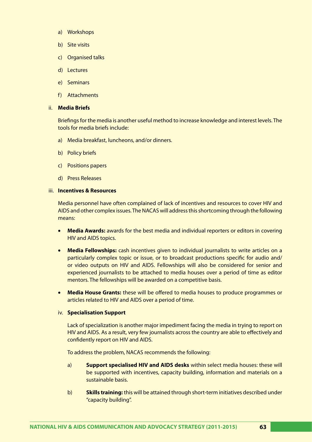- a) Workshops
- b) Site visits
- c) Organised talks
- d) Lectures
- e) Seminars
- f) Attachments

#### ii. **Media Briefs**

Briefings for the media is another useful method to increase knowledge and interest levels. The tools for media briefs include:

- a) Media breakfast, luncheons, and/or dinners.
- b) Policy briefs
- c) Positions papers
- d) Press Releases

#### iii. **Incentives & Resources**

Media personnel have often complained of lack of incentives and resources to cover HIV and AIDS and other complex issues. The NACAS will address this shortcoming through the following means:

- **Media Awards:** awards for the best media and individual reporters or editors in covering HIV and AIDS topics.
- • **Media Fellowships:** cash incentives given to individual journalists to write articles on a particularly complex topic or issue, or to broadcast productions specific for audio and/ or video outputs on HIV and AIDS. Fellowships will also be considered for senior and experienced journalists to be attached to media houses over a period of time as editor mentors. The fellowships will be awarded on a competitive basis.
- Media House Grants: these will be offered to media houses to produce programmes or articles related to HIV and AIDS over a period of time.

#### iv. **Specialisation Support**

Lack of specialization is another major impediment facing the media in trying to report on HIV and AIDS. As a result, very few journalists across the country are able to effectively and confidently report on HIV and AIDS.

To address the problem, NACAS recommends the following:

- a) **Support specialised HIV and AIDS desks** within select media houses: these will be supported with incentives, capacity building, information and materials on a sustainable basis.
- b) **Skills training:** this will be attained through short-term initiatives described under "capacity building".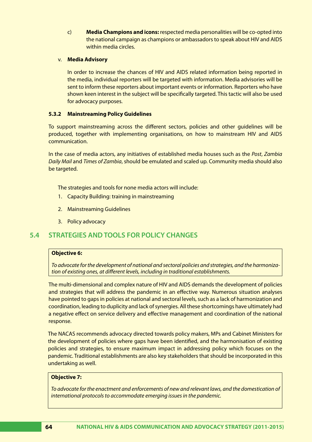c) **Media Champions and icons:** respected media personalities will be co-opted into the national campaign as champions or ambassadors to speak about HIV and AIDS within media circles.

# v. **Media Advisory**

In order to increase the chances of HIV and AIDS related information being reported in the media, individual reporters will be targeted with information. Media advisories will be sent to inform these reporters about important events or information. Reporters who have shown keen interest in the subject will be specifically targeted. This tactic will also be used for advocacy purposes.

# **5.3.2 Mainstreaming Policy Guidelines**

To support mainstreaming across the different sectors, policies and other guidelines will be produced, together with implementing organisations, on how to mainstream HIV and AIDS communication.

In the case of media actors, any initiatives of established media houses such as the *Post*, *Zambia Daily Mail* and *Times of Zambia*, should be emulated and scaled up. Community media should also be targeted.

The strategies and tools for none media actors will include:

- 1. Capacity Building: training in mainstreaming
- 2. Mainstreaming Guidelines
- 3. Policy advocacy

# **5.4 STRATEGIES AND TOOLS FOR POLICY CHANGES**

## **Objective 6:**

*To advocate for the development of national and sectoral policies and strategies, and the harmonization of existing ones, at different levels, including in traditional establishments.*

The multi-dimensional and complex nature of HIV and AIDS demands the development of policies and strategies that will address the pandemic in an effective way. Numerous situation analyses have pointed to gaps in policies at national and sectoral levels, such as a lack of harmonization and coordination, leading to duplicity and lack of synergies. All these shortcomings have ultimately had a negative effect on service delivery and effective management and coordination of the national response.

The NACAS recommends advocacy directed towards policy makers, MPs and Cabinet Ministers for the development of policies where gaps have been identified, and the harmonisation of existing policies and strategies, to ensure maximum impact in addressing policy which focuses on the pandemic. Traditional establishments are also key stakeholders that should be incorporated in this undertaking as well.

## **Objective 7:**

*To advocate for the enactment and enforcements of new and relevant laws, and the domestication of international protocols to accommodate emerging issues in the pandemic.*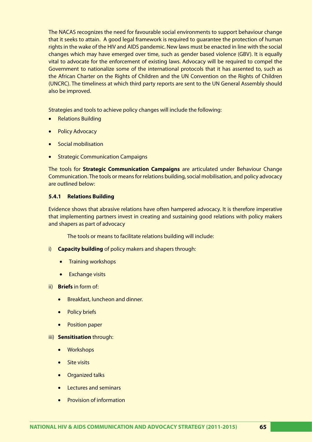The NACAS recognizes the need for favourable social environments to support behaviour change that it seeks to attain. A good legal framework is required to guarantee the protection of human rights in the wake of the HIV and AIDS pandemic. New laws must be enacted in line with the social changes which may have emerged over time, such as gender based violence (GBV). It is equally vital to advocate for the enforcement of existing laws. Advocacy will be required to compel the Government to nationalize some of the international protocols that it has assented to, such as the African Charter on the Rights of Children and the UN Convention on the Rights of Children (UNCRC). The timeliness at which third party reports are sent to the UN General Assembly should also be improved.

Strategies and tools to achieve policy changes will include the following:

- **Relations Building**
- **Policy Advocacy**
- Social mobilisation
- **Strategic Communication Campaigns**

The tools for **Strategic Communication Campaigns** are articulated under Behaviour Change Communication. The tools or means for relations building, social mobilisation, and policy advocacy are outlined below:

# **5.4.1 Relations Building**

Evidence shows that abrasive relations have often hampered advocacy. It is therefore imperative that implementing partners invest in creating and sustaining good relations with policy makers and shapers as part of advocacy

The tools or means to facilitate relations building will include:

- i) **Capacity building** of policy makers and shapers through:
	- Training workshops
	- Exchange visits
- ii) **Briefs** in form of:
	- Breakfast, luncheon and dinner.
	- • Policy briefs
	- Position paper

## iii) **Sensitisation** through:

- • Workshops
- Site visits
- **Organized talks**
- Lectures and seminars
- • Provision of information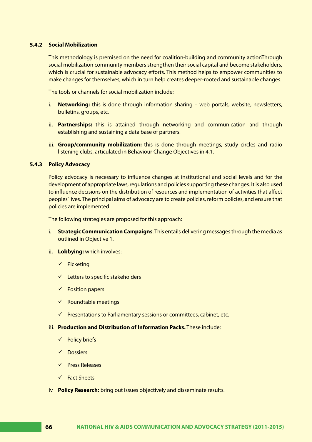# **5.4.2 Social Mobilization**

This methodology is premised on the need for coalition-building and community actionThrough social mobilization community members strengthen their social capital and become stakeholders, which is crucial for sustainable advocacy efforts. This method helps to empower communities to make changes for themselves, which in turn help creates deeper-rooted and sustainable changes.

The tools or channels for social mobilization include:

- i. **Networking:** this is done through information sharing web portals, website, newsletters, bulletins, groups, etc.
- ii. **Partnerships:** this is attained through networking and communication and through establishing and sustaining a data base of partners.
- iii. **Group/community mobilization:** this is done through meetings, study circles and radio listening clubs, articulated in Behaviour Change Objectives in 4.1.

# **5.4.3 Policy Advocacy**

Policy advocacy is necessary to influence changes at institutional and social levels and for the development of appropriate laws, regulations and policies supporting these changes. It is also used to influence decisions on the distribution of resources and implementation of activities that affect peoples' lives. The principal aims of advocacy are to create policies, reform policies, and ensure that policies are implemented.

The following strategies are proposed for this approach:

- i. **Strategic Communication Campaigns**: This entails delivering messages through the media as outlined in Objective 1.
- ii. **Lobbying:** which involves:
	- $\checkmark$  Picketing
	- $\checkmark$  Letters to specific stakeholders
	- $\checkmark$  Position papers
	- $\checkmark$  Roundtable meetings
	- $\checkmark$  Presentations to Parliamentary sessions or committees, cabinet, etc.
- iii. **Production and Distribution of Information Packs.** These include:
	- $\checkmark$  Policy briefs
	- $\sqrt{ }$  Dossiers
	- $\checkmark$  Press Releases
	- Fact Sheets
- iv. **Policy Research:** bring out issues objectively and disseminate results.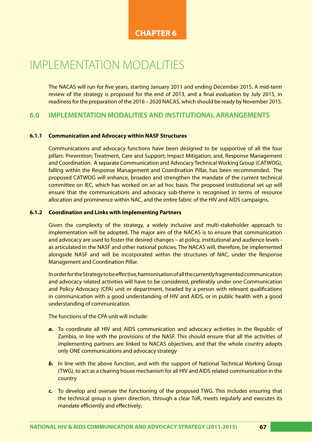# **CHAPTER 6**

# IMPLEMENTATION MODALITIES

The NACAS will run for five years, starting January 2011 and ending December 2015. A mid-term review of the strategy is proposed for the end of 2013, and a final evaluation by July 2015, in readiness for the preparation of the 2016 – 2020 NACAS, which should be ready by November 2015.

# **6.0 IMPLEMENTATION MODALITIES AND INSTITUTIONAL ARRANGEMENTS**

# **6.1.1 Communication and Advocacy within NASF Structures**

Communications and advocacy functions have been designed to be supportive of all the four pillars: Prevention; Treatment, Care and Support; Impact Mitigation; and, Response Management and Coordination. A separate Communication and Advocacy Technical Working Group (CATWOG), falling within the Response Management and Coordination Pillar, has been recommended. The proposed CATWOG will enhance, broaden and strengthen the mandate of the current technical committee on IEC, which has worked on an ad hoc basis. The proposed institutional set up will ensure that the communications and advocacy sub-theme is recognised in terms of resource allocation and prominence within NAC, and the entire fabric of the HIV and AIDS campaigns.

# **6.1.2 Coordination and Links with Implementing Partners**

Given the complexity of the strategy, a widely inclusive and multi-stakeholder approach to implementation will be adopted. The major aim of the NACAS is to ensure that communication and advocacy are used to foster the desired changes – at policy, institutional and audience levels as articulated in the NASF and other national policies. The NACAS will, therefore, be implemented alongside NASF and will be incorporated within the structures of NAC, under the Response Management and Coordination Pillar.

In order for the Strategy to be effective, harmonisation of all the currently fragmented communication and advocacy related activities will have to be considered, preferably under one Communication and Policy Advocacy (CPA) unit or department, headed by a person with relevant qualifications in communication with a good understanding of HIV and AIDS, or in public health with a good understanding of communication.

The functions of the CPA unit will include:

- *a.* To coordinate all HIV and AIDS communication and advocacy activities in the Republic of Zambia, in line with the provisions of the NASF. This should ensure that all the activities of implementing partners are linked to NACAS objectives, and that the whole country adopts only ONE communications and advocacy strategy
- **b.** In line with the above function, and with the support of National Technical Working Group (TWG), to act as a clearing house mechanism for all HIV and AIDS related communication in the country
- *c.* To develop and oversee the functioning of the proposed TWG. This includes ensuring that the technical group is given direction, through a clear ToR, meets regularly and executes its mandate efficiently and effectively;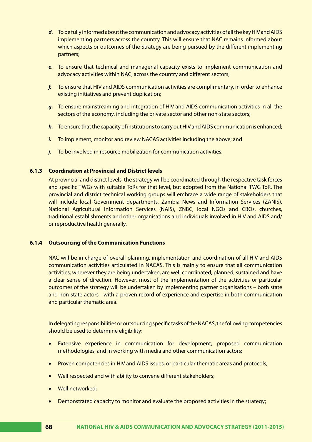- *d.* To be fully informed about the communication and advocacy activities of all the key HIV and AIDS implementing partners across the country. This will ensure that NAC remains informed about which aspects or outcomes of the Strategy are being pursued by the different implementing partners;
- *e.* To ensure that technical and managerial capacity exists to implement communication and advocacy activities within NAC, across the country and different sectors;
- *f.* To ensure that HIV and AIDS communication activities are complimentary, in order to enhance existing initiatives and prevent duplication;
- *g.* To ensure mainstreaming and integration of HIV and AIDS communication activities in all the sectors of the economy, including the private sector and other non-state sectors;
- *h.* To ensure that the capacity of institutions to carry out HIV and AIDS communication is enhanced;
- *i.* To implement, monitor and review NACAS activities including the above; and
- *j.* To be involved in resource mobilization for communication activities.

# **6.1.3 Coordination at Provincial and District levels**

At provincial and district levels, the strategy will be coordinated through the respective task forces and specific TWGs with suitable ToRs for that level, but adopted from the National TWG ToR. The provincial and district technical working groups will embrace a wide range of stakeholders that will include local Government departments, Zambia News and Information Services (ZANIS), National Agricultural Information Services (NAIS), ZNBC, local NGOs and CBOs, churches, traditional establishments and other organisations and individuals involved in HIV and AIDS and/ or reproductive health generally.

# **6.1.4 Outsourcing of the Communication Functions**

NAC will be in charge of overall planning, implementation and coordination of all HIV and AIDS communication activities articulated in NACAS. This is mainly to ensure that all communication activities, wherever they are being undertaken, are well coordinated, planned, sustained and have a clear sense of direction. However, most of the implementation of the activities or particular outcomes of the strategy will be undertaken by implementing partner organisations – both state and non-state actors - with a proven record of experience and expertise in both communication and particular thematic area.

In delegating responsibilities or outsourcing specific tasks of the NACAS, the following competencies should be used to determine eligibility:

- • Extensive experience in communication for development, proposed communication methodologies, and in working with media and other communication actors;
- Proven competencies in HIV and AIDS issues, or particular thematic areas and protocols;
- Well respected and with ability to convene different stakeholders;
- Well networked:
- Demonstrated capacity to monitor and evaluate the proposed activities in the strategy;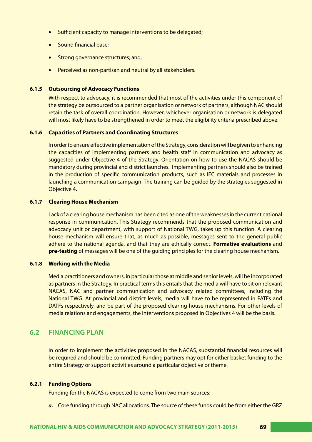- Sufficient capacity to manage interventions to be delegated;
- Sound financial base;
- Strong governance structures; and,
- Perceived as non-partisan and neutral by all stakeholders.

### **6.1.5 Outsourcing of Advocacy Functions**

With respect to advocacy, it is recommended that most of the activities under this component of the strategy be outsourced to a partner organisation or network of partners, although NAC should retain the task of overall coordination. However, whichever organisation or network is delegated will most likely have to be strengthened in order to meet the eligibility criteria prescribed above.

### **6.1.6 Capacities of Partners and Coordinating Structures**

In order to ensure effective implementation of the Strategy, consideration will be given to enhancing the capacities of implementing partners and health staff in communication and advocacy as suggested under Objective 4 of the Strategy. Orientation on how to use the NACAS should be mandatory during provincial and district launches. Implementing partners should also be trained in the production of specific communication products, such as IEC materials and processes in launching a communication campaign. The training can be guided by the strategies suggested in Objective 4.

### **6.1.7 Clearing House Mechanism**

Lack of a clearing house mechanism has been cited as one of the weaknesses in the current national response in communication. This Strategy recommends that the proposed communication and advocacy unit or department, with support of National TWG, takes up this function. A clearing house mechanism will ensure that, as much as possible, messages sent to the general public adhere to the national agenda, and that they are ethically correct. **Formative evaluations** and **pre-testing** of messages will be one of the guiding principles for the clearing house mechanism.

### **6.1.8 Working with the Media**

Media practitioners and owners, in particular those at middle and senior levels, will be incorporated as partners in the Strategy. In practical terms this entails that the media will have to sit on relevant NACAS, NAC and partner communication and advocacy related committees, including the National TWG. At provincial and district levels, media will have to be represented in PATFs and DATFs respectively, and be part of the proposed clearing house mechanisms. For other levels of media relations and engagements, the interventions proposed in Objectives 4 will be the basis.

### **6.2 FINANCING PLAN**

In order to implement the activities proposed in the NACAS, substantial financial resources will be required and should be committed. Funding partners may opt for either basket funding to the entire Strategy or support activities around a particular objective or theme.

### **6.2.1 Funding Options**

Funding for the NACAS is expected to come from two main sources:

*a.* Core funding through NAC allocations. The source of these funds could be from either the GRZ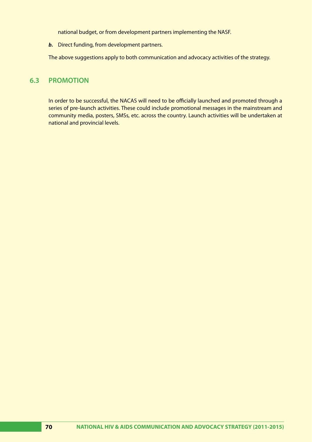national budget, or from development partners implementing the NASF.

*b.* Direct funding, from development partners.

The above suggestions apply to both communication and advocacy activities of the strategy.

# **6.3 PROMOTION**

In order to be successful, the NACAS will need to be officially launched and promoted through a series of pre-launch activities. These could include promotional messages in the mainstream and community media, posters, SMSs, etc. across the country. Launch activities will be undertaken at national and provincial levels.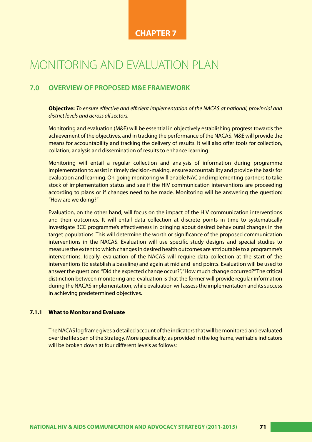# **CHAPTER 7**

# MONITORING AND EVALUATION PLAN

# **7.0 OVERVIEW OF PROPOSED M&E FRAMEWORK**

**Objective:** *To ensure effective and efficient implementation of the NACAS at national, provincial and district levels and across all sectors.*

Monitoring and evaluation (M&E) will be essential in objectively establishing progress towards the achievement of the objectives, and in tracking the performance of the NACAS. M&E will provide the means for accountability and tracking the delivery of results. It will also offer tools for collection, collation, analysis and dissemination of results to enhance learning.

Monitoring will entail a regular collection and analysis of information during programme implementation to assist in timely decision-making, ensure accountability and provide the basis for evaluation and learning. On-going monitoring will enable NAC and implementing partners to take stock of implementation status and see if the HIV communication interventions are proceeding according to plans or if changes need to be made. Monitoring will be answering the question: "How are we doing?"

Evaluation, on the other hand, will focus on the impact of the HIV communication interventions and their outcomes. It will entail data collection at discrete points in time to systematically investigate BCC programme's effectiveness in bringing about desired behavioural changes in the target populations. This will determine the worth or significance of the proposed communication interventions in the NACAS. Evaluation will use specific study designs and special studies to measure the extent to which changes in desired health outcomes are attributable to a programme's interventions. Ideally, evaluation of the NACAS will require data collection at the start of the interventions (to establish a baseline) and again at mid and end points. Evaluation will be used to answer the questions: "Did the expected change occur?", "How much change occurred?" The critical distinction between monitoring and evaluation is that the former will provide regular information during the NACAS implementation, while evaluation will assess the implementation and its success in achieving predetermined objectives.

### **7.1.1 What to Monitor and Evaluate**

The NACAS log frame gives a detailed account of the indicators that will be monitored and evaluated over the life span of the Strategy. More specifically, as provided in the log frame, verifiable indicators will be broken down at four different levels as follows: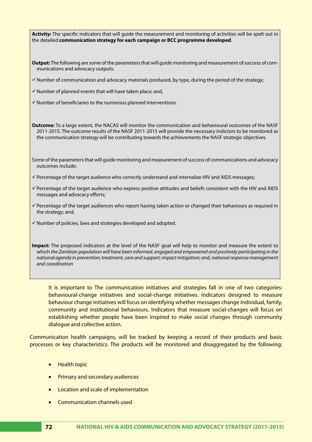| Activity: The specific indicators that will guide the measurement and monitoring of activities will be spelt out in<br>the detailed communication strategy for each campaign or BCC programme developed.                                                                                                                                                                |
|-------------------------------------------------------------------------------------------------------------------------------------------------------------------------------------------------------------------------------------------------------------------------------------------------------------------------------------------------------------------------|
| Output: The following are some of the parameters that will guide monitoring and measurement of success of com-<br>munications and advocacy outputs:                                                                                                                                                                                                                     |
| $\checkmark$ Number of communication and advocacy materials produced, by type, during the period of the strategy;                                                                                                                                                                                                                                                       |
| √ Number of planned events that will have taken place; and,                                                                                                                                                                                                                                                                                                             |
| $\checkmark$ Number of beneficiaries to the numerous planned interventions.                                                                                                                                                                                                                                                                                             |
| Outcome: To a large extent, the NACAS will monitor the communication and behavioural outcomes of the NASF<br>2011-2015. The outcome results of the NASF 2011-2015 will provide the necessary indictors to be monitored as<br>the communication strategy will be contributing towards the achievements the NASF strategic objectives.                                    |
| Some of the parameters that will guide monitoring and measurement of success of communications and advocacy<br>outcomes include:                                                                                                                                                                                                                                        |
| √ Percentage of the target audience who correctly understand and internalize HIV and AIDS messages;                                                                                                                                                                                                                                                                     |
| √ Percentage of the target audience who express positive attitudes and beliefs consistent with the HIV and AIDS<br>messages and advocacy efforts;                                                                                                                                                                                                                       |
| $\checkmark$ Percentage of the target audiences who report having taken action or changed their behaviours as required in<br>the strategy; and,                                                                                                                                                                                                                         |
| √ Number of policies, laws and strategies developed and adopted.                                                                                                                                                                                                                                                                                                        |
| Impact: The proposed indicators at the level of the NASF goal will help to monitor and measure the extent to<br>which the Zambian population will have been informed, engaged and empowered and positively participating in the<br>national agenda in prevention; treatment, care and support; impact mitigation; and, national response management<br>and coordination |
| and the Theorem and the transformation of the contraction of the contract of the contract of the contract of                                                                                                                                                                                                                                                            |

It is important to The communication initiatives and strategies fall in one of two categories: behavioural-change initiatives and social-change initiatives. Indicators designed to measure behaviour change initiatives will focus on identifying whether messages change individual, family, community and institutional behaviours. Indicators that measure social-changes will focus on establishing whether people have been inspired to make social changes through community dialogue and collective action.

Communication health campaigns, will be tracked by keeping a record of their products and basic processes or key characteristics. The products will be monitored and disaggregated by the following:

- • Health topic
- Primary and secondary audiences
- • Location and scale of implementation
- Communication channels used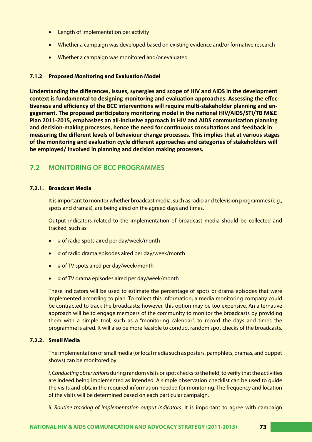- Length of implementation per activity
- Whether a campaign was developed based on existing evidence and/or formative research
- Whether a campaign was monitored and/or evaluated

### **7.1.2 Proposed Monitoring and Evaluation Model**

**Understanding the differences, issues, synergies and scope of HIV and AIDS in the development context is fundamental to designing monitoring and evaluation approaches. Assessing the effectiveness and efficiency of the BCC interventions will require multi-stakeholder planning and engagement. The proposed participatory monitoring model in the national HIV/AIDS/STI/TB M&E Plan 2011-2015, emphasizes an all-inclusive approach in HIV and AIDS communication planning and decision-making processes, hence the need for continuous consultations and feedback in measuring the different levels of behaviour change processes. This implies that at various stages of the monitoring and evaluation cycle different approaches and categories of stakeholders will be employed/ involved in planning and decision making processes.** 

# **7.2 MONITORING OF BCC PROGRAMMES**

### **7.2.1. Broadcast Media**

It is important to monitor whether broadcast media, such as radio and television programmes (e.g., spots and dramas), are being aired on the agreed days and times.

Output indicators related to the implementation of broadcast media should be collected and tracked, such as:

- • # of radio spots aired per day/week/month
- $#$  of radio drama episodes aired per day/week/month
- # of TV spots aired per day/week/month
- # of TV drama episodes aired per day/week/month

These indicators will be used to estimate the percentage of spots or drama episodes that were implemented according to plan. To collect this information, a media monitoring company could be contracted to track the broadcasts; however, this option may be too expensive. An alternative approach will be to engage members of the community to monitor the broadcasts by providing them with a simple tool, such as a "monitoring calendar", to record the days and times the programme is aired. It will also be more feasible to conduct random spot checks of the broadcasts.

### **7.2.2. Small Media**

The implementation of small media (or local media such as posters, pamphlets, dramas, and puppet shows) can be monitored by:

*i. Conducting observations* during random visits or spot checks to the field, to verify that the activities are indeed being implemented as intended. A simple observation checklist can be used to guide the visits and obtain the required information needed for monitoring. The frequency and location of the visits will be determined based on each particular campaign.

*ii. Routine tracking of implementation output indicators*. It is important to agree with campaign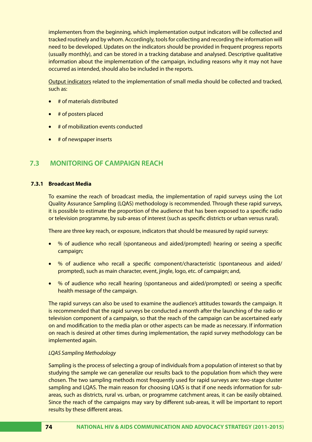implementers from the beginning, which implementation output indicators will be collected and tracked routinely and by whom. Accordingly, tools for collecting and recording the information will need to be developed. Updates on the indicators should be provided in frequent progress reports (usually monthly), and can be stored in a tracking database and analysed. Descriptive qualitative information about the implementation of the campaign, including reasons why it may not have occurred as intended, should also be included in the reports.

Output indicators related to the implementation of small media should be collected and tracked, such as:

- # of materials distributed
- # of posters placed
- # of mobilization events conducted
- **there** inserts

# **7.3 MONITORING OF CAMPAIGN REACH**

### **7.3.1 Broadcast Media**

To examine the reach of broadcast media, the implementation of rapid surveys using the Lot Quality Assurance Sampling (LQAS) methodology is recommended. Through these rapid surveys, it is possible to estimate the proportion of the audience that has been exposed to a specific radio or television programme, by sub-areas of interest (such as specific districts or urban versus rural).

There are three key reach, or exposure, indicators that should be measured by rapid surveys:

- • % of audience who recall (spontaneous and aided/prompted) hearing or seeing a specific campaign;
- • % of audience who recall a specific component/characteristic (spontaneous and aided/ prompted), such as main character, event, jingle, logo, etc. of campaign; and,
- • % of audience who recall hearing (spontaneous and aided/prompted) or seeing a specific health message of the campaign.

The rapid surveys can also be used to examine the audience's attitudes towards the campaign. It is recommended that the rapid surveys be conducted a month after the launching of the radio or television component of a campaign, so that the reach of the campaign can be ascertained early on and modification to the media plan or other aspects can be made as necessary. If information on reach is desired at other times during implementation, the rapid survey methodology can be implemented again.

### *LQAS Sampling Methodology*

Sampling is the process of selecting a group of individuals from a population of interest so that by studying the sample we can generalize our results back to the population from which they were chosen. The two sampling methods most frequently used for rapid surveys are: two-stage cluster sampling and LQAS. The main reason for choosing LQAS is that if one needs information for subareas, such as districts, rural vs. urban, or programme catchment areas, it can be easily obtained. Since the reach of the campaigns may vary by different sub-areas, it will be important to report results by these different areas.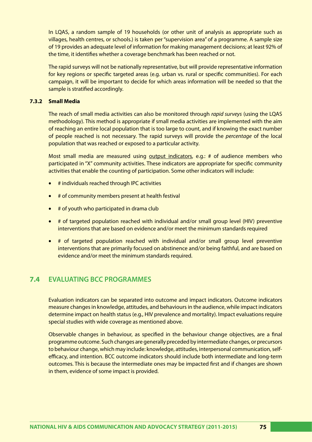In LQAS, a random sample of 19 households (or other unit of analysis as appropriate such as villages, health centres, or schools.) is taken per "supervision area" of a programme. A sample size of 19 provides an adequate level of information for making management decisions; at least 92% of the time, it identifies whether a coverage benchmark has been reached or not.

The rapid surveys will not be nationally representative, but will provide representative information for key regions or specific targeted areas (e.g. urban vs. rural or specific communities). For each campaign, it will be important to decide for which areas information will be needed so that the sample is stratified accordingly.

### **7.3.2 Small Media**

The reach of small media activities can also be monitored through *rapid surveys* (using the LQAS methodology). This method is appropriate if small media activities are implemented with the aim of reaching an entire local population that is too large to count, and if knowing the exact number of people reached is not necessary. The rapid surveys will provide the *percentage* of the local population that was reached or exposed to a particular activity.

Most small media are measured using output indicators, e.g.: # of audience members who participated in "X" community activities. These indicators are appropriate for specific community activities that enable the counting of participation. Some other indicators will include:

- • # individuals reached through IPC activities
- # of community members present at health festival
- # of youth who participated in drama club
- $#$  of targeted population reached with individual and/or small group level (HIV) preventive interventions that are based on evidence and/or meet the minimum standards required
- # of targeted population reached with individual and/or small group level preventive interventions that are primarily focused on abstinence and/or being faithful, and are based on evidence and/or meet the minimum standards required.

# **7.4 EVALUATING BCC PROGRAMMES**

Evaluation indicators can be separated into outcome and impact indicators. Outcome indicators measure changes in knowledge, attitudes, and behaviours in the audience, while impact indicators determine impact on health status (e.g., HIV prevalence and mortality). Impact evaluations require special studies with wide coverage as mentioned above.

Observable changes in behaviour, as specified in the behaviour change objectives, are a final programme outcome. Such changes are generally preceded by intermediate changes, or precursors to behaviour change, which may include: knowledge, attitudes, interpersonal communication, selfefficacy, and intention. BCC outcome indicators should include both intermediate and long-term outcomes. This is because the intermediate ones may be impacted first and if changes are shown in them, evidence of some impact is provided.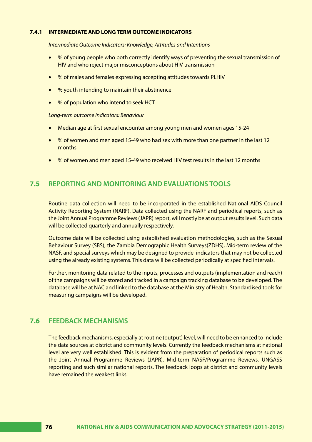### **7.4.1 INTERMEDIATE AND LONG TERM OUTCOME INDICATORS**

*Intermediate Outcome Indicators: Knowledge, Attitudes and Intentions* 

- % of young people who both correctly identify ways of preventing the sexual transmission of HIV and who reject major misconceptions about HIV transmission
- % of males and females expressing accepting attitudes towards PLHIV
- • % youth intending to maintain their abstinence
- % of population who intend to seek HCT

### *Long-term outcome indicators: Behaviour*

- Median age at first sexual encounter among young men and women ages 15-24
- % of women and men aged 15-49 who had sex with more than one partner in the last 12 months
- • % of women and men aged 15-49 who received HIV test results in the last 12 months

# **7.5 REPORTING AND MONITORING AND EVALUATIONS TOOLS**

Routine data collection will need to be incorporated in the established National AIDS Council Activity Reporting System (NARF). Data collected using the NARF and periodical reports, such as the Joint Annual Programme Reviews (JAPR) report, will mostly be at output results level. Such data will be collected quarterly and annually respectively.

Outcome data will be collected using established evaluation methodologies, such as the Sexual Behaviour Survey (SBS), the Zambia Demographic Health Surveys(ZDHS), Mid-term review of the NASF, and special surveys which may be designed to provide indicators that may not be collected using the already existing systems. This data will be collected periodically at specified intervals.

Further, monitoring data related to the inputs, processes and outputs (implementation and reach) of the campaigns will be stored and tracked in a campaign tracking database to be developed. The database will be at NAC and linked to the database at the Ministry of Health. Standardised tools for measuring campaigns will be developed.

### **7.6 FEEDBACK MECHANISMS**

The feedback mechanisms, especially at routine (output) level, will need to be enhanced to include the data sources at district and community levels. Currently the feedback mechanisms at national level are very well established. This is evident from the preparation of periodical reports such as the Joint Annual Programme Reviews (JAPR), Mid-term NASF/Programme Reviews, UNGASS reporting and such similar national reports. The feedback loops at district and community levels have remained the weakest links.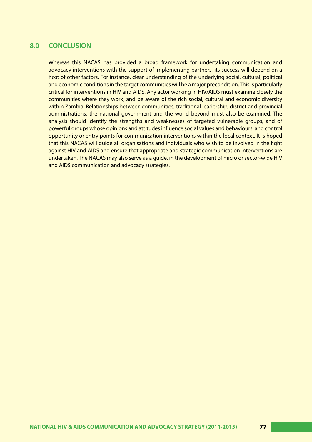## 8.0 CONCLUSION

Whereas this NACAS has provided a broad framework for undertaking communication and advocacy interventions with the support of implementing partners, its success will depend on a host of other factors. For instance, clear understanding of the underlying social, cultural, political and economic conditions in the target communities will be a major precondition. This is particularly critical for interventions in HIV and AIDS. Any actor working in HIV/AIDS must examine closely the communities where they work, and be aware of the rich social, cultural and economic diversity within Zambia. Relationships between communities, traditional leadership, district and provincial administrations, the national government and the world beyond must also be examined. The analysis should identify the strengths and weaknesses of targeted vulnerable groups, and of powerful groups whose opinions and attitudes influence social values and behaviours, and control opportunity or entry points for communication interventions within the local context. It is hoped that this NACAS will guide all organisations and individuals who wish to be involved in the fight against HIV and AIDS and ensure that appropriate and strategic communication interventions are undertaken. The NACAS may also serve as a guide, in the development of micro or sector-wide HIV and AIDS communication and advocacy strategies.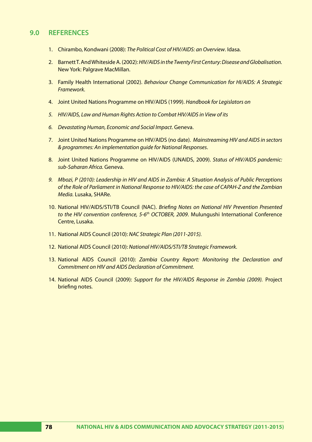### **9.0 REFERENCES**

- 1. Chirambo, Kondwani (2008): *The Political Cost of HIV/AIDS: an Overview*. Idasa.
- 2. Barnett T. And Whiteside A. (2002): *HIV/AIDS in the Twenty First Century: Disease and Globalisation.*  New York: Palgrave MacMillan.
- 3. Family Health International (2002). *Behaviour Change Communication for HI/AIDS: A Strategic Framework.*
- 4. Joint United Nations Programme on HIV/AIDS (1999). *Handbook for Legislators on*
- *5. HIV/AIDS, Law and Human Rights Action to Combat HIV/AIDS in View of its*
- *6. Devastating Human, Economic and Social Impact*. Geneva.
- 7. Joint United Nations Programme on HIV/AIDS (no date). *Mainstreaming HIV and AIDS in sectors & programmes: An implementation guide for National Responses*.
- 8. Joint United Nations Programme on HIV/AIDS (UNAIDS, 2009). *Status of HIV/AIDS pandemic: sub-Saharan Africa.* Geneva.
- *9. Mbozi, P (2010): Leadership in HIV and AIDS in Zambia: A Situation Analysis of Public Perceptions of the Role of Parliament in National Response to HIV/AIDS: the case of CAPAH-Z and the Zambian Media.* Lusaka, SHARe.
- 10. National HIV/AIDS/STI/TB Council (NAC). *Briefing Notes on National HIV Prevention Presented to the HIV convention conference, 5-6th OCTOBER, 2009*. Mulungushi International Conference Centre, Lusaka.
- 11. National AIDS Council (2010): *NAC Strategic Plan (2011-2015).*
- 12. National AIDS Council (2010): *National HIV/AIDS/STI/TB Strategic Framework.*
- 13. National AIDS Council (2010): *Zambia Country Report: Monitoring the Declaration and Commitment on HIV and AIDS Declaration of Commitment.*
- 14. National AIDS Council (2009): *Support for the HIV/AIDS Response in Zambia (2009).* Project briefing notes.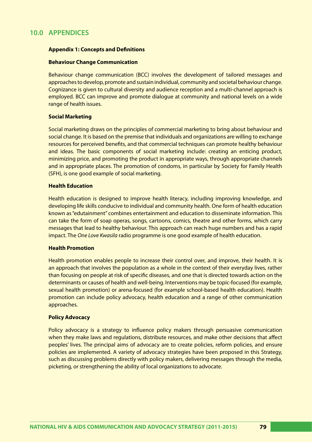# **10.0 APPENDICES**

### **Appendix 1: Concepts and Definitions**

### **Behaviour Change Communication**

Behaviour change communication (BCC) involves the development of tailored messages and approaches to develop, promote and sustain individual, community and societal behaviour change. Cognizance is given to cultural diversity and audience reception and a multi-channel approach is employed. BCC can improve and promote dialogue at community and national levels on a wide range of health issues.

### **Social Marketing**

Social marketing draws on the principles of commercial marketing to bring about behaviour and social change. It is based on the premise that individuals and organizations are willing to exchange resources for perceived benefits, and that commercial techniques can promote healthy behaviour and ideas. The basic components of social marketing include: creating an enticing product, minimizing price, and promoting the product in appropriate ways, through appropriate channels and in appropriate places. The promotion of condoms, in particular by Society for Family Health (SFH), is one good example of social marketing.

### **Health Education**

Health education is designed to improve health literacy, including improving knowledge, and developing life skills conducive to individual and community health. One form of health education known as "edutainment" combines entertainment and education to disseminate information. This can take the form of soap operas, songs, cartoons, comics, theatre and other forms, which carry messages that lead to healthy behaviour. This approach can reach huge numbers and has a rapid impact. The *One Love Kwasila* radio programme is one good example of health education.

### **Health Promotion**

Health promotion enables people to increase their control over, and improve, their health. It is an approach that involves the population as a whole in the context of their everyday lives, rather than focusing on people at risk of specific diseases, and one that is directed towards action on the determinants or causes of health and well-being. Interventions may be topic-focused (for example, sexual health promotion) or arena-focused (for example school-based health education). Health promotion can include policy advocacy, health education and a range of other communication approaches.

### **Policy Advocacy**

Policy advocacy is a strategy to influence policy makers through persuasive communication when they make laws and regulations, distribute resources, and make other decisions that affect peoples' lives. The principal aims of advocacy are to create policies, reform policies, and ensure policies are implemented. A variety of advocacy strategies have been proposed in this Strategy, such as discussing problems directly with policy makers, delivering messages through the media, picketing, or strengthening the ability of local organizations to advocate.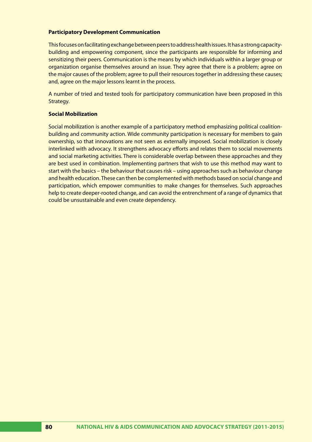### **Participatory Development Communication**

This focuses on facilitating exchange between peers to address health issues. It has a strong capacitybuilding and empowering component, since the participants are responsible for informing and sensitizing their peers. Communication is the means by which individuals within a larger group or organization organise themselves around an issue. They agree that there is a problem; agree on the major causes of the problem; agree to pull their resources together in addressing these causes; and, agree on the major lessons learnt in the process.

A number of tried and tested tools for participatory communication have been proposed in this Strategy.

### **Social Mobilization**

Social mobilization is another example of a participatory method emphasizing political coalitionbuilding and community action. Wide community participation is necessary for members to gain ownership, so that innovations are not seen as externally imposed. Social mobilization is closely interlinked with advocacy. It strengthens advocacy efforts and relates them to social movements and social marketing activities. There is considerable overlap between these approaches and they are best used in combination. Implementing partners that wish to use this method may want to start with the basics – the behaviour that causes risk – using approaches such as behaviour change and health education. These can then be complemented with methods based on social change and participation, which empower communities to make changes for themselves. Such approaches help to create deeper-rooted change, and can avoid the entrenchment of a range of dynamics that could be unsustainable and even create dependency.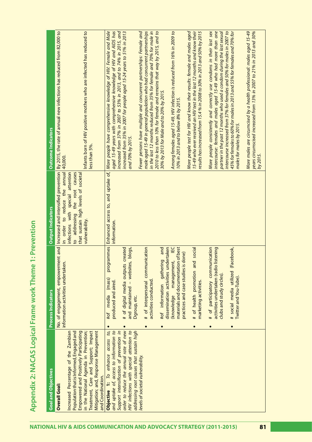| <b>Goal and Objectives</b>                                                                                                                                                                                                                                             | <b>Process Indicators</b>                                                                                                  | <b>Output Indicators</b>                                                                                                     | <b>Outcome Indicators</b>                                                                                                                                                                                                      |
|------------------------------------------------------------------------------------------------------------------------------------------------------------------------------------------------------------------------------------------------------------------------|----------------------------------------------------------------------------------------------------------------------------|------------------------------------------------------------------------------------------------------------------------------|--------------------------------------------------------------------------------------------------------------------------------------------------------------------------------------------------------------------------------|
| <b>Overall Goal:</b>                                                                                                                                                                                                                                                   | information activities undertaken.                                                                                         | order to reduce the annual 40,000.<br>$\equiv$                                                                               | No. of engagement, empowerment and   Increased and intensified prevention   By 2015, the rate of annual new infections has reduced from 82,000 to                                                                              |
| in the National Agenda in Prevention;<br>Mitigation; and, Response Management<br>Treatment, Care and Support; Impact<br>Population that is Informed, Engaged and<br>Empowered and Positively Participating<br>Increased Percentage of the Zambian<br>and Coordination. |                                                                                                                            | to addressing the root causes<br>infections with special attention<br>that sustain high levels of societal<br>vulnerability. | Infants born of HIV positive mothers who are infected has reduced to<br>less than 5%.                                                                                                                                          |
| and uptake of, access to information to<br>to,<br>access<br>Objective 1: To enhance                                                                                                                                                                                    | programmes<br>(mass)<br>produced and aired<br>media<br>$\frac{4}{10}$                                                      | information.                                                                                                                 | Enhanced access to, and uptake of, More people have comprehensive knowledge of HIV: Female and Male<br>aged 15-49 years with comprehensive knowledge of HIV and AIDS has                                                       |
| order to reduce the annual rate of new<br>Support intensification of prevention in                                                                                                                                                                                     | created<br># of digital media outputs<br>$\bullet$                                                                         |                                                                                                                              | increased from 37% in 2007 to 53% in 2013, and to 74% in 2015, and<br>increased from 35% in 2007 for people aged 15-24 years to 51% in 2013                                                                                    |
| HIV infections with special attention to<br>addressing root causes that sustain high<br>levels of societal vulnerability                                                                                                                                               | websites, blogs,<br>and maintained -<br>Dgroup, etc.                                                                       |                                                                                                                              | Fewer persons have multiple and concurrent partnerships: Female and<br>and 70% by 2015.                                                                                                                                        |
|                                                                                                                                                                                                                                                                        | <b>Inication</b><br># of interpersonal commu<br>activities conducted<br>$\bullet$                                          |                                                                                                                              | male aged 15-49 in general population who had concurrent partnerships<br>in the last 12 months reduced from 35% for female and 70% for male in<br>2010 to less than 10% for female and remains that way by 2015, and to        |
|                                                                                                                                                                                                                                                                        | dissemination activities undertaken<br>gathering and<br>#of information<br>$\bullet$                                       |                                                                                                                              | 30% by 2013 for Male and to 20% by 2015.                                                                                                                                                                                       |
|                                                                                                                                                                                                                                                                        | materials and documentation of best<br>management, IEC<br>practices and case studies is done)<br>(knowledge                |                                                                                                                              | Among females aged 15-49, HIV infection is reduced from 16% in 2009 to<br>10% in 2013 and to below 8% by 2015.                                                                                                                 |
|                                                                                                                                                                                                                                                                        | Ieipos bi<br>ă<br># of health promotion<br>marketing activities.<br>$\bullet$                                              |                                                                                                                              | results has increased from 15.4 % in 2008 to 30% in 2013 and 50% by 2015<br>15-49 who ever received an HIV test in the last 12 months and know their<br>More people test for HIV and know their results: female and males aged |
|                                                                                                                                                                                                                                                                        | participatory communication<br>listening<br>activities undertaken (radio<br>clubs and study circles).<br># of<br>$\bullet$ |                                                                                                                              | intercourse: females and males aged 15-49 who had more than one<br>More people consistently and correctly use condoms in their last sex<br>partner in the past 12 months who used a condom during the last sexual              |
|                                                                                                                                                                                                                                                                        | (Facebook,<br># social media utilized<br>Twitter and You-Tube)<br>$\bullet$                                                |                                                                                                                              | 45% for females to 60% for males in 2013 and 55% for females and 70% for<br>intercourse increased from 37% for females and 50% for males in 2007 to<br>males for males by 2015.                                                |
|                                                                                                                                                                                                                                                                        |                                                                                                                            |                                                                                                                              | More males are circumcised by a health professional: males aged 15-49<br>years circumscised increased from 13% in 2007 to 21% in 2013 and 30%<br>by 2015.                                                                      |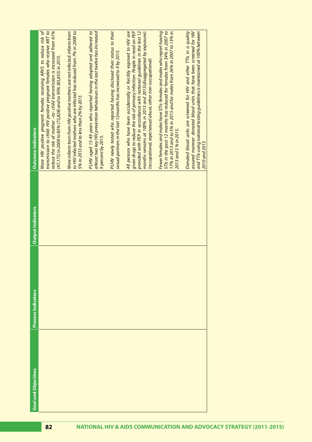| <b>Goal and Objectives</b> | <b>Process Indicators</b> | <b>Output Indicators</b> | <b>Outcome Indicators</b>                                                                                                                                                                                                                                                                                                                                          |
|----------------------------|---------------------------|--------------------------|--------------------------------------------------------------------------------------------------------------------------------------------------------------------------------------------------------------------------------------------------------------------------------------------------------------------------------------------------------------------|
|                            |                           |                          | More HIV positive pregnant females receiving ARVS to reduce risk of<br>transmission to child: HIV positive pregnant females who receive ART to<br>reduce the risk of mother -to- child transmission is increased from 61%<br>(47,175) in 2009 to 85% (72,828) and to 95% (85,655) in 2015.                                                                         |
|                            |                           |                          | More infants born from HIV positive mothers are not infected: infants born<br>to HIV infected mothers who are infected has reduced from 7% in 2009 to<br>5% in 2013 and to less than 2% by 2015                                                                                                                                                                    |
|                            |                           |                          | PLHIV aged 15-49 years who reported having adopted and adhered to<br>atleast two key HIV prevention behaviours in the last twelve has increased<br>X percent by 2015.                                                                                                                                                                                              |
|                            |                           |                          | PLHIV newly tested who reported having disclosed their status to their<br>sexual partners in the last 12months has increased to X by 2015.                                                                                                                                                                                                                         |
|                            |                           |                          | given drugs to reduce the risk of primary infection: People in need on PEP<br>provided with PEP in accordance with national guidelines in the last 12<br>months remains at 100% in 2013 and 2015(disaggregated by exposure):<br>All persons who have been accidentally or forcibly exposed to HIV are<br>(occupational, rape/sexual abuse, other non-occupational) |
|                            |                           |                          | Fewer females and males have STIs: females and males who report having<br>17% in 2013 and to 5% in 2015 and for males from 26% in 2007 to 13% in<br>STIs in the past 12 months has reduced for females from 34% in 2007 to<br>2013 and 5 % in 2015.                                                                                                                |
|                            |                           |                          | assured manner: donated blood units that have been screened for HIV<br>Donated blood units are screened for HIV and other TTIs in a quality<br>and TTIs using national testing guidelines is maintained at 100% between<br>2010 and 2015                                                                                                                           |
|                            |                           |                          |                                                                                                                                                                                                                                                                                                                                                                    |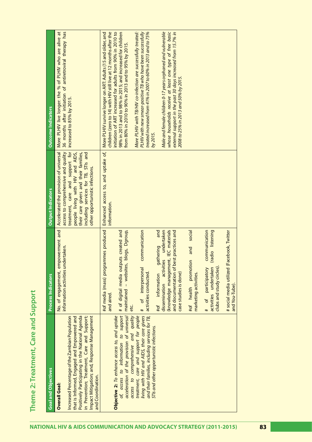| ì                    |  |
|----------------------|--|
|                      |  |
|                      |  |
|                      |  |
|                      |  |
| O                    |  |
|                      |  |
|                      |  |
|                      |  |
|                      |  |
|                      |  |
|                      |  |
|                      |  |
|                      |  |
|                      |  |
|                      |  |
| Care and             |  |
| )<br>3               |  |
|                      |  |
|                      |  |
|                      |  |
|                      |  |
|                      |  |
|                      |  |
|                      |  |
|                      |  |
|                      |  |
|                      |  |
|                      |  |
|                      |  |
|                      |  |
|                      |  |
|                      |  |
|                      |  |
|                      |  |
|                      |  |
|                      |  |
|                      |  |
|                      |  |
|                      |  |
|                      |  |
|                      |  |
|                      |  |
|                      |  |
|                      |  |
|                      |  |
|                      |  |
|                      |  |
| <b>TO TMODIT</b>     |  |
|                      |  |
| l                    |  |
|                      |  |
|                      |  |
|                      |  |
| j                    |  |
| $\tilde{\mathbf{C}}$ |  |
|                      |  |
|                      |  |
| d                    |  |
|                      |  |
|                      |  |
|                      |  |
|                      |  |
|                      |  |
| i                    |  |
|                      |  |

| <b>Goal and Objectives</b>                                                                                                                                                                                                                                                                                                                                           | <b>Process Indicators</b>                                                                                                                                                                                                                                                                                                                                                                                                                                                                                                                                                                                                                                                                       | <b>Output Indicators</b>                                                                                                                                                                                                                                                | <b>Outcome Indicators</b>                                                                                                                                                                                                                                                                                                                                                                                                                                                                                                                                                                                                                                                                                                                                         |
|----------------------------------------------------------------------------------------------------------------------------------------------------------------------------------------------------------------------------------------------------------------------------------------------------------------------------------------------------------------------|-------------------------------------------------------------------------------------------------------------------------------------------------------------------------------------------------------------------------------------------------------------------------------------------------------------------------------------------------------------------------------------------------------------------------------------------------------------------------------------------------------------------------------------------------------------------------------------------------------------------------------------------------------------------------------------------------|-------------------------------------------------------------------------------------------------------------------------------------------------------------------------------------------------------------------------------------------------------------------------|-------------------------------------------------------------------------------------------------------------------------------------------------------------------------------------------------------------------------------------------------------------------------------------------------------------------------------------------------------------------------------------------------------------------------------------------------------------------------------------------------------------------------------------------------------------------------------------------------------------------------------------------------------------------------------------------------------------------------------------------------------------------|
| Positively Participating in the National Agenda<br>Impact Mitigation; and, Response Management<br>that is Informed, Engaged and Empowered and<br>in Prevention; Treatment, Care and Support;<br>Increased Percentage of the Zambian Population<br>and Coordination.<br><b>Overall Goal:</b>                                                                          | empowerment and<br>information activities undertaken.<br>No. of engagement,                                                                                                                                                                                                                                                                                                                                                                                                                                                                                                                                                                                                                     | access to comprehensive and quality<br>treatment, care and support for<br>including services for TB, STIs and<br>their care givers and their families,<br>Accelerated the provision of universal<br>people living with HIV and AIDS,<br>other opportunistic infections. | 36 months after initiation of antiretroviral therapy has<br>More PLHIV live longer: the % of PLHIV who are alive at<br>increased to 85% by 2015.                                                                                                                                                                                                                                                                                                                                                                                                                                                                                                                                                                                                                  |
| living with HIV and AIDS, their care givers<br>and their families, including services for TB,<br>treatment, care and support for people<br>access to information to support<br>acceleration of the provision of universal<br>access to comprehensive and quality<br>Objective 2: To enhance access to, and uptake<br>STIs and other opportunistic infections.<br>oť, | (knowledge management, IEC materials<br>#of media (mass) programmes produced<br>tputs created and<br>and<br>activities undertaken<br>communication<br>communication<br>best practices and<br>- websites, blogs, Dgroup,<br>social<br>listening<br>(Facebook, Twitter<br>gathering<br>and<br>(radio<br>promotion<br>participatory<br>activities undertaken<br># of digital media ou<br>of interpersonal<br>clubs and study circles<br># social media utilized<br>and documentation of<br>marketing activities.<br>case studies is done)<br>activities conducted<br>information<br>dissemination<br>and You-Tube)<br>#of health<br>maintained<br>and aired<br>of<br>#of<br>etc.<br>#<br>$\ddot{}$ | Enhanced access to, and uptake of,<br>information.                                                                                                                                                                                                                      | children (zero to 14) with HIV still live at 12 months after the<br>whose households receive at least one type of free basic<br>initiation of ART increased for adults from 90% in 2010 to<br>98% in 2013 and to 98% in 2015; and increased for children<br>Male and female children 0-17 years orphaned and vulnerable<br>More PLHIV survive longer on ART: Adults (15 and older, and<br>More PLHIV with TB/HIV co-infection are successfully treated:<br>PLHIV with new smear-positive TB who have been successfully<br>external support in the past 30 days increased from 15.7% in<br>treated increased from 41% in 2007 to 60% in 2013 and to 75%<br>from 80% in 2010 to 90% in 2013 and to 95% by 2015.<br>2008 to 25% in 2013 and 50% by 2015.<br>by 2015. |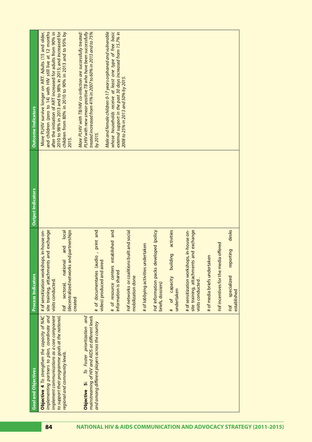| <b>Goal and Objectives</b>                                                                                                                                                                                                            | <b>Process Indicators</b>                                                                                                                                                                                        | <b>Output Indicators</b> | <b>Outcome Indicators</b>                                                                                                                                                                                                                                                                                                                                                              |
|---------------------------------------------------------------------------------------------------------------------------------------------------------------------------------------------------------------------------------------|------------------------------------------------------------------------------------------------------------------------------------------------------------------------------------------------------------------|--------------------------|----------------------------------------------------------------------------------------------------------------------------------------------------------------------------------------------------------------------------------------------------------------------------------------------------------------------------------------------------------------------------------------|
| implementing partners to plan, coordinate and<br>implement communications as a core component<br>Objective 4 To strengthen the capacity of NAC<br>to support their programme goals at the national,<br>regional and community levels. | site training, attachments and exchange<br># of sensitization workshops, in-house on-<br>(decentralized networks and partnerships<br>local<br>and<br>national<br>visits conducted<br>sectoral,<br>created<br>#of |                          | 2010 to 98% in 2013 and to 98% in 2015; and increased for<br>and children (zero to 14) with HIV still live at 12 months<br>More PLHIV survive longer on ART: Adults (15 and older,<br>after the initiation of ART increased for adults from 90% in<br>More PLHIV with TB/HIV co-infection are successfully treated:<br>children from 80% in 2010 to 90% in 2013 and to 95% by<br>2015. |
| mainstreaming of HIV and AIDS at different levels<br>To Foster prioritization and<br>and among different players across the country<br>Objective 5:                                                                                   | # of documentaries (audio, print and<br>video) produced and aired                                                                                                                                                |                          | PLHIV with new smear-positive TB who have been successfully<br>treated increased from 41% in 2007 to 60% in 2013 and to 75%<br>by 2015.                                                                                                                                                                                                                                                |
|                                                                                                                                                                                                                                       | established and<br># of resource centers<br>information is shared                                                                                                                                                |                          | Male and female children 0-17 years orphaned and vulnerable<br>whose households receive at least one type of free basic<br>external support in the past 30 days increased from 15.7% in<br>2008 to 25% in 2013 and 50% by 2015.                                                                                                                                                        |
|                                                                                                                                                                                                                                       | #of networks or coalitions built and social<br>mobilization done                                                                                                                                                 |                          |                                                                                                                                                                                                                                                                                                                                                                                        |
|                                                                                                                                                                                                                                       | # of lobbying activities undertaken                                                                                                                                                                              |                          |                                                                                                                                                                                                                                                                                                                                                                                        |
|                                                                                                                                                                                                                                       | eveloped (policy<br>#of information packs d<br>briefs, dossiers)                                                                                                                                                 |                          |                                                                                                                                                                                                                                                                                                                                                                                        |
|                                                                                                                                                                                                                                       | activities<br>llding<br># of capacity bui<br>undertaken                                                                                                                                                          |                          |                                                                                                                                                                                                                                                                                                                                                                                        |
|                                                                                                                                                                                                                                       | # of sensitization workshops, in-house on-<br>site training, attachments and exchange<br>visits conducted                                                                                                        |                          |                                                                                                                                                                                                                                                                                                                                                                                        |
|                                                                                                                                                                                                                                       | # of media briefs undertaken                                                                                                                                                                                     |                          |                                                                                                                                                                                                                                                                                                                                                                                        |
|                                                                                                                                                                                                                                       | #of incentives for the media offered                                                                                                                                                                             |                          |                                                                                                                                                                                                                                                                                                                                                                                        |
|                                                                                                                                                                                                                                       | desks<br>reporting<br>specialized<br>established<br>$#$ of                                                                                                                                                       |                          |                                                                                                                                                                                                                                                                                                                                                                                        |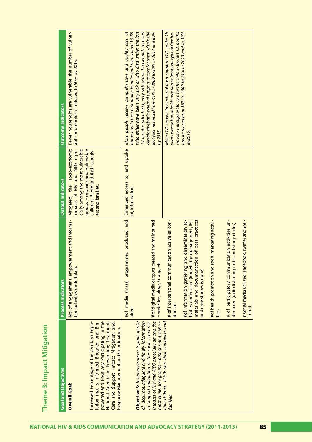| <b>Goal and Objectives</b>                                                                                                                                                                                                                                                                     | <b>Process Indicators</b>                                                                                                                                                       | <b>Output Indicators</b>                                                                                                                                                                                     | <b>Outcome Indicators</b>                                                                                                                                                                                                                                                                                                                                                                 |
|------------------------------------------------------------------------------------------------------------------------------------------------------------------------------------------------------------------------------------------------------------------------------------------------|---------------------------------------------------------------------------------------------------------------------------------------------------------------------------------|--------------------------------------------------------------------------------------------------------------------------------------------------------------------------------------------------------------|-------------------------------------------------------------------------------------------------------------------------------------------------------------------------------------------------------------------------------------------------------------------------------------------------------------------------------------------------------------------------------------------|
| powered and Positively Participating in the<br>lation that is Informed, Engaged and Em-<br>Increased Percentage of the Zambian Popu-<br>National Agenda in Prevention; Treatment,<br>Care and Support; Impact Mitigation; and,<br>Response Management and Coordination<br><b>Overall Goal:</b> | No. of engagement, empowerment and informa-<br>tion activities undertaken.                                                                                                      | socio-economic<br>groups - orphans and vulnerable<br>cially among the most vulnerable<br>impacts of HIV and AIDS espe-<br>children, PLHIV and their caregiv-<br>the<br>ers and families.<br><b>Mitigated</b> | Fewer households are vulnerable: the number of vulner-<br>able households is reduced to 50% by 2015.                                                                                                                                                                                                                                                                                      |
| impacts of HIV and AIDS especially among the<br>Objective 3: To enhance access to, and uptake<br>to Support mitigation of the socio-economic<br>most vulnerable groups – orphans and vulner-<br>of, accurate, adequate and timely information                                                  | #of media (mass) programmes produced and<br># of digital media outputs created and maintained<br>- websites, blogs, Group, etc.<br>aired.                                       | Enhanced access to, and uptake<br>of, information.                                                                                                                                                           | home and in the community: females and males aged 15-59<br>who either have been very sick or who died within the last<br>12 months after being very sick whose households received<br>certain free basic external support to care for them within the<br>last year increased from 41% in 2009 to 50% in 2013 and 60%<br>More people receive comprehensive and quality care at<br>by 2015. |
| able children, PLHIV and their caregivers and<br>families.                                                                                                                                                                                                                                     | unication activities con-<br># of interpersonal commu<br>ducted.                                                                                                                |                                                                                                                                                                                                              | sic external support to care for the child in the last 12 months<br>years whose households received at least one type of free ba-<br>More OVC receive free external basic support: OVC under 18                                                                                                                                                                                           |
|                                                                                                                                                                                                                                                                                                | #of information gathering and dissemination ac-<br>tivities undertaken (knowledge management, IEC<br>materials and documentation of best practices<br>and case studies is done) |                                                                                                                                                                                                              | has increased from 16% in 2009 to 25% in 2013 and to 40%<br>in 2015.                                                                                                                                                                                                                                                                                                                      |
|                                                                                                                                                                                                                                                                                                | social marketing activi-<br>#of health promotion and<br>ties.                                                                                                                   |                                                                                                                                                                                                              |                                                                                                                                                                                                                                                                                                                                                                                           |
|                                                                                                                                                                                                                                                                                                | # of participatory communication activities un-<br>dertaken(radio listening clubs and study circles).                                                                           |                                                                                                                                                                                                              |                                                                                                                                                                                                                                                                                                                                                                                           |
|                                                                                                                                                                                                                                                                                                | # social media utilized (Facebook, Twitter and You-<br>Tube)                                                                                                                    |                                                                                                                                                                                                              |                                                                                                                                                                                                                                                                                                                                                                                           |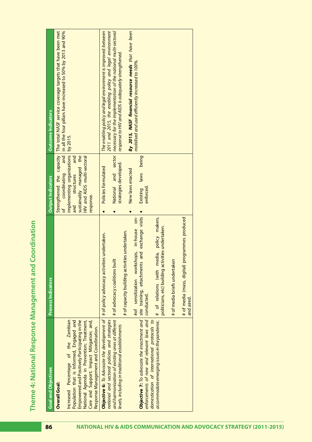Theme 4: National Response Management and Coordination **Theme 4: National Response Management and Coordination**

| <b>Goal and Objectives</b>                                                                                                                                                                                                                                                                                                                                                                                                       | Process Indicators                                                                                                                                                                                                                                                                                                                                                                                                                | <b>Output Indicators</b>                                                                                                                             | <b>Outcome Indicators</b>                                                                                                                                                                                                                                                                                                                                                        |
|----------------------------------------------------------------------------------------------------------------------------------------------------------------------------------------------------------------------------------------------------------------------------------------------------------------------------------------------------------------------------------------------------------------------------------|-----------------------------------------------------------------------------------------------------------------------------------------------------------------------------------------------------------------------------------------------------------------------------------------------------------------------------------------------------------------------------------------------------------------------------------|------------------------------------------------------------------------------------------------------------------------------------------------------|----------------------------------------------------------------------------------------------------------------------------------------------------------------------------------------------------------------------------------------------------------------------------------------------------------------------------------------------------------------------------------|
| Increased Percentage of the Zambian<br>Empowered and Positively Participating in the<br>Care and Support; Impact Mitigation; and,<br>Population that is Informed, Engaged and<br>National Agenda in Prevention; Treatment,<br>Response Management and Coordination.<br><b>Overall Goal:</b>                                                                                                                                      |                                                                                                                                                                                                                                                                                                                                                                                                                                   | implementing organizations<br>and<br>sustainably managed the<br>and<br>HIV and AIDS multi-sectoral<br>coordinating<br>structures<br>response.<br>and | in all the four pillars have increased to 50% by 2013 and 90%<br>Strengthened the capacity   The total NASF service coverage targets that have been met<br>by 2015.                                                                                                                                                                                                              |
| Objective 7: To advocate the enactment and   site training, attachments<br>enforcements of new and relevant laws and<br>and harmonization of existing ones at different<br><b>Objective 6:</b> To Advocate the development of<br>accommodate emerging issues in the pandemic.<br>national and sectoral policies and strategies<br>domestication of international protocols to<br>levels, including in traditional establishments | and exchange visits<br>$rac{1}{2}$<br># of relations (with media, policy makers,<br>programmes produced<br>politicians, etc) building activities undertaken.<br>#of sensitization workshops, in-house<br># of capacity building activities undertaken.<br># of policy advocacy activities undertaken.<br># of advocacy coalitions built<br># of media briefs undertaken<br># of media (mass, digital)<br>conducted.<br>and aired. | being<br>strategies developed.<br>Policies formulated<br>New laws enacted<br>Existing laws<br>National<br>enforced.                                  | 2011 and 2015, the enabling policy and legal environment<br>The enabling policy and legal environment is improved: between<br>and sector   necessary for the implementation of the national multi-sectoral<br>By 2015, NASF financial resource needs that have been<br>response to HIV and AIDS is adequately strengthened.<br>mobilised and used efficiently increased to 100%. |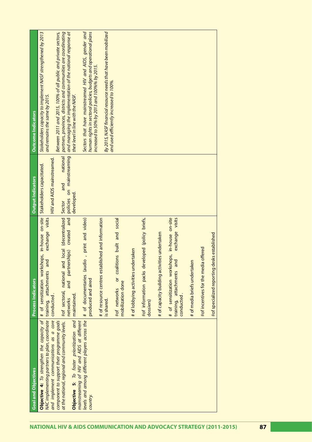|                                                                     | <b>Goal and Objectives</b>                                                                                                                                                                                                         | <b>Process Indicators</b>                                                                                                              | <b>Output Indicators</b>                                             | <b>Outcome Indicators</b>                                                                                                                                                                                                              |
|---------------------------------------------------------------------|------------------------------------------------------------------------------------------------------------------------------------------------------------------------------------------------------------------------------------|----------------------------------------------------------------------------------------------------------------------------------------|----------------------------------------------------------------------|----------------------------------------------------------------------------------------------------------------------------------------------------------------------------------------------------------------------------------------|
|                                                                     | NAC implementing partners to plan, coordinate<br><b>Objective 4:</b> To strengthen the capacity of                                                                                                                                 | in-house on-site<br>exchange visits<br>sensitization workshops,<br>and<br>attachments<br>training,<br># of                             | <b>HIV and AIDS mainstreamed</b><br>Stakeholders capacitated.        | Stakeholders capacity to implement NASF strengthened by 2013<br>and remains the same by 2015.                                                                                                                                          |
| NATIONAL HIV & AIDS COMMUNICATION AND ADVOCACY STRATEGY (2011-2015) | Objective 5: To foster prioritization and<br>and implement communications as a core<br>mainstreaming of HIV and AIDS at different<br>component to support their programme goals<br>at the national, regional and community levels. | nd local (decentralized<br>bue<br>created<br>partnerships)<br>#of sectoral, national ar<br>and<br>conducted.<br>maintained<br>networks | policies on mainstreaming<br>national<br>and<br>developed.<br>Sector | partners, provinces, districts and communities are coordinating<br>and managing the implementation of the national response at<br>Between 2011 and 2015, 100% of all public and private sectors,<br>their level in line with the NASF. |
|                                                                     | levels and among different players across the<br>country.                                                                                                                                                                          | # of documentaries (audio, print and video)<br>produced and aired                                                                      |                                                                      | Sectors that have mainstreamed HIV and AIDS, gender and<br>human rights in sectoral policies, budgets and operational plans                                                                                                            |
|                                                                     |                                                                                                                                                                                                                                    | # of resource centres established and information<br>is shared                                                                         |                                                                      | By 2015, NASF financial resource needs that have been mobilized<br>increased to 50% by 2013 and 100%% by 2015.                                                                                                                         |
|                                                                     |                                                                                                                                                                                                                                    | coalitions built and social<br>$\overline{5}$<br>mobilization done<br>#of networks                                                     |                                                                      | and used efficiently increased to 100%.                                                                                                                                                                                                |
|                                                                     |                                                                                                                                                                                                                                    | # of lobbying activities undertaken                                                                                                    |                                                                      |                                                                                                                                                                                                                                        |
|                                                                     |                                                                                                                                                                                                                                    | #of information packs developed (policy briefs,<br>dossiers)                                                                           |                                                                      |                                                                                                                                                                                                                                        |
|                                                                     |                                                                                                                                                                                                                                    | # of capacity building activities undertaken                                                                                           |                                                                      |                                                                                                                                                                                                                                        |
|                                                                     |                                                                                                                                                                                                                                    | # of sensitization workshops, in-house on-site<br>visits<br>exchange<br>and<br>training, attachments<br>conducted                      |                                                                      |                                                                                                                                                                                                                                        |
|                                                                     |                                                                                                                                                                                                                                    | εñ<br># of media briefs undertak                                                                                                       |                                                                      |                                                                                                                                                                                                                                        |
|                                                                     |                                                                                                                                                                                                                                    | ia offered<br>#of incentives for the medi                                                                                              |                                                                      |                                                                                                                                                                                                                                        |
|                                                                     |                                                                                                                                                                                                                                    | #of specialized reporting desks established                                                                                            |                                                                      |                                                                                                                                                                                                                                        |
|                                                                     |                                                                                                                                                                                                                                    |                                                                                                                                        |                                                                      |                                                                                                                                                                                                                                        |
|                                                                     |                                                                                                                                                                                                                                    |                                                                                                                                        |                                                                      |                                                                                                                                                                                                                                        |
| 87                                                                  |                                                                                                                                                                                                                                    |                                                                                                                                        |                                                                      |                                                                                                                                                                                                                                        |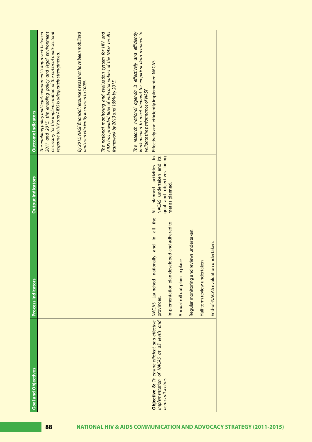| <b>Goal and Objectives</b>                                                                                         | <b>Process Indicators</b>                                                                                                                                                                                                                                                    | <b>Output Indicators</b>                                                                                      | <b>Outcome Indicators</b>                                                                                                                                                                                                                             |
|--------------------------------------------------------------------------------------------------------------------|------------------------------------------------------------------------------------------------------------------------------------------------------------------------------------------------------------------------------------------------------------------------------|---------------------------------------------------------------------------------------------------------------|-------------------------------------------------------------------------------------------------------------------------------------------------------------------------------------------------------------------------------------------------------|
|                                                                                                                    |                                                                                                                                                                                                                                                                              |                                                                                                               | 2011 and 2015, the enabling policy and legal environment<br>necessary for the implementation of the national multi-sectoral<br>The enabling policy and legal environment is improved: between<br>response to HIV and AIDS is adequately strengthened. |
|                                                                                                                    |                                                                                                                                                                                                                                                                              |                                                                                                               | By 2015, NASF financial resource needs that have been mobilized<br>and used efficiently increased to 100%.                                                                                                                                            |
|                                                                                                                    |                                                                                                                                                                                                                                                                              |                                                                                                               | AIDS has provided 80% of indicator values of the NASF results<br>The national monitoring and evaluation system for HIV and<br>framework by 2013 and 100% by 2015.                                                                                     |
|                                                                                                                    |                                                                                                                                                                                                                                                                              |                                                                                                               | The research national agenda is effectively and efficiently<br>implemented to meet demand for empirical data required to<br>validate the performance of NASF.                                                                                         |
| Objective 8: To ensure efficient and effective<br>implementation of NACAS at all levels and<br>across all sectors. | all the<br>Implementation plan developed and adhered to.<br>Regular monitoring and reviews undertaken.<br>$\equiv$<br>End-of-NACAS evaluation undertaken.<br>and<br>NACAS Launched nationally<br>Annual roll out plans in place<br>Half term review undertaken<br>provinces. | $\cong$<br>NACAS undertaken and its<br>goal and objectives being<br>All planned activities<br>met as planned. | Effectively and efficiently implemented NACAS.                                                                                                                                                                                                        |
|                                                                                                                    |                                                                                                                                                                                                                                                                              |                                                                                                               |                                                                                                                                                                                                                                                       |